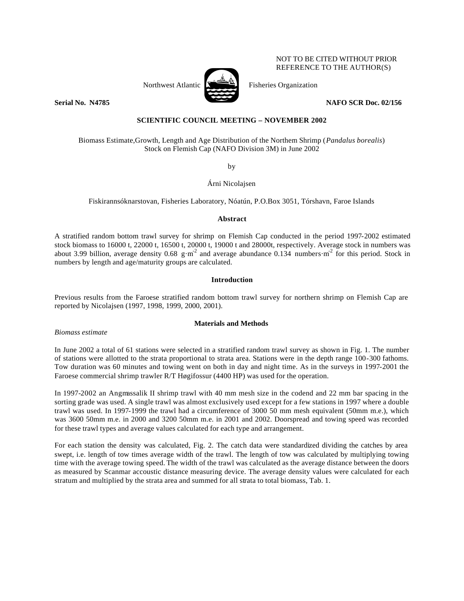

NOT TO BE CITED WITHOUT PRIOR REFERENCE TO THE AUTHOR(S)

**Serial No. N4785** NAFO SCR Doc. 02/156

# **SCIENTIFIC COUNCIL MEETING – NOVEMBER 2002**

Biomass Estimate,Growth, Length and Age Distribution of the Northern Shrimp (*Pandalus borealis*) Stock on Flemish Cap (NAFO Division 3M) in June 2002

by

Árni Nicolajsen

Fiskirannsóknarstovan, Fisheries Laboratory, Nóatún, P.O.Box 3051, Tórshavn, Faroe Islands

# **Abstract**

A stratified random bottom trawl survey for shrimp on Flemish Cap conducted in the period 1997-2002 estimated stock biomass to 16000 t, 22000 t, 16500 t, 20000 t, 19000 t and 28000t, respectively. Average stock in numbers was about 3.99 billion, average density 0.68 g·m<sup>2</sup> and average abundance 0.134 numbers·m<sup>2</sup> for this period. Stock in numbers by length and age/maturity groups are calculated.

# **Introduction**

Previous results from the Faroese stratified random bottom trawl survey for northern shrimp on Flemish Cap are reported by Nicolajsen (1997, 1998, 1999, 2000, 2001).

# **Materials and Methods**

*Biomass estimate*

In June 2002 a total of 61 stations were selected in a stratified random trawl survey as shown in Fig. 1. The number of stations were allotted to the strata proportional to strata area. Stations were in the depth range 100-300 fathoms. Tow duration was 60 minutes and towing went on both in day and night time. As in the surveys in 1997-2001 the Faroese commercial shrimp trawler R/T Høgifossur (4400 HP) was used for the operation.

In 1997-2002 an Angmassalik II shrimp trawl with 40 mm mesh size in the codend and 22 mm bar spacing in the sorting grade was used. A single trawl was almost exclusively used except for a few stations in 1997 where a double trawl was used. In 1997-1999 the trawl had a circumference of 3000 50 mm mesh equivalent (50mm m.e.), which was 3600 50mm m.e. in 2000 and 3200 50mm m.e. in 2001 and 2002. Doorspread and towing speed was recorded for these trawl types and average values calculated for each type and arrangement.

For each station the density was calculated, Fig. 2. The catch data were standardized dividing the catches by area swept, i.e. length of tow times average width of the trawl. The length of tow was calculated by multiplying towing time with the average towing speed. The width of the trawl was calculated as the average distance between the doors as measured by Scanmar accoustic distance measuring device. The average density values were calculated for each stratum and multiplied by the strata area and summed for all strata to total biomass, Tab. 1.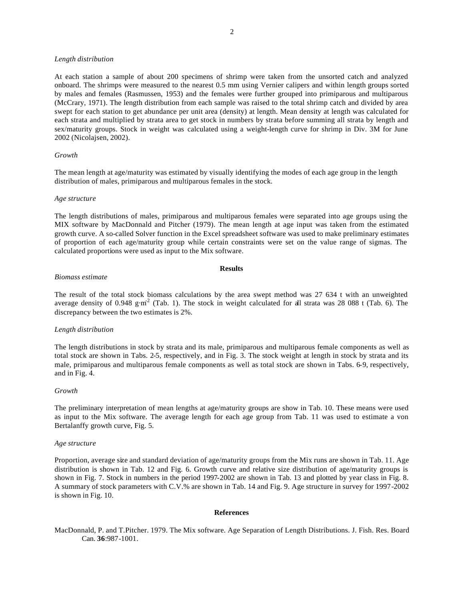### *Length distribution*

At each station a sample of about 200 specimens of shrimp were taken from the unsorted catch and analyzed onboard. The shrimps were measured to the nearest 0.5 mm using Vernier calipers and within length groups sorted by males and females (Rasmussen, 1953) and the females were further grouped into primiparous and multiparous (McCrary, 1971). The length distribution from each sample was raised to the total shrimp catch and divided by area swept for each station to get abundance per unit area (density) at length. Mean density at length was calculated for each strata and multiplied by strata area to get stock in numbers by strata before summing all strata by length and sex/maturity groups. Stock in weight was calculated using a weight-length curve for shrimp in Div. 3M for June 2002 (Nicolajsen, 2002).

## *Growth*

The mean length at age/maturity was estimated by visually identifying the modes of each age group in the length distribution of males, primiparous and multiparous females in the stock.

### *Age structure*

The length distributions of males, primiparous and multiparous females were separated into age groups using the MIX software by MacDonnald and Pitcher (1979). The mean length at age input was taken from the estimated growth curve. A so-called Solver function in the Excel spreadsheet software was used to make preliminary estimates of proportion of each age/maturity group while certain constraints were set on the value range of sigmas. The calculated proportions were used as input to the Mix software.

### **Results**

# *Biomass estimate*

The result of the total stock biomass calculations by the area swept method was 27 634 t with an unweighted average density of 0.948 g·m<sup>2</sup> (Tab. 1). The stock in weight calculated for all strata was 28 088 t (Tab. 6). The discrepancy between the two estimates is 2%.

## *Length distribution*

The length distributions in stock by strata and its male, primiparous and multiparous female components as well as total stock are shown in Tabs. 2-5, respectively, and in Fig. 3. The stock weight at length in stock by strata and its male, primiparous and multiparous female components as well as total stock are shown in Tabs. 6-9, respectively, and in Fig. 4.

### *Growth*

The preliminary interpretation of mean lengths at age/maturity groups are show in Tab. 10. These means were used as input to the Mix software. The average length for each age group from Tab. 11 was used to estimate a von Bertalanffy growth curve, Fig. 5.

### *Age structure*

Proportion, average size and standard deviation of age/maturity groups from the Mix runs are shown in Tab. 11. Age distribution is shown in Tab. 12 and Fig. 6. Growth curve and relative size distribution of age/maturity groups is shown in Fig. 7. Stock in numbers in the period 1997-2002 are shown in Tab. 13 and plotted by year class in Fig. 8. A summary of stock parameters with C.V.% are shown in Tab. 14 and Fig. 9. Age structure in survey for 1997-2002 is shown in Fig. 10.

## **References**

MacDonnald, P. and T.Pitcher. 1979. The Mix software. Age Separation of Length Distributions. J. Fish. Res. Board Can. **36**:987-1001.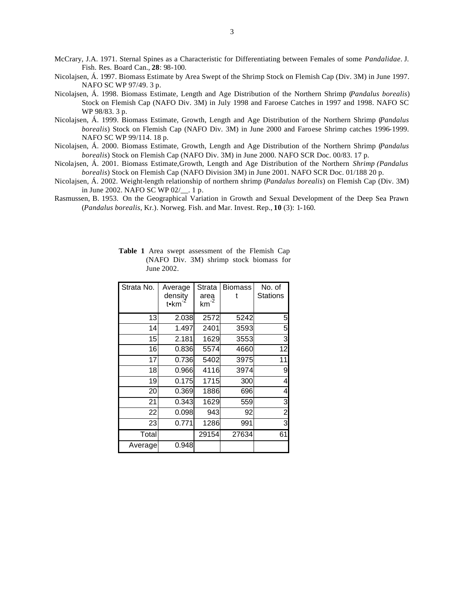McCrary, J.A. 1971. Sternal Spines as a Characteristic for Differentiating between Females of some *Pandalidae*. J. Fish. Res. Board Can., **28**: 98-100.

- Nicolajsen, Á. 1997. Biomass Estimate by Area Swept of the Shrimp Stock on Flemish Cap (Div. 3M) in June 1997. NAFO SC WP 97/49. 3 p.
- Nicolajsen, Á. 1998. Biomass Estimate, Length and Age Distribution of the Northern Shrimp (*Pandalus borealis*) Stock on Flemish Cap (NAFO Div. 3M) in July 1998 and Faroese Catches in 1997 and 1998. NAFO SC WP 98/83. 3 p.
- Nicolajsen, Á. 1999. Biomass Estimate, Growth, Length and Age Distribution of the Northern Shrimp (*Pandalus borealis*) Stock on Flemish Cap (NAFO Div. 3M) in June 2000 and Faroese Shrimp catches 1996-1999. NAFO SC WP 99/114. 18 p.
- Nicolajsen, Á. 2000. Biomass Estimate, Growth, Length and Age Distribution of the Northern Shrimp (*Pandalus borealis*) Stock on Flemish Cap (NAFO Div. 3M) in June 2000. NAFO SCR Doc. 00/83. 17 p.
- Nicolajsen, Á. 2001. Biomass Estimate,Growth, Length and Age Distribution of the Northern *Shrimp (Pandalus borealis*) Stock on Flemish Cap (NAFO Division 3M) in June 2001. NAFO SCR Doc. 01/188 20 p.
- Nicolajsen, Á. 2002. Weight-length relationship of northern shrimp (*Pandalus borealis*) on Flemish Cap (Div. 3M) in June 2002. NAFO SC WP 02/\_\_. 1 p.
- Rasmussen, B. 1953. On the Geographical Variation in Growth and Sexual Development of the Deep Sea Prawn (*Pandalus borealis*, Kr.). Norweg. Fish. and Mar. Invest. Rep., **10** (3): 1-160.

| Strata No. | Average<br>density<br>t•km | Strata<br>area<br>$km^{-2}$ | <b>Biomass</b><br>t | No. of<br><b>Stations</b> |
|------------|----------------------------|-----------------------------|---------------------|---------------------------|
| 13         | 2.038                      | 2572                        | 5242                | 5                         |
| 14         | 1.497                      | 2401                        | 3593                | 5                         |
| 15         | 2.181                      | 1629                        | 3553                | 3                         |
| 16         | 0.836                      | 5574                        | 4660                | 12                        |
| 17         | 0.736                      | 5402                        | 3975                | 11                        |
| 18         | 0.966                      | 4116                        | 3974                | 9                         |
| 19         | 0.175                      | 1715                        | 300                 | 4                         |
| 20         | 0.369                      | 1886                        | 696                 | 4                         |
| 21         | 0.343                      | 1629                        | 559                 | 3                         |
| 22         | 0.098                      | 943                         | 92                  | 2                         |
| 23         | 0.771                      | 1286                        | 991                 | 3                         |
| Total      |                            | 29154                       | 27634               | 61                        |
| Average    | 0.948                      |                             |                     |                           |

**Table 1** Area swept assessment of the Flemish Cap (NAFO Div. 3M) shrimp stock biomass for June 2002.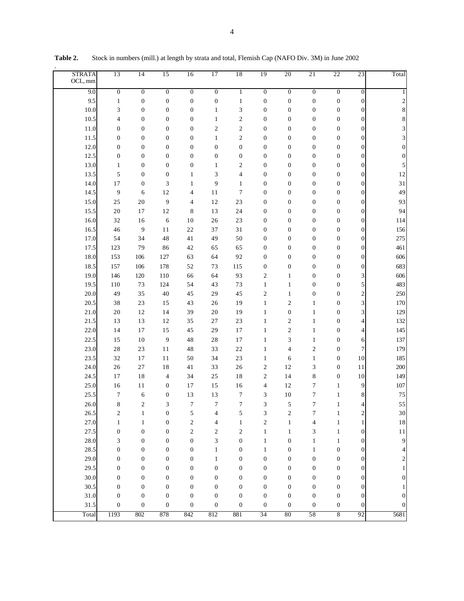| <b>STRATA</b><br>OCL, mm | 13                | 14                               | 15                                   | 16                  | 17               | 18                | 19                  | 20                               | 21                         | 22                           | 23                       | Total                   |
|--------------------------|-------------------|----------------------------------|--------------------------------------|---------------------|------------------|-------------------|---------------------|----------------------------------|----------------------------|------------------------------|--------------------------|-------------------------|
| 9.0                      | $\boldsymbol{0}$  | $\overline{0}$                   | $\boldsymbol{0}$                     | $\overline{0}$      | $\overline{0}$   | 1                 | $\boldsymbol{0}$    | $\boldsymbol{0}$                 | $\boldsymbol{0}$           | $\boldsymbol{0}$             | $\boldsymbol{0}$         |                         |
| 9.5                      | $\mathbf{1}$      | $\boldsymbol{0}$                 | $\boldsymbol{0}$                     | $\boldsymbol{0}$    | $\boldsymbol{0}$ | $\mathbf{1}$      | $\boldsymbol{0}$    | $\boldsymbol{0}$                 | $\boldsymbol{0}$           | $\boldsymbol{0}$             | $\boldsymbol{0}$         | $\overline{\mathbf{c}}$ |
| 10.0                     | 3                 | $\boldsymbol{0}$                 | $\boldsymbol{0}$                     | $\boldsymbol{0}$    | $\mathbf{1}$     | 3                 | $\boldsymbol{0}$    | $\boldsymbol{0}$                 | $\boldsymbol{0}$           | $\boldsymbol{0}$             | $\boldsymbol{0}$         | $\,$ 8 $\,$             |
| 10.5                     | 4                 | $\boldsymbol{0}$                 | $\boldsymbol{0}$                     | $\boldsymbol{0}$    | $\mathbf{1}$     | $\mathfrak{2}$    | $\boldsymbol{0}$    | $\boldsymbol{0}$                 | $\boldsymbol{0}$           | $\boldsymbol{0}$             | $\boldsymbol{0}$         | $\,$ 8 $\,$             |
| 11.0                     | $\boldsymbol{0}$  | $\boldsymbol{0}$                 | $\boldsymbol{0}$                     | 0                   | $\mathbf{2}$     | $\mathfrak{2}$    | $\boldsymbol{0}$    | $\boldsymbol{0}$                 | $\boldsymbol{0}$           | $\boldsymbol{0}$             | $\boldsymbol{0}$         | 3                       |
| 11.5                     | $\boldsymbol{0}$  | $\boldsymbol{0}$                 | $\boldsymbol{0}$                     | $\boldsymbol{0}$    | $\mathbf{1}$     | $\mathfrak{2}$    | $\boldsymbol{0}$    | $\boldsymbol{0}$                 | $\boldsymbol{0}$           | $\boldsymbol{0}$             | $\boldsymbol{0}$         | 3                       |
| 12.0                     | $\boldsymbol{0}$  | $\boldsymbol{0}$                 | $\boldsymbol{0}$                     | $\boldsymbol{0}$    | $\boldsymbol{0}$ | $\boldsymbol{0}$  | $\boldsymbol{0}$    | $\boldsymbol{0}$                 | $\boldsymbol{0}$           | $\boldsymbol{0}$             | $\boldsymbol{0}$         | $\boldsymbol{0}$        |
| 12.5                     | $\boldsymbol{0}$  | $\boldsymbol{0}$                 | $\boldsymbol{0}$                     | $\boldsymbol{0}$    | $\boldsymbol{0}$ | $\boldsymbol{0}$  | $\boldsymbol{0}$    | $\boldsymbol{0}$                 | $\boldsymbol{0}$           | $\boldsymbol{0}$             | $\boldsymbol{0}$         | $\boldsymbol{0}$        |
| 13.0                     | $\mathbf{1}$      | $\boldsymbol{0}$                 | $\boldsymbol{0}$                     | $\boldsymbol{0}$    | $\mathbf{1}$     | $\mathfrak{2}$    | $\boldsymbol{0}$    | $\boldsymbol{0}$                 | $\boldsymbol{0}$           | $\boldsymbol{0}$             | $\boldsymbol{0}$         | 5                       |
| 13.5                     | 5                 | $\boldsymbol{0}$                 | $\boldsymbol{0}$                     | $\mathbf{1}$        | 3                | 4                 | $\boldsymbol{0}$    | $\boldsymbol{0}$                 | $\boldsymbol{0}$           | $\boldsymbol{0}$             | $\boldsymbol{0}$         | 12                      |
| 14.0                     | 17                | $\boldsymbol{0}$                 | 3                                    | $\mathbf{1}$        | 9                | $\mathbf{1}$      | $\boldsymbol{0}$    | $\boldsymbol{0}$                 | $\boldsymbol{0}$           | $\boldsymbol{0}$             | $\boldsymbol{0}$         | 31                      |
| 14.5                     | 9                 | 6                                | 12                                   | 4                   | 11               | 7                 | $\boldsymbol{0}$    | $\boldsymbol{0}$                 | $\boldsymbol{0}$           | $\boldsymbol{0}$             | $\boldsymbol{0}$         | 49                      |
| 15.0                     | 25                | $20\,$                           | 9                                    | 4                   | 12               | 23                | $\boldsymbol{0}$    | $\boldsymbol{0}$                 | $\boldsymbol{0}$           | $\boldsymbol{0}$             | $\boldsymbol{0}$         | 93                      |
| 15.5                     | 20                | 17                               | 12                                   | 8                   | 13               | 24                | $\boldsymbol{0}$    | $\boldsymbol{0}$                 | $\boldsymbol{0}$           | $\boldsymbol{0}$             | $\boldsymbol{0}$         | 94                      |
| 16.0                     | 32                | $16$                             | 6                                    | $10\,$              | 26               | 23                | $\boldsymbol{0}$    | $\boldsymbol{0}$                 | $\boldsymbol{0}$           | $\boldsymbol{0}$             | $\boldsymbol{0}$         | 114                     |
| 16.5                     | 46                | 9                                | 11                                   | 22                  | 37               | 31                | $\boldsymbol{0}$    | $\boldsymbol{0}$                 | $\boldsymbol{0}$           | $\boldsymbol{0}$             | $\boldsymbol{0}$         | 156                     |
| 17.0                     | 54                | 34                               | 48                                   | 41                  | 49               | 50                | $\boldsymbol{0}$    | $\boldsymbol{0}$                 | $\boldsymbol{0}$           | $\boldsymbol{0}$             | $\boldsymbol{0}$         | 275                     |
| 17.5                     | 123               | 79                               | 86                                   | 42                  | 65               | 65                | $\boldsymbol{0}$    | $\boldsymbol{0}$                 | $\boldsymbol{0}$           | $\boldsymbol{0}$             | $\boldsymbol{0}$         | 461                     |
| 18.0                     | 153               | 106                              | 127                                  | 63                  | 64               | 92                | $\boldsymbol{0}$    | $\boldsymbol{0}$                 | $\boldsymbol{0}$           | $\boldsymbol{0}$             | $\boldsymbol{0}$         | 606                     |
| 18.5                     | 157               | 106                              | 178                                  | 52                  | 73               | 115               | $\boldsymbol{0}$    | $\boldsymbol{0}$                 | $\boldsymbol{0}$           | $\boldsymbol{0}$             | $\boldsymbol{0}$         | 683                     |
| 19.0                     | 146               | 120                              | 110                                  | 66                  | 64               | 93                | $\overline{c}$      | $\mathbf{1}$                     | $\boldsymbol{0}$           | $\boldsymbol{0}$             | 3                        | 606                     |
| 19.5                     | 110               | 73                               | 124                                  | 54                  | 43               | 73                | $\mathbf{1}$        | $\mathbf{1}$                     | $\boldsymbol{0}$           | $\boldsymbol{0}$             | 5                        | 483                     |
| 20.0                     | 49                | 35                               | 40                                   | 45                  | 29               | 45                | $\overline{c}$      | $\mathbf{1}$                     | $\boldsymbol{0}$           | $\boldsymbol{0}$             | $\overline{\mathbf{c}}$  | 250                     |
| 20.5                     | 38                | 23                               | 15                                   | 43                  | 26               | 19                | $\mathbf{1}$        | $\mathbf{2}$                     | $\mathbf{1}$               | $\boldsymbol{0}$             | $\overline{\mathbf{3}}$  | 170                     |
| 21.0                     | 20                | 12                               | 14                                   | 39                  | 20               | 19                | $\mathbf{1}$        | $\boldsymbol{0}$                 | $\mathbf{1}$               | $\boldsymbol{0}$             | 3                        | 129                     |
| 21.5                     | 13                | 13                               | 12                                   | 35                  | $27\,$           | 23                | $\mathbf{1}$        | $\mathbf{2}$                     | $\mathbf{1}$               | $\boldsymbol{0}$             | $\overline{\mathcal{L}}$ | 132                     |
| 22.0                     | 14                | 17                               | 15                                   | 45                  | 29               | 17                | $\mathbf{1}$        | $\mathbf{2}$                     | $\mathbf{1}$               | $\boldsymbol{0}$             | $\overline{\mathcal{L}}$ | 145                     |
| 22.5                     | 15                | $10\,$                           | 9                                    | 48                  | 28               | 17                | $\mathbf{1}$        | 3                                | $\mathbf{1}$               | $\boldsymbol{0}$             | 6                        | 137                     |
| 23.0                     | 28                | 23                               | 11                                   | 48                  | 33               | $22\,$            | $\mathbf{1}$        | $\overline{4}$                   | $\sqrt{2}$                 | $\boldsymbol{0}$             | $\overline{7}$           | 179                     |
| 23.5                     | 32                | 17                               | 11                                   | 50                  | 34               | 23                | $\mathbf{1}$        | 6                                | $\mathbf{1}$               | $\boldsymbol{0}$             | 10                       | 185                     |
| 24.0                     | 26                | $27\,$                           | 18                                   | 41                  | 33               | 26                | $\overline{c}$      | 12                               | 3                          | $\boldsymbol{0}$             | 11                       | 200                     |
| 24.5                     | 17                | 18                               | $\overline{4}$                       | 34                  | 25               | 18                | $\overline{c}$      | 14                               | 8                          | $\boldsymbol{0}$             | 10                       | 149                     |
| 25.0                     | 16<br>$\tau$      | 11                               | $\boldsymbol{0}$                     | 17                  | 15               | 16                | $\overline{4}$<br>3 | 12<br>$10\,$                     | $\boldsymbol{7}$<br>$\tau$ | $\mathbf{1}$                 | 9                        | 107<br>75               |
| 25.5                     |                   | 6                                | $\boldsymbol{0}$                     | 13                  | 13               | $\boldsymbol{7}$  |                     |                                  |                            | $\mathbf{1}$                 | 8                        | 55                      |
| 26.0                     | 8                 | $\overline{c}$                   | $\mathfrak{Z}$                       | $\boldsymbol{7}$    | $\tau$           | $\boldsymbol{7}$  | 3                   | $\sqrt{5}$                       | $\tau$                     |                              |                          |                         |
| 26.5<br>27.0             | 2                 | 1                                | $\boldsymbol{0}$                     | 5<br>$\mathfrak{2}$ | 4                | 5<br>$\mathbf{1}$ | 3<br>$\mathfrak{2}$ | $\boldsymbol{2}$<br>$\mathbf{1}$ | $\tau$                     | $\mathbf{1}$                 | 2<br>$\mathbf{1}$        | $30\,$                  |
| 27.5                     | $\mathbf{1}$<br>0 | $\mathbf{1}$<br>$\boldsymbol{0}$ | $\boldsymbol{0}$<br>$\boldsymbol{0}$ | $\mathfrak{2}$      | 4<br>$\sqrt{2}$  | 2                 | $\mathbf{1}$        | $\mathbf{1}$                     | 4<br>3                     | $\mathbf{1}$<br>$\mathbf{1}$ | $\boldsymbol{0}$         | $1\,8$<br>$1\,1$        |
| 28.0                     | 3                 | $\boldsymbol{0}$                 | $\boldsymbol{0}$                     | $\boldsymbol{0}$    | 3                | $\boldsymbol{0}$  | $\mathbf{1}$        | $\boldsymbol{0}$                 | $\mathbf{1}$               | $\mathbf{1}$                 | $\boldsymbol{0}$         | 9                       |
| 28.5                     | $\boldsymbol{0}$  | $\boldsymbol{0}$                 | $\boldsymbol{0}$                     | $\boldsymbol{0}$    | $\mathbf{1}$     | 0                 | $\mathbf{1}$        | $\boldsymbol{0}$                 | $\mathbf{1}$               | $\boldsymbol{0}$             | $\boldsymbol{0}$         | 4                       |
| 29.0                     | 0                 | $\boldsymbol{0}$                 | $\boldsymbol{0}$                     | $\boldsymbol{0}$    | $\mathbf{1}$     | 0                 | $\boldsymbol{0}$    | $\boldsymbol{0}$                 | $\boldsymbol{0}$           | $\boldsymbol{0}$             | $\boldsymbol{0}$         | $\overline{\mathbf{c}}$ |
| 29.5                     | 0                 | $\boldsymbol{0}$                 | $\boldsymbol{0}$                     | $\boldsymbol{0}$    | $\boldsymbol{0}$ | 0                 | $\boldsymbol{0}$    | $\boldsymbol{0}$                 | $\boldsymbol{0}$           | $\boldsymbol{0}$             | $\boldsymbol{0}$         |                         |
| 30.0                     | $\boldsymbol{0}$  | $\boldsymbol{0}$                 | $\boldsymbol{0}$                     | $\boldsymbol{0}$    | $\boldsymbol{0}$ | $\boldsymbol{0}$  | $\boldsymbol{0}$    | $\boldsymbol{0}$                 | $\boldsymbol{0}$           | $\boldsymbol{0}$             | 0                        | 0                       |
| 30.5                     | $\boldsymbol{0}$  | $\boldsymbol{0}$                 | $\boldsymbol{0}$                     | $\boldsymbol{0}$    | $\boldsymbol{0}$ | $\boldsymbol{0}$  | $\boldsymbol{0}$    | $\boldsymbol{0}$                 | $\boldsymbol{0}$           | $\boldsymbol{0}$             | 0                        |                         |
| 31.0                     | $\boldsymbol{0}$  | $\boldsymbol{0}$                 | $\boldsymbol{0}$                     | $\boldsymbol{0}$    | $\boldsymbol{0}$ | $\boldsymbol{0}$  | $\boldsymbol{0}$    | $\boldsymbol{0}$                 | $\boldsymbol{0}$           | $\boldsymbol{0}$             | 0                        | 0                       |
| 31.5                     | $\boldsymbol{0}$  | $\boldsymbol{0}$                 | $\boldsymbol{0}$                     | $\boldsymbol{0}$    | $\boldsymbol{0}$ | $\boldsymbol{0}$  | $\boldsymbol{0}$    | $\boldsymbol{0}$                 | $\boldsymbol{0}$           | $\boldsymbol{0}$             | 0                        | $\boldsymbol{0}$        |
| Total                    | 1193              | 802                              | 878                                  | 842                 | 812              | 881               | 34                  | 80                               | 58                         | 8                            | 92                       | 5681                    |

**Table 2.** Stock in numbers (mill.) at length by strata and total, Flemish Cap (NAFO Div. 3M) in June 2002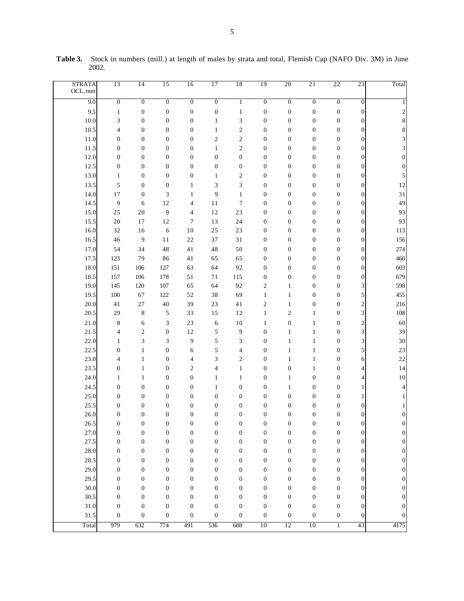| <b>STRATA</b><br>OCL, mm | 13               | 14               | 15               | 16               | 17               | 18               | 19               | 20               | 21               | 22               | 23                      | Total                   |
|--------------------------|------------------|------------------|------------------|------------------|------------------|------------------|------------------|------------------|------------------|------------------|-------------------------|-------------------------|
| 9.0                      | $\overline{0}$   | $\overline{0}$   | $\overline{0}$   | $\overline{0}$   | $\overline{0}$   | $\mathbf{1}$     | $\overline{0}$   | $\overline{0}$   | $\overline{0}$   | $\overline{0}$   | $\boldsymbol{0}$        | 1                       |
| 9.5                      | $\mathbf{1}$     | $\boldsymbol{0}$ | $\boldsymbol{0}$ | $\boldsymbol{0}$ | $\boldsymbol{0}$ | $\mathbf{1}$     | $\boldsymbol{0}$ | $\boldsymbol{0}$ | $\boldsymbol{0}$ | $\boldsymbol{0}$ | $\boldsymbol{0}$        | $\overline{\mathbf{c}}$ |
| 10.0                     | 3                | $\boldsymbol{0}$ | $\boldsymbol{0}$ | $\boldsymbol{0}$ | $\mathbf{1}$     | 3                | $\boldsymbol{0}$ | $\boldsymbol{0}$ | $\boldsymbol{0}$ | $\boldsymbol{0}$ | $\boldsymbol{0}$        | 8                       |
| 10.5                     | $\overline{4}$   | $\boldsymbol{0}$ | $\boldsymbol{0}$ | $\boldsymbol{0}$ | $\mathbf{1}$     | $\mathfrak{2}$   | $\boldsymbol{0}$ | $\boldsymbol{0}$ | $\boldsymbol{0}$ | $\boldsymbol{0}$ | $\boldsymbol{0}$        | 8                       |
| 11.0                     | $\boldsymbol{0}$ | $\boldsymbol{0}$ | $\boldsymbol{0}$ | $\boldsymbol{0}$ | $\sqrt{2}$       | $\mathfrak{2}$   | $\boldsymbol{0}$ | $\boldsymbol{0}$ | $\boldsymbol{0}$ | $\boldsymbol{0}$ | $\boldsymbol{0}$        | 3                       |
| 11.5                     | $\boldsymbol{0}$ | $\boldsymbol{0}$ | $\boldsymbol{0}$ | $\boldsymbol{0}$ | $\mathbf{1}$     | $\mathfrak{2}$   | $\boldsymbol{0}$ | $\boldsymbol{0}$ | $\boldsymbol{0}$ | $\boldsymbol{0}$ | $\boldsymbol{0}$        | 3                       |
| 12.0                     | $\boldsymbol{0}$ | $\boldsymbol{0}$ | $\boldsymbol{0}$ | $\boldsymbol{0}$ | $\boldsymbol{0}$ | $\boldsymbol{0}$ | $\boldsymbol{0}$ | $\boldsymbol{0}$ | $\boldsymbol{0}$ | $\boldsymbol{0}$ | $\boldsymbol{0}$        | $\boldsymbol{0}$        |
| 12.5                     | $\boldsymbol{0}$ | $\boldsymbol{0}$ | $\boldsymbol{0}$ | $\boldsymbol{0}$ | $\boldsymbol{0}$ | $\boldsymbol{0}$ | $\boldsymbol{0}$ | $\boldsymbol{0}$ | $\boldsymbol{0}$ | $\boldsymbol{0}$ | $\boldsymbol{0}$        | $\boldsymbol{0}$        |
| 13.0                     | $\mathbf{1}$     | $\boldsymbol{0}$ | $\boldsymbol{0}$ | $\boldsymbol{0}$ | $\mathbf{1}$     | $\mathbf{2}$     | $\boldsymbol{0}$ | $\boldsymbol{0}$ | $\boldsymbol{0}$ | $\boldsymbol{0}$ | $\boldsymbol{0}$        | 5                       |
| 13.5                     | 5                | $\boldsymbol{0}$ | $\boldsymbol{0}$ | $\mathbf{1}$     | 3                | 3                | $\boldsymbol{0}$ | $\boldsymbol{0}$ | $\boldsymbol{0}$ | $\boldsymbol{0}$ | $\boldsymbol{0}$        | 12                      |
| 14.0                     | $17$             | $\boldsymbol{0}$ | 3                | $\mathbf{1}$     | 9                | $\mathbf{1}$     | $\boldsymbol{0}$ | $\boldsymbol{0}$ | $\boldsymbol{0}$ | $\boldsymbol{0}$ | $\boldsymbol{0}$        | 31                      |
| 14.5                     | 9                | 6                | 12               | 4                | 11               | $\tau$           | $\boldsymbol{0}$ | $\boldsymbol{0}$ | $\boldsymbol{0}$ | $\boldsymbol{0}$ | $\boldsymbol{0}$        | 49                      |
| 15.0                     | 25               | $20\,$           | 9                | 4                | 12               | 23               | $\boldsymbol{0}$ | $\boldsymbol{0}$ | $\boldsymbol{0}$ | $\boldsymbol{0}$ | $\boldsymbol{0}$        | 93                      |
| 15.5                     | $20\,$           | 17               | $12\,$           | $\tau$           | 13               | 24               | $\boldsymbol{0}$ | $\boldsymbol{0}$ | $\boldsymbol{0}$ | $\boldsymbol{0}$ | $\boldsymbol{0}$        | 93                      |
| 16.0                     | 32               | 16               | 6                | 10               | 25               | 23               | $\boldsymbol{0}$ | $\boldsymbol{0}$ | $\boldsymbol{0}$ | $\boldsymbol{0}$ | $\boldsymbol{0}$        | 113                     |
| 16.5                     | 46               | 9                | 11               | $22\,$           | 37               | 31               | $\boldsymbol{0}$ | $\boldsymbol{0}$ | $\boldsymbol{0}$ | $\boldsymbol{0}$ | $\boldsymbol{0}$        | 156                     |
| 17.0                     | 54               | 34               | 48               | 41               | 48               | 50               | $\boldsymbol{0}$ | $\boldsymbol{0}$ | $\boldsymbol{0}$ | $\boldsymbol{0}$ | $\boldsymbol{0}$        | 274                     |
| 17.5                     | 123              | 79               | 86               | 41               | 65               | 65               | $\boldsymbol{0}$ | $\boldsymbol{0}$ | $\boldsymbol{0}$ | $\boldsymbol{0}$ | $\boldsymbol{0}$        | 460                     |
| 18.0                     | 151              | 106              | 127              | 63               | 64               | 92               | $\boldsymbol{0}$ | $\boldsymbol{0}$ | $\boldsymbol{0}$ | $\boldsymbol{0}$ | $\boldsymbol{0}$        | 603                     |
| 18.5                     | 157              | 106              | 178              | 51               | 71               | 115              | $\boldsymbol{0}$ | $\boldsymbol{0}$ | $\boldsymbol{0}$ | $\boldsymbol{0}$ | $\boldsymbol{0}$        | 679                     |
| 19.0                     | 145              | 120              | 107              | 65               | 64               | 92               | $\sqrt{2}$       | $\mathbf{1}$     | $\boldsymbol{0}$ | $\boldsymbol{0}$ | 3                       | 598                     |
| 19.5                     | 100              | 67               | 122              | 52               | 38               | 69               | $\mathbf{1}$     | $\mathbf{1}$     | $\boldsymbol{0}$ | $\boldsymbol{0}$ | 5                       | 455                     |
| 20.0                     | 41               | $27\,$           | 40               | 39               | 23               | 41               | $\sqrt{2}$       | $\mathbf{1}$     | $\boldsymbol{0}$ | $\boldsymbol{0}$ | $\overline{\mathbf{c}}$ | 216                     |
| 20.5                     | 29               | $\,8$            | 5                | 33               | 15               | 12               | $\mathbf{1}$     | $\mathbf{2}$     | $\mathbf{1}$     | $\boldsymbol{0}$ | 3                       | 108                     |
| 21.0                     | $\,8\,$          | 6                | 3                | 23               | 6                | 10               | $\mathbf{1}$     | $\boldsymbol{0}$ | $\mathbf{1}$     | $\boldsymbol{0}$ | $\overline{\mathbf{c}}$ | 60                      |
| 21.5                     | $\overline{4}$   | $\mathbf{2}$     | $\boldsymbol{0}$ | 12               | 5                | 9                | $\boldsymbol{0}$ | $\mathbf{1}$     | $\mathbf{1}$     | $\boldsymbol{0}$ | 3                       | 39                      |
| 22.0                     | $\mathbf{1}$     | 3                | 3                | 9                | 5                | 3                | $\boldsymbol{0}$ | $\mathbf{1}$     | $\mathbf{1}$     | $\boldsymbol{0}$ | 3                       | 30                      |
| 22.5                     | $\boldsymbol{0}$ | $\mathbf{1}$     | $\boldsymbol{0}$ | 6                | 5                | 4                | $\boldsymbol{0}$ | $\mathbf{1}$     | $\mathbf{1}$     | $\boldsymbol{0}$ | 5                       | 23                      |
| 23.0                     | 4                | $\mathbf{1}$     | $\boldsymbol{0}$ | 4                | 3                | 2                | $\boldsymbol{0}$ | $\mathbf{1}$     | $\mathbf{1}$     | $\boldsymbol{0}$ | 6                       | 22                      |
| 23.5                     | $\boldsymbol{0}$ | $\mathbf{1}$     | $\boldsymbol{0}$ | $\mathfrak{2}$   | 4                | $\mathbf{1}$     | $\boldsymbol{0}$ | $\boldsymbol{0}$ | $\mathbf{1}$     | $\boldsymbol{0}$ | 4                       | 14                      |
| 24.0                     | $\mathbf{1}$     | $\mathbf{1}$     | $\boldsymbol{0}$ | $\boldsymbol{0}$ | $\mathbf{1}$     | $\mathbf{1}$     | $\boldsymbol{0}$ | $\mathbf{1}$     | $\boldsymbol{0}$ | $\boldsymbol{0}$ | 4                       | $10\,$                  |
| 24.5                     | $\boldsymbol{0}$ | $\boldsymbol{0}$ | $\boldsymbol{0}$ | $\boldsymbol{0}$ | $\mathbf{1}$     | $\boldsymbol{0}$ | $\boldsymbol{0}$ | $\mathbf{1}$     | $\boldsymbol{0}$ | $\boldsymbol{0}$ | 1                       | 4                       |
| 25.0                     | $\boldsymbol{0}$ | $\boldsymbol{0}$ | $\boldsymbol{0}$ | $\boldsymbol{0}$ | $\boldsymbol{0}$ | $\boldsymbol{0}$ | $\boldsymbol{0}$ | $\boldsymbol{0}$ | $\boldsymbol{0}$ | $\boldsymbol{0}$ | 1                       | 1                       |
| 25.5                     | $\boldsymbol{0}$ | $\boldsymbol{0}$ | $\boldsymbol{0}$ | $\boldsymbol{0}$ | $\boldsymbol{0}$ | $\boldsymbol{0}$ | $\boldsymbol{0}$ | $\boldsymbol{0}$ | $\boldsymbol{0}$ | $\boldsymbol{0}$ | $\boldsymbol{0}$        | 1                       |
| 26.0                     | $\boldsymbol{0}$ | $\boldsymbol{0}$ | $\boldsymbol{0}$ | $\boldsymbol{0}$ | $\boldsymbol{0}$ | $\boldsymbol{0}$ | $\boldsymbol{0}$ | $\boldsymbol{0}$ | $\boldsymbol{0}$ | $\boldsymbol{0}$ | $\boldsymbol{0}$        | $\boldsymbol{0}$        |
| 26.5                     | $\boldsymbol{0}$ | $\boldsymbol{0}$ | $\boldsymbol{0}$ | $\boldsymbol{0}$ | $\boldsymbol{0}$ | $\boldsymbol{0}$ | $\boldsymbol{0}$ | $\boldsymbol{0}$ | $\boldsymbol{0}$ | $\boldsymbol{0}$ | $\boldsymbol{0}$        | 0                       |
| 27.0                     | $\boldsymbol{0}$ | $\boldsymbol{0}$ | $\boldsymbol{0}$ | $\boldsymbol{0}$ | $\boldsymbol{0}$ | $\boldsymbol{0}$ | $\boldsymbol{0}$ | $\boldsymbol{0}$ | $\boldsymbol{0}$ | $\boldsymbol{0}$ | $\boldsymbol{0}$        | $\boldsymbol{0}$        |
| 27.5                     | $\boldsymbol{0}$ | $\boldsymbol{0}$ | $\boldsymbol{0}$ | $\boldsymbol{0}$ | $\boldsymbol{0}$ | $\boldsymbol{0}$ | $\boldsymbol{0}$ | $\boldsymbol{0}$ | $\boldsymbol{0}$ | $\boldsymbol{0}$ | $\boldsymbol{0}$        | $\boldsymbol{0}$        |
| 28.0                     | $\boldsymbol{0}$ | $\boldsymbol{0}$ | $\boldsymbol{0}$ | $\boldsymbol{0}$ | $\boldsymbol{0}$ | $\boldsymbol{0}$ | $\boldsymbol{0}$ | $\boldsymbol{0}$ | $\boldsymbol{0}$ | $\boldsymbol{0}$ | $\boldsymbol{0}$        | $\boldsymbol{0}$        |
| 28.5                     | $\boldsymbol{0}$ | $\boldsymbol{0}$ | $\boldsymbol{0}$ | $\boldsymbol{0}$ | $\boldsymbol{0}$ | $\boldsymbol{0}$ | $\boldsymbol{0}$ | $\boldsymbol{0}$ | $\boldsymbol{0}$ | $\boldsymbol{0}$ | $\boldsymbol{0}$        | $\boldsymbol{0}$        |
| 29.0                     | $\boldsymbol{0}$ | $\boldsymbol{0}$ | $\boldsymbol{0}$ | $\boldsymbol{0}$ | $\boldsymbol{0}$ | $\boldsymbol{0}$ | $\boldsymbol{0}$ | $\boldsymbol{0}$ | $\boldsymbol{0}$ | $\boldsymbol{0}$ | $\boldsymbol{0}$        | $\boldsymbol{0}$        |
| 29.5                     | $\boldsymbol{0}$ | $\boldsymbol{0}$ | $\boldsymbol{0}$ | $\boldsymbol{0}$ | $\boldsymbol{0}$ | $\boldsymbol{0}$ | $\boldsymbol{0}$ | $\boldsymbol{0}$ | $\boldsymbol{0}$ | $\boldsymbol{0}$ | $\boldsymbol{0}$        | $\boldsymbol{0}$        |
| 30.0                     | $\boldsymbol{0}$ | $\boldsymbol{0}$ | $\boldsymbol{0}$ | $\boldsymbol{0}$ | $\boldsymbol{0}$ | $\boldsymbol{0}$ | $\boldsymbol{0}$ | $\boldsymbol{0}$ | $\boldsymbol{0}$ | $\boldsymbol{0}$ | $\boldsymbol{0}$        | $\boldsymbol{0}$        |
| 30.5                     | $\boldsymbol{0}$ | $\boldsymbol{0}$ | $\boldsymbol{0}$ | $\boldsymbol{0}$ | $\boldsymbol{0}$ | $\boldsymbol{0}$ | $\boldsymbol{0}$ | $\boldsymbol{0}$ | $\boldsymbol{0}$ | $\boldsymbol{0}$ | $\boldsymbol{0}$        | 0                       |
| 31.0                     | $\boldsymbol{0}$ | $\boldsymbol{0}$ | $\boldsymbol{0}$ | $\boldsymbol{0}$ | $\boldsymbol{0}$ | $\boldsymbol{0}$ | $\boldsymbol{0}$ | $\boldsymbol{0}$ | $\boldsymbol{0}$ | $\boldsymbol{0}$ | $\mathbf{0}$            | $\boldsymbol{0}$        |
| 31.5                     | $\boldsymbol{0}$ | $\boldsymbol{0}$ | $\boldsymbol{0}$ | $\boldsymbol{0}$ | $\boldsymbol{0}$ | $\boldsymbol{0}$ | $\boldsymbol{0}$ | $\boldsymbol{0}$ | $\boldsymbol{0}$ | $\boldsymbol{0}$ | $\boldsymbol{0}$        | 0                       |
| Total                    | 979              | 632              | 774              | 491              | 536              | 688              | 10               | 12               | 10               | $\mathbf{1}$     | 43                      | 4175                    |

**Table 3.** Stock in numbers (mill.) at length of males by strata and total, Flemish Cap (NAFO Div. 3M) in June 2002.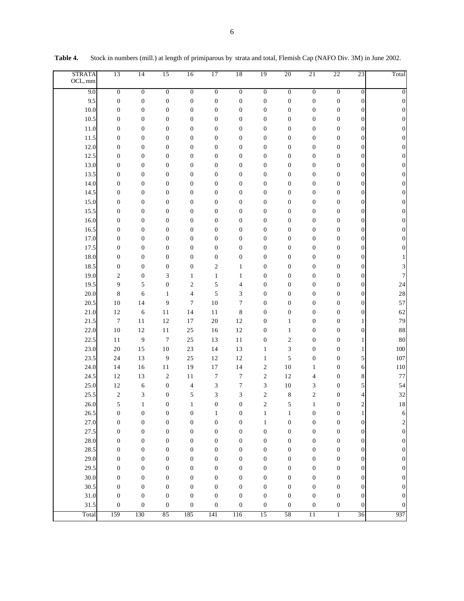| <b>STRATA</b><br>OCL, mm | 13               | 14               | 15               | 16                       | 17                      | 18               | 19                      | 20               | 21               | 22               | 23                      | Total                   |
|--------------------------|------------------|------------------|------------------|--------------------------|-------------------------|------------------|-------------------------|------------------|------------------|------------------|-------------------------|-------------------------|
| 9.0                      | $\overline{0}$   | $\overline{0}$   | $\overline{0}$   | $\overline{0}$           | $\overline{0}$          | $\overline{0}$   | $\overline{0}$          | $\overline{0}$   | $\overline{0}$   | $\overline{0}$   | $\boldsymbol{0}$        | $\boldsymbol{0}$        |
| 9.5                      | $\boldsymbol{0}$ | $\boldsymbol{0}$ | $\boldsymbol{0}$ | $\boldsymbol{0}$         | $\boldsymbol{0}$        | $\boldsymbol{0}$ | $\boldsymbol{0}$        | $\boldsymbol{0}$ | $\boldsymbol{0}$ | 0                | $\boldsymbol{0}$        | $\boldsymbol{0}$        |
| 10.0                     | $\boldsymbol{0}$ | $\boldsymbol{0}$ | $\boldsymbol{0}$ | $\boldsymbol{0}$         | $\boldsymbol{0}$        | $\boldsymbol{0}$ | $\boldsymbol{0}$        | $\boldsymbol{0}$ | $\boldsymbol{0}$ | $\boldsymbol{0}$ | $\boldsymbol{0}$        | $\boldsymbol{0}$        |
| 10.5                     | $\boldsymbol{0}$ | $\boldsymbol{0}$ | $\boldsymbol{0}$ | 0                        | $\boldsymbol{0}$        | $\boldsymbol{0}$ | $\boldsymbol{0}$        | $\boldsymbol{0}$ | $\boldsymbol{0}$ | 0                | $\boldsymbol{0}$        | $\boldsymbol{0}$        |
| 11.0                     | $\boldsymbol{0}$ | $\boldsymbol{0}$ | $\boldsymbol{0}$ | $\boldsymbol{0}$         | $\boldsymbol{0}$        | $\boldsymbol{0}$ | $\boldsymbol{0}$        | $\boldsymbol{0}$ | $\boldsymbol{0}$ | $\boldsymbol{0}$ | $\boldsymbol{0}$        | $\boldsymbol{0}$        |
| 11.5                     | $\boldsymbol{0}$ | $\boldsymbol{0}$ | $\boldsymbol{0}$ | $\boldsymbol{0}$         | $\boldsymbol{0}$        | $\boldsymbol{0}$ | $\boldsymbol{0}$        | $\boldsymbol{0}$ | $\boldsymbol{0}$ | $\boldsymbol{0}$ | $\boldsymbol{0}$        | $\boldsymbol{0}$        |
| 12.0                     | $\boldsymbol{0}$ | $\boldsymbol{0}$ | $\boldsymbol{0}$ | $\boldsymbol{0}$         | $\boldsymbol{0}$        | $\boldsymbol{0}$ | $\boldsymbol{0}$        | $\boldsymbol{0}$ | $\boldsymbol{0}$ | $\boldsymbol{0}$ | $\boldsymbol{0}$        | $\boldsymbol{0}$        |
| 12.5                     | $\boldsymbol{0}$ | $\boldsymbol{0}$ | $\boldsymbol{0}$ | $\boldsymbol{0}$         | $\boldsymbol{0}$        | $\boldsymbol{0}$ | $\boldsymbol{0}$        | $\boldsymbol{0}$ | $\boldsymbol{0}$ | $\boldsymbol{0}$ | $\boldsymbol{0}$        | $\boldsymbol{0}$        |
| 13.0                     | $\boldsymbol{0}$ | $\boldsymbol{0}$ | $\boldsymbol{0}$ | $\boldsymbol{0}$         | $\boldsymbol{0}$        | $\boldsymbol{0}$ | $\boldsymbol{0}$        | $\boldsymbol{0}$ | $\boldsymbol{0}$ | $\boldsymbol{0}$ | $\boldsymbol{0}$        | $\boldsymbol{0}$        |
| 13.5                     | $\boldsymbol{0}$ | $\boldsymbol{0}$ | $\boldsymbol{0}$ | $\boldsymbol{0}$         | $\boldsymbol{0}$        | $\boldsymbol{0}$ | $\boldsymbol{0}$        | $\boldsymbol{0}$ | $\boldsymbol{0}$ | $\boldsymbol{0}$ | $\boldsymbol{0}$        | $\boldsymbol{0}$        |
| 14.0                     | $\boldsymbol{0}$ | $\boldsymbol{0}$ | $\boldsymbol{0}$ | $\boldsymbol{0}$         | $\boldsymbol{0}$        | $\boldsymbol{0}$ | $\boldsymbol{0}$        | $\boldsymbol{0}$ | $\boldsymbol{0}$ | $\boldsymbol{0}$ | $\boldsymbol{0}$        | $\boldsymbol{0}$        |
| 14.5                     | $\boldsymbol{0}$ | $\boldsymbol{0}$ | $\boldsymbol{0}$ | $\boldsymbol{0}$         | $\boldsymbol{0}$        | $\boldsymbol{0}$ | $\boldsymbol{0}$        | $\boldsymbol{0}$ | $\boldsymbol{0}$ | $\boldsymbol{0}$ | $\boldsymbol{0}$        | $\boldsymbol{0}$        |
| 15.0                     | $\boldsymbol{0}$ | $\boldsymbol{0}$ | $\boldsymbol{0}$ | $\boldsymbol{0}$         | $\boldsymbol{0}$        | $\boldsymbol{0}$ | $\boldsymbol{0}$        | $\boldsymbol{0}$ | $\boldsymbol{0}$ | $\boldsymbol{0}$ | $\boldsymbol{0}$        | $\boldsymbol{0}$        |
| 15.5                     | $\boldsymbol{0}$ | $\boldsymbol{0}$ | $\boldsymbol{0}$ | $\boldsymbol{0}$         | $\boldsymbol{0}$        | $\boldsymbol{0}$ | $\boldsymbol{0}$        | $\boldsymbol{0}$ | $\boldsymbol{0}$ | $\boldsymbol{0}$ | $\boldsymbol{0}$        | $\boldsymbol{0}$        |
| 16.0                     | $\boldsymbol{0}$ | $\boldsymbol{0}$ | $\boldsymbol{0}$ | $\boldsymbol{0}$         | $\boldsymbol{0}$        | $\boldsymbol{0}$ | $\boldsymbol{0}$        | $\boldsymbol{0}$ | $\boldsymbol{0}$ | $\boldsymbol{0}$ | $\boldsymbol{0}$        | $\boldsymbol{0}$        |
| 16.5                     | $\boldsymbol{0}$ | $\boldsymbol{0}$ | $\boldsymbol{0}$ | $\boldsymbol{0}$         | $\boldsymbol{0}$        | $\boldsymbol{0}$ | $\boldsymbol{0}$        | $\boldsymbol{0}$ | $\boldsymbol{0}$ | $\boldsymbol{0}$ | $\boldsymbol{0}$        | $\boldsymbol{0}$        |
| 17.0                     | $\boldsymbol{0}$ | $\boldsymbol{0}$ | $\boldsymbol{0}$ | $\boldsymbol{0}$         | $\boldsymbol{0}$        | $\boldsymbol{0}$ | $\boldsymbol{0}$        | $\boldsymbol{0}$ | $\boldsymbol{0}$ | $\boldsymbol{0}$ | $\boldsymbol{0}$        | $\boldsymbol{0}$        |
| 17.5                     | $\boldsymbol{0}$ | $\boldsymbol{0}$ | $\boldsymbol{0}$ | $\boldsymbol{0}$         | $\boldsymbol{0}$        | $\boldsymbol{0}$ | $\boldsymbol{0}$        | $\boldsymbol{0}$ | $\boldsymbol{0}$ | $\boldsymbol{0}$ | $\boldsymbol{0}$        | $\overline{0}$          |
| 18.0                     | $\boldsymbol{0}$ | $\boldsymbol{0}$ | $\boldsymbol{0}$ | $\boldsymbol{0}$         | $\boldsymbol{0}$        | $\boldsymbol{0}$ | $\boldsymbol{0}$        | $\boldsymbol{0}$ | $\boldsymbol{0}$ | $\boldsymbol{0}$ | $\boldsymbol{0}$        |                         |
| 18.5                     | $\boldsymbol{0}$ | $\boldsymbol{0}$ | $\boldsymbol{0}$ | $\boldsymbol{0}$         | $\overline{\mathbf{c}}$ | $\mathbf{1}$     | $\boldsymbol{0}$        | $\boldsymbol{0}$ | $\boldsymbol{0}$ | $\boldsymbol{0}$ | $\boldsymbol{0}$        | 3                       |
| 19.0                     | $\mathfrak{2}$   | $\boldsymbol{0}$ | 3                | $\mathbf{1}$             | $\mathbf{1}$            | $\mathbf{1}$     | $\boldsymbol{0}$        | $\boldsymbol{0}$ | $\boldsymbol{0}$ | $\boldsymbol{0}$ | $\boldsymbol{0}$        | $\tau$                  |
| 19.5                     | 9                | 5                | $\boldsymbol{0}$ | $\mathfrak{2}$           | 5                       | 4                | $\boldsymbol{0}$        | $\boldsymbol{0}$ | $\boldsymbol{0}$ | $\boldsymbol{0}$ | $\boldsymbol{0}$        | 24                      |
| 20.0                     | 8                | 6                | $\mathbf{1}$     | $\overline{\mathcal{L}}$ | 5                       | 3                | $\boldsymbol{0}$        | $\boldsymbol{0}$ | $\boldsymbol{0}$ | $\boldsymbol{0}$ | $\boldsymbol{0}$        | 28                      |
| 20.5                     | 10               | 14               | 9                | $\tau$                   | 10                      | 7                | $\boldsymbol{0}$        | $\boldsymbol{0}$ | $\boldsymbol{0}$ | $\boldsymbol{0}$ | $\boldsymbol{0}$        | 57                      |
| 21.0                     | 12               | 6                | 11               | 14                       | 11                      | 8                | $\boldsymbol{0}$        | $\boldsymbol{0}$ | $\boldsymbol{0}$ | $\boldsymbol{0}$ | $\boldsymbol{0}$        | 62                      |
| 21.5                     | $\boldsymbol{7}$ | 11               | 12               | 17                       | 20                      | 12               | $\boldsymbol{0}$        | $\mathbf{1}$     | $\boldsymbol{0}$ | $\boldsymbol{0}$ | 1                       | 79                      |
| 22.0                     | 10               | 12               | 11               | $25\,$                   | 16                      | 12               | $\boldsymbol{0}$        | 1                | $\boldsymbol{0}$ | $\boldsymbol{0}$ | $\boldsymbol{0}$        | 88                      |
| 22.5                     | 11               | 9                | $\boldsymbol{7}$ | $25\,$                   | 13                      | 11               | $\boldsymbol{0}$        | $\boldsymbol{2}$ | $\boldsymbol{0}$ | $\boldsymbol{0}$ | 1                       | 80                      |
| 23.0                     | 20               | 15               | 10               | $23\,$                   | 14                      | 13               | $\mathbf{1}$            | 3                | $\boldsymbol{0}$ | 0                | 1                       | 100                     |
| 23.5                     | 24               | 13               | 9                | $25\,$                   | 12                      | 12               | $\mathbf{1}$            | 5                | $\boldsymbol{0}$ | $\boldsymbol{0}$ | 5                       | 107                     |
| 24.0                     | 14               | 16               | 11               | 19                       | 17                      | 14               | $\overline{\mathbf{c}}$ | 10               | $\mathbf{1}$     | 0                | 6                       | 110                     |
| 24.5                     | 12               | 13               | $\sqrt{2}$       | 11                       | $\boldsymbol{7}$        | $\tau$           | $\overline{\mathbf{c}}$ | 12               | 4                | 0                | 8                       | 77                      |
| 25.0                     | $12\,$           | 6                | $\boldsymbol{0}$ | 4                        | $\mathfrak{Z}$          | 7                | 3                       | 10               | 3                | 0                | 5                       | 54                      |
| 25.5                     | $\boldsymbol{2}$ | 3                | $\boldsymbol{0}$ | 5                        | 3                       | 3                | $\overline{\mathbf{c}}$ | 8                | $\sqrt{2}$       | 0                | 4                       | 32                      |
| 26.0                     | 5                | $\mathbf{1}$     | $\boldsymbol{0}$ | $\mathbf{1}$             | $\boldsymbol{0}$        | $\boldsymbol{0}$ | $\overline{2}$          | 5                | $\mathbf{1}$     | $\boldsymbol{0}$ | $\overline{\mathbf{c}}$ | $1\,8$                  |
| 26.5                     | $\boldsymbol{0}$ | $\boldsymbol{0}$ | $\boldsymbol{0}$ | $\boldsymbol{0}$         | $\,1\,$                 | $\boldsymbol{0}$ | $\,1\,$                 | $\mathbf{1}$     | $\boldsymbol{0}$ | $\boldsymbol{0}$ | 1                       | 6                       |
| 27.0                     | $\boldsymbol{0}$ | $\boldsymbol{0}$ | $\boldsymbol{0}$ | $\boldsymbol{0}$         | $\boldsymbol{0}$        | $\boldsymbol{0}$ | $\mathbf{1}$            | $\boldsymbol{0}$ | $\boldsymbol{0}$ | $\boldsymbol{0}$ | $\boldsymbol{0}$        | $\overline{\mathbf{c}}$ |
| 27.5                     | $\boldsymbol{0}$ | $\boldsymbol{0}$ | $\boldsymbol{0}$ | $\boldsymbol{0}$         | $\boldsymbol{0}$        | $\boldsymbol{0}$ | $\boldsymbol{0}$        | $\boldsymbol{0}$ | $\boldsymbol{0}$ | $\boldsymbol{0}$ | $\boldsymbol{0}$        | $\boldsymbol{0}$        |
| 28.0                     | $\boldsymbol{0}$ | $\boldsymbol{0}$ | $\boldsymbol{0}$ | $\boldsymbol{0}$         | $\boldsymbol{0}$        | $\boldsymbol{0}$ | $\boldsymbol{0}$        | $\boldsymbol{0}$ | $\boldsymbol{0}$ | $\boldsymbol{0}$ | $\boldsymbol{0}$        | $\boldsymbol{0}$        |
| 28.5                     | $\boldsymbol{0}$ | $\boldsymbol{0}$ | $\boldsymbol{0}$ | $\boldsymbol{0}$         | $\boldsymbol{0}$        | $\boldsymbol{0}$ | $\boldsymbol{0}$        | $\boldsymbol{0}$ | $\boldsymbol{0}$ | $\boldsymbol{0}$ | $\boldsymbol{0}$        | $\boldsymbol{0}$        |
| 29.0                     | $\boldsymbol{0}$ | $\boldsymbol{0}$ | $\boldsymbol{0}$ | $\boldsymbol{0}$         | $\boldsymbol{0}$        | $\boldsymbol{0}$ | $\boldsymbol{0}$        | $\boldsymbol{0}$ | $\boldsymbol{0}$ | $\boldsymbol{0}$ | $\boldsymbol{0}$        | $\boldsymbol{0}$        |
| 29.5                     | $\boldsymbol{0}$ | $\boldsymbol{0}$ | $\boldsymbol{0}$ | $\boldsymbol{0}$         | $\boldsymbol{0}$        | $\boldsymbol{0}$ | $\boldsymbol{0}$        | $\boldsymbol{0}$ | $\boldsymbol{0}$ | $\boldsymbol{0}$ | $\boldsymbol{0}$        | $\boldsymbol{0}$        |
| 30.0                     | $\boldsymbol{0}$ | $\boldsymbol{0}$ | $\boldsymbol{0}$ | $\boldsymbol{0}$         | $\boldsymbol{0}$        | $\boldsymbol{0}$ | $\boldsymbol{0}$        | $\boldsymbol{0}$ | $\boldsymbol{0}$ | $\boldsymbol{0}$ | $\mathbf{0}$            | $\boldsymbol{0}$        |
| 30.5                     | $\boldsymbol{0}$ | $\boldsymbol{0}$ | $\boldsymbol{0}$ | $\boldsymbol{0}$         | $\boldsymbol{0}$        | $\boldsymbol{0}$ | $\boldsymbol{0}$        | $\boldsymbol{0}$ | $\boldsymbol{0}$ | $\boldsymbol{0}$ | $\boldsymbol{0}$        | $\boldsymbol{0}$        |
| 31.0                     | $\boldsymbol{0}$ | $\boldsymbol{0}$ | $\boldsymbol{0}$ | $\boldsymbol{0}$         | $\boldsymbol{0}$        | $\boldsymbol{0}$ | $\boldsymbol{0}$        | $\boldsymbol{0}$ | $\boldsymbol{0}$ | $\boldsymbol{0}$ | $\boldsymbol{0}$        | $\boldsymbol{0}$        |
| 31.5                     | $\boldsymbol{0}$ | $\boldsymbol{0}$ | $\boldsymbol{0}$ | $\boldsymbol{0}$         | $\boldsymbol{0}$        | $\boldsymbol{0}$ | $\boldsymbol{0}$        | $\boldsymbol{0}$ | $\boldsymbol{0}$ | $\boldsymbol{0}$ | $\mathbf{0}$            | $\boldsymbol{0}$        |
| Total                    | 159              | 130              | 85               | 185                      | 141                     | 116              | 15                      | 58               | $\overline{11}$  | $\mathbf{1}$     | 36                      | 937                     |

**Table 4.** Stock in numbers (mill.) at length of primiparous by strata and total, Flemish Cap (NAFO Div. 3M) in June 2002.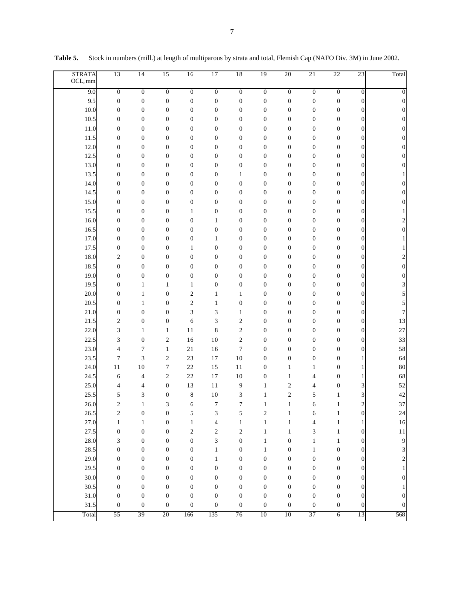| <b>STRATA</b><br>OCL, mm | 13               | 14               | 15               | 16               | 17                       | 18               | 19                      | 20               | 21                       | 22               | 23                      | Total                   |
|--------------------------|------------------|------------------|------------------|------------------|--------------------------|------------------|-------------------------|------------------|--------------------------|------------------|-------------------------|-------------------------|
| 9.0                      | $\overline{0}$   | $\overline{0}$   | $\overline{0}$   | $\boldsymbol{0}$ | $\overline{0}$           | $\overline{0}$   | $\overline{0}$          | $\overline{0}$   | $\overline{0}$           | $\boldsymbol{0}$ | $\boldsymbol{0}$        | $\mathbf{0}$            |
| 9.5                      | $\boldsymbol{0}$ | $\boldsymbol{0}$ | $\boldsymbol{0}$ | $\boldsymbol{0}$ | $\boldsymbol{0}$         | $\boldsymbol{0}$ | $\boldsymbol{0}$        | $\boldsymbol{0}$ | $\boldsymbol{0}$         | 0                | $\boldsymbol{0}$        | $\boldsymbol{0}$        |
| 10.0                     | $\boldsymbol{0}$ | $\boldsymbol{0}$ | $\boldsymbol{0}$ | $\boldsymbol{0}$ | $\boldsymbol{0}$         | $\boldsymbol{0}$ | $\boldsymbol{0}$        | $\boldsymbol{0}$ | $\boldsymbol{0}$         | $\boldsymbol{0}$ | $\boldsymbol{0}$        | $\boldsymbol{0}$        |
| 10.5                     | $\boldsymbol{0}$ | $\boldsymbol{0}$ | $\boldsymbol{0}$ | 0                | $\boldsymbol{0}$         | $\boldsymbol{0}$ | $\boldsymbol{0}$        | $\boldsymbol{0}$ | $\boldsymbol{0}$         | 0                | $\boldsymbol{0}$        | $\boldsymbol{0}$        |
| 11.0                     | $\boldsymbol{0}$ | $\boldsymbol{0}$ | $\boldsymbol{0}$ | 0                | $\boldsymbol{0}$         | 0                | $\boldsymbol{0}$        | $\boldsymbol{0}$ | $\boldsymbol{0}$         | $\boldsymbol{0}$ | $\boldsymbol{0}$        | $\boldsymbol{0}$        |
| 11.5                     | $\boldsymbol{0}$ | $\boldsymbol{0}$ | $\boldsymbol{0}$ | 0                | $\boldsymbol{0}$         | $\boldsymbol{0}$ | $\boldsymbol{0}$        | $\boldsymbol{0}$ | $\boldsymbol{0}$         | 0                | $\boldsymbol{0}$        | $\mathbf{0}$            |
| 12.0                     | $\boldsymbol{0}$ | $\boldsymbol{0}$ | $\boldsymbol{0}$ | $\boldsymbol{0}$ | $\boldsymbol{0}$         | 0                | $\boldsymbol{0}$        | $\boldsymbol{0}$ | $\boldsymbol{0}$         | $\boldsymbol{0}$ | $\boldsymbol{0}$        | $\mathbf{0}$            |
| 12.5                     | $\boldsymbol{0}$ | $\boldsymbol{0}$ | $\boldsymbol{0}$ | 0                | $\boldsymbol{0}$         | $\boldsymbol{0}$ | $\boldsymbol{0}$        | $\boldsymbol{0}$ | $\boldsymbol{0}$         | 0                | $\boldsymbol{0}$        | $\mathbf{0}$            |
| 13.0                     | $\boldsymbol{0}$ | $\boldsymbol{0}$ | $\boldsymbol{0}$ | 0                | $\boldsymbol{0}$         | $\boldsymbol{0}$ | $\boldsymbol{0}$        | $\boldsymbol{0}$ | $\boldsymbol{0}$         | $\boldsymbol{0}$ | $\boldsymbol{0}$        | $\mathbf{0}$            |
| 13.5                     | $\boldsymbol{0}$ | $\boldsymbol{0}$ | $\boldsymbol{0}$ | 0                | $\boldsymbol{0}$         | $\mathbf{1}$     | $\boldsymbol{0}$        | $\boldsymbol{0}$ | $\boldsymbol{0}$         | 0                | $\boldsymbol{0}$        |                         |
| 14.0                     | $\boldsymbol{0}$ | $\boldsymbol{0}$ | $\boldsymbol{0}$ | 0                | $\boldsymbol{0}$         | $\boldsymbol{0}$ | $\boldsymbol{0}$        | $\boldsymbol{0}$ | $\boldsymbol{0}$         | $\boldsymbol{0}$ | $\boldsymbol{0}$        | $\mathbf{0}$            |
| 14.5                     | $\boldsymbol{0}$ | $\boldsymbol{0}$ | $\boldsymbol{0}$ | 0                | $\boldsymbol{0}$         | $\boldsymbol{0}$ | $\boldsymbol{0}$        | $\boldsymbol{0}$ | $\boldsymbol{0}$         | 0                | $\boldsymbol{0}$        | $\mathbf{0}$            |
| 15.0                     | $\boldsymbol{0}$ | $\boldsymbol{0}$ | $\boldsymbol{0}$ | $\boldsymbol{0}$ | $\boldsymbol{0}$         | $\boldsymbol{0}$ | $\boldsymbol{0}$        | $\boldsymbol{0}$ | $\boldsymbol{0}$         | $\boldsymbol{0}$ | $\boldsymbol{0}$        | $\boldsymbol{0}$        |
| 15.5                     | $\boldsymbol{0}$ | $\boldsymbol{0}$ | $\boldsymbol{0}$ | $\mathbf{1}$     | $\boldsymbol{0}$         | $\boldsymbol{0}$ | $\boldsymbol{0}$        | $\boldsymbol{0}$ | $\boldsymbol{0}$         | $\boldsymbol{0}$ | $\boldsymbol{0}$        |                         |
| 16.0                     | $\boldsymbol{0}$ | $\boldsymbol{0}$ | $\boldsymbol{0}$ | $\boldsymbol{0}$ | $\mathbf{1}$             | $\boldsymbol{0}$ | $\boldsymbol{0}$        | $\boldsymbol{0}$ | $\boldsymbol{0}$         | $\boldsymbol{0}$ | $\boldsymbol{0}$        | $\overline{\mathbf{c}}$ |
| 16.5                     | $\boldsymbol{0}$ | $\boldsymbol{0}$ | $\boldsymbol{0}$ | $\boldsymbol{0}$ | $\boldsymbol{0}$         | $\boldsymbol{0}$ | $\boldsymbol{0}$        | $\boldsymbol{0}$ | $\boldsymbol{0}$         | $\boldsymbol{0}$ | $\boldsymbol{0}$        | $\boldsymbol{0}$        |
| 17.0                     | $\boldsymbol{0}$ | $\boldsymbol{0}$ | $\boldsymbol{0}$ | $\boldsymbol{0}$ | $\mathbf{1}$             | $\boldsymbol{0}$ | $\boldsymbol{0}$        | $\boldsymbol{0}$ | $\boldsymbol{0}$         | $\boldsymbol{0}$ | $\boldsymbol{0}$        |                         |
| 17.5                     | $\boldsymbol{0}$ | $\boldsymbol{0}$ | $\boldsymbol{0}$ | $\mathbf{1}$     | $\boldsymbol{0}$         | $\boldsymbol{0}$ | $\boldsymbol{0}$        | $\boldsymbol{0}$ | $\boldsymbol{0}$         | $\boldsymbol{0}$ | $\boldsymbol{0}$        |                         |
| 18.0                     | $\mathfrak{2}$   | $\boldsymbol{0}$ | $\boldsymbol{0}$ | $\boldsymbol{0}$ | $\boldsymbol{0}$         | $\boldsymbol{0}$ | $\boldsymbol{0}$        | $\boldsymbol{0}$ | $\boldsymbol{0}$         | $\boldsymbol{0}$ | $\boldsymbol{0}$        | $\overline{\mathbf{c}}$ |
| 18.5                     | $\boldsymbol{0}$ | $\boldsymbol{0}$ | $\boldsymbol{0}$ | $\boldsymbol{0}$ | $\boldsymbol{0}$         | $\boldsymbol{0}$ | $\boldsymbol{0}$        | $\boldsymbol{0}$ | $\boldsymbol{0}$         | $\boldsymbol{0}$ | $\boldsymbol{0}$        | $\boldsymbol{0}$        |
| 19.0                     | $\boldsymbol{0}$ | $\boldsymbol{0}$ | $\boldsymbol{0}$ | $\boldsymbol{0}$ | $\boldsymbol{0}$         | $\boldsymbol{0}$ | $\boldsymbol{0}$        | $\boldsymbol{0}$ | $\boldsymbol{0}$         | $\boldsymbol{0}$ | $\boldsymbol{0}$        | $\boldsymbol{0}$        |
| 19.5                     | $\boldsymbol{0}$ | $\mathbf{1}$     | $\mathbf{1}$     | $\mathbf{1}$     | $\boldsymbol{0}$         | $\boldsymbol{0}$ | $\boldsymbol{0}$        | $\boldsymbol{0}$ | $\boldsymbol{0}$         | $\boldsymbol{0}$ | $\boldsymbol{0}$        | 3                       |
| 20.0                     | $\boldsymbol{0}$ | $\mathbf{1}$     | $\boldsymbol{0}$ | $\mathfrak{2}$   | $\mathbf{1}$             | $\mathbf{1}$     | $\boldsymbol{0}$        | $\boldsymbol{0}$ | $\boldsymbol{0}$         | 0                | $\boldsymbol{0}$        | 5                       |
| 20.5                     | $\boldsymbol{0}$ | $\mathbf{1}$     | $\boldsymbol{0}$ | $\mathfrak{2}$   | $\mathbf{1}$             | $\boldsymbol{0}$ | $\boldsymbol{0}$        | $\boldsymbol{0}$ | $\boldsymbol{0}$         | $\boldsymbol{0}$ | $\boldsymbol{0}$        | 5                       |
| 21.0                     | $\boldsymbol{0}$ | $\boldsymbol{0}$ | $\boldsymbol{0}$ | 3                | 3                        | $\mathbf{1}$     | $\boldsymbol{0}$        | $\boldsymbol{0}$ | $\boldsymbol{0}$         | 0                | $\boldsymbol{0}$        | 7                       |
| 21.5                     | $\mathfrak{2}$   | $\boldsymbol{0}$ | $\boldsymbol{0}$ | 6                | 3                        | $\mathfrak{2}$   | $\boldsymbol{0}$        | $\boldsymbol{0}$ | $\boldsymbol{0}$         | $\boldsymbol{0}$ | $\boldsymbol{0}$        | 13                      |
| 22.0                     | 3                | $\mathbf{1}$     | $\mathbf{1}$     | 11               | $\,$ 8 $\,$              | $\mathfrak{2}$   | $\boldsymbol{0}$        | $\boldsymbol{0}$ | $\boldsymbol{0}$         | 0                | $\boldsymbol{0}$        | 27                      |
| 22.5                     | $\mathfrak z$    | $\boldsymbol{0}$ | $\sqrt{2}$       | 16               | 10                       | $\overline{c}$   | $\boldsymbol{0}$        | $\boldsymbol{0}$ | $\boldsymbol{0}$         | $\boldsymbol{0}$ | $\boldsymbol{0}$        | 33                      |
| 23.0                     | 4                | $\tau$           | $\mathbf{1}$     | 21               | 16                       | $\boldsymbol{7}$ | $\boldsymbol{0}$        | $\boldsymbol{0}$ | $\boldsymbol{0}$         | 0                | $\boldsymbol{0}$        | 58                      |
| 23.5                     | $\tau$           | 3                | $\sqrt{2}$       | 23               | 17                       | 10               | $\boldsymbol{0}$        | $\boldsymbol{0}$ | $\boldsymbol{0}$         | $\boldsymbol{0}$ | 1                       | 64                      |
| 24.0                     | 11               | 10               | $\boldsymbol{7}$ | $22\,$           | 15                       | 11               | $\boldsymbol{0}$        | $\mathbf{1}$     | $\mathbf{1}$             | 0                | 1                       | 80                      |
| 24.5                     | 6                | 4                | $\mathfrak{2}$   | 22               | 17                       | 10               | $\boldsymbol{0}$        | 1                | $\overline{4}$           | $\boldsymbol{0}$ | 1                       | 68                      |
| 25.0                     | 4                | 4                | $\boldsymbol{0}$ | 13               | 11                       | 9                | $\mathbf{1}$            | $\mathfrak{2}$   | $\overline{4}$           | 0                | 3                       | 52                      |
| 25.5                     | 5                | 3                | $\boldsymbol{0}$ | 8                | 10                       | 3                | $\mathbf{1}$            | $\overline{c}$   | 5                        | $\mathbf{1}$     | 3                       | 42                      |
| 26.0                     | $\mathfrak{2}$   | $\mathbf{1}$     | 3                | 6                | $\boldsymbol{7}$         | $\boldsymbol{7}$ | $\mathbf{1}$            | $\mathbf{1}$     | 6                        | $\mathbf{1}$     | $\overline{\mathbf{c}}$ | 37                      |
| 26.5                     | $\sqrt{2}$       | $\boldsymbol{0}$ | $\boldsymbol{0}$ | 5                | $\mathfrak{Z}$           | 5                | $\overline{\mathbf{c}}$ | $\mathbf{1}$     | 6                        | $\mathbf{1}$     | $\boldsymbol{0}$        | 24                      |
| 27.0                     | $\mathbf{1}$     | $\mathbf{1}$     | $\boldsymbol{0}$ | $\,1$            | $\overline{\mathcal{L}}$ | $\,1$            | $\mathbf{1}$            | $\,1\,$          | $\overline{\mathcal{A}}$ | $\mathbf{1}$     | $\mathbf{1}$            | $16\,$                  |
| 27.5                     | $\boldsymbol{0}$ | $\boldsymbol{0}$ | $\boldsymbol{0}$ | $\sqrt{2}$       | $\sqrt{2}$               | $\overline{c}$   | $\mathbf{1}$            | $\mathbf{1}$     | 3                        | $\mathbf{1}$     | $\boldsymbol{0}$        | $1\,1$                  |
| 28.0                     | 3                | $\boldsymbol{0}$ | $\boldsymbol{0}$ | $\boldsymbol{0}$ | $\sqrt{3}$               | $\boldsymbol{0}$ | $\mathbf{1}$            | $\boldsymbol{0}$ | $\,1\,$                  | $\mathbf{1}$     | $\boldsymbol{0}$        | 9                       |
| 28.5                     | $\boldsymbol{0}$ | $\boldsymbol{0}$ | $\boldsymbol{0}$ | $\boldsymbol{0}$ | $\,1$                    | $\boldsymbol{0}$ | $\mathbf{1}$            | $\boldsymbol{0}$ | $\,1\,$                  | $\boldsymbol{0}$ | $\boldsymbol{0}$        | 3                       |
| 29.0                     | $\boldsymbol{0}$ | $\boldsymbol{0}$ | $\boldsymbol{0}$ | $\boldsymbol{0}$ | $\,1\,$                  | $\boldsymbol{0}$ | $\boldsymbol{0}$        | $\boldsymbol{0}$ | $\boldsymbol{0}$         | $\boldsymbol{0}$ | $\boldsymbol{0}$        | $\overline{\mathbf{c}}$ |
| 29.5                     | $\boldsymbol{0}$ | $\boldsymbol{0}$ | $\boldsymbol{0}$ | $\boldsymbol{0}$ | $\boldsymbol{0}$         | $\boldsymbol{0}$ | $\boldsymbol{0}$        | $\boldsymbol{0}$ | $\boldsymbol{0}$         | $\boldsymbol{0}$ | $\boldsymbol{0}$        | $\mathbf{1}$            |
| 30.0                     | $\boldsymbol{0}$ | $\boldsymbol{0}$ | $\boldsymbol{0}$ | $\boldsymbol{0}$ | $\boldsymbol{0}$         | $\boldsymbol{0}$ | $\boldsymbol{0}$        | $\boldsymbol{0}$ | $\boldsymbol{0}$         | $\boldsymbol{0}$ | $\boldsymbol{0}$        | $\boldsymbol{0}$        |
| 30.5                     | $\boldsymbol{0}$ | $\boldsymbol{0}$ | $\boldsymbol{0}$ | $\boldsymbol{0}$ | $\boldsymbol{0}$         | $\boldsymbol{0}$ | $\boldsymbol{0}$        | $\boldsymbol{0}$ | $\boldsymbol{0}$         | $\boldsymbol{0}$ | $\boldsymbol{0}$        | 1                       |
| 31.0                     | $\boldsymbol{0}$ | $\boldsymbol{0}$ | $\boldsymbol{0}$ | $\boldsymbol{0}$ | $\boldsymbol{0}$         | $\boldsymbol{0}$ | $\boldsymbol{0}$        | $\boldsymbol{0}$ | $\boldsymbol{0}$         | $\boldsymbol{0}$ | $\boldsymbol{0}$        | $\boldsymbol{0}$        |
| 31.5                     | $\boldsymbol{0}$ | $\boldsymbol{0}$ | $\boldsymbol{0}$ | $\boldsymbol{0}$ | $\boldsymbol{0}$         | $\boldsymbol{0}$ | $\boldsymbol{0}$        | $\boldsymbol{0}$ | $\boldsymbol{0}$         | $\boldsymbol{0}$ | $\boldsymbol{0}$        | $\boldsymbol{0}$        |
| Total                    | 55               | 39               | 20               | 166              | 135                      | 76               | 10                      | 10               | 37                       | $\overline{6}$   | 13                      | 568                     |

**Table 5.** Stock in numbers (mill.) at length of multiparous by strata and total, Flemish Cap (NAFO Div. 3M) in June 2002.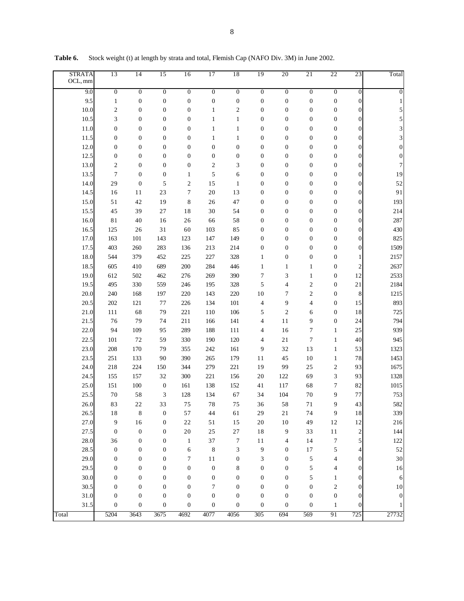| <b>STRATA</b><br>OCL, mm | 13               | 14               | 15               | 16               | 17               | 18               | 19               | 20                       | 21               | 22                                   | 23                      | Total            |
|--------------------------|------------------|------------------|------------------|------------------|------------------|------------------|------------------|--------------------------|------------------|--------------------------------------|-------------------------|------------------|
| 9.0                      | $\boldsymbol{0}$ | $\overline{0}$   | $\boldsymbol{0}$ | $\boldsymbol{0}$ | $\overline{0}$   | $\boldsymbol{0}$ | $\boldsymbol{0}$ | $\boldsymbol{0}$         | $\overline{0}$   | $\overline{0}$                       | $\boldsymbol{0}$        | $\boldsymbol{0}$ |
| 9.5                      | $\mathbf{1}$     | $\boldsymbol{0}$ | $\boldsymbol{0}$ | $\boldsymbol{0}$ | $\boldsymbol{0}$ | $\boldsymbol{0}$ | $\boldsymbol{0}$ | $\boldsymbol{0}$         | $\boldsymbol{0}$ | $\boldsymbol{0}$                     | $\boldsymbol{0}$        | 1                |
| 10.0                     | $\mathfrak{2}$   | $\boldsymbol{0}$ | $\boldsymbol{0}$ | $\boldsymbol{0}$ | 1                | $\mathfrak{2}$   | $\boldsymbol{0}$ | $\boldsymbol{0}$         | $\boldsymbol{0}$ | $\boldsymbol{0}$                     | $\boldsymbol{0}$        | 5                |
| 10.5                     | 3                | $\boldsymbol{0}$ | $\boldsymbol{0}$ | $\boldsymbol{0}$ | $\mathbf{1}$     | $\mathbf{1}$     | $\boldsymbol{0}$ | $\boldsymbol{0}$         | $\boldsymbol{0}$ | $\boldsymbol{0}$                     | $\boldsymbol{0}$        | 5                |
| 11.0                     | $\boldsymbol{0}$ | $\mathbf{0}$     | $\boldsymbol{0}$ | $\boldsymbol{0}$ | $\mathbf{1}$     | $\mathbf{1}$     | $\boldsymbol{0}$ | $\boldsymbol{0}$         | $\boldsymbol{0}$ | $\boldsymbol{0}$                     | $\boldsymbol{0}$        | 3                |
| 11.5                     | 0                | $\mathbf{0}$     | $\boldsymbol{0}$ | $\boldsymbol{0}$ | $\mathbf{1}$     | $\mathbf{1}$     | $\boldsymbol{0}$ | $\boldsymbol{0}$         | $\boldsymbol{0}$ | $\boldsymbol{0}$                     | $\boldsymbol{0}$        | 3                |
| 12.0                     | 0                | $\mathbf{0}$     | $\boldsymbol{0}$ | $\boldsymbol{0}$ | $\boldsymbol{0}$ | $\boldsymbol{0}$ | $\boldsymbol{0}$ | $\boldsymbol{0}$         | $\boldsymbol{0}$ | $\boldsymbol{0}$                     | $\boldsymbol{0}$        | $\boldsymbol{0}$ |
| 12.5                     | 0                | $\mathbf{0}$     | $\boldsymbol{0}$ | $\boldsymbol{0}$ | $\boldsymbol{0}$ | $\boldsymbol{0}$ | 0                | $\boldsymbol{0}$         | $\boldsymbol{0}$ | $\boldsymbol{0}$                     | $\boldsymbol{0}$        | $\boldsymbol{0}$ |
| 13.0                     | $\mathfrak{2}$   | $\mathbf{0}$     | $\boldsymbol{0}$ | $\boldsymbol{0}$ | 2                | 3                | $\boldsymbol{0}$ | $\boldsymbol{0}$         | $\boldsymbol{0}$ | $\boldsymbol{0}$                     | $\boldsymbol{0}$        | 7                |
| 13.5                     | 7                | $\boldsymbol{0}$ | $\boldsymbol{0}$ | $\mathbf{1}$     | 5                | 6                | $\boldsymbol{0}$ | $\boldsymbol{0}$         | $\boldsymbol{0}$ | $\boldsymbol{0}$                     | $\boldsymbol{0}$        | 19               |
| 14.0                     | 29               | $\boldsymbol{0}$ | 5                | 2                | 15               | $\mathbf{1}$     | $\boldsymbol{0}$ | $\boldsymbol{0}$         | $\boldsymbol{0}$ | $\boldsymbol{0}$                     | $\boldsymbol{0}$        | 52               |
| 14.5                     | 16               | 11               | 23               | 7                | $20\,$           | 13               | 0                | $\boldsymbol{0}$         | $\boldsymbol{0}$ | $\boldsymbol{0}$                     | $\boldsymbol{0}$        | 91               |
| 15.0                     | 51               | 42               | 19               | 8                | 26               | 47               | $\boldsymbol{0}$ | $\boldsymbol{0}$         | $\boldsymbol{0}$ | $\boldsymbol{0}$                     | $\boldsymbol{0}$        | 193              |
| 15.5                     | 45               | 39               | 27               | 18               | 30               | 54               | $\boldsymbol{0}$ | $\boldsymbol{0}$         | $\boldsymbol{0}$ | $\boldsymbol{0}$                     | $\boldsymbol{0}$        | 214              |
| 16.0                     | 81               | 40               | 16               | 26               | 66               | 58               | $\boldsymbol{0}$ | $\boldsymbol{0}$         | $\boldsymbol{0}$ | $\boldsymbol{0}$                     | $\boldsymbol{0}$        | 287              |
| 16.5                     | 125              | 26               | 31               | 60               | 103              | 85               | $\boldsymbol{0}$ | $\boldsymbol{0}$         | $\boldsymbol{0}$ | $\boldsymbol{0}$                     | $\boldsymbol{0}$        | 430              |
| 17.0                     | 163              | 101              | 143              | 123              | 147              | 149              | $\boldsymbol{0}$ | $\boldsymbol{0}$         | $\boldsymbol{0}$ | $\boldsymbol{0}$                     | $\boldsymbol{0}$        | 825              |
| 17.5                     | 403              | 260              | 283              | 136              | 213              | 214              | $\boldsymbol{0}$ | $\boldsymbol{0}$         | $\boldsymbol{0}$ | $\boldsymbol{0}$                     | $\boldsymbol{0}$        | 1509             |
| 18.0                     | 544              | 379              | 452              | 225              | 227              | 328              | $\mathbf{1}$     | $\boldsymbol{0}$         | $\boldsymbol{0}$ | $\boldsymbol{0}$                     | $\mathbf{1}$            | 2157             |
| 18.5                     | 605              | 410              | 689              | 200              | 284              | 446              | $\mathbf{1}$     | $\mathbf{1}$             | $\mathbf{1}$     | $\boldsymbol{0}$                     | $\sqrt{2}$              | 2637             |
| 19.0                     | 612              | 502              | 462              | 276              | 269              | 390              | 7                | 3                        | 1                | $\boldsymbol{0}$                     | 12                      | 2533             |
| 19.5                     | 495              | 330              | 559              | 246              | 195              | 328              | 5                | 4<br>7                   | $\mathfrak{2}$   | $\boldsymbol{0}$                     | $2\sqrt{1}$             | 2184             |
| 20.0<br>20.5             | 240<br>202       | 168              | 197<br>77        | 220<br>226       | 143<br>134       | 220<br>101       | $10$<br>4        | 9                        | $\mathfrak{2}$   | $\boldsymbol{0}$<br>$\boldsymbol{0}$ | 8<br>15                 | 1215<br>893      |
| 21.0                     | 111              | 121<br>68        | 79               | 221              | 110              | 106              | 5                | $\overline{c}$           | 4<br>6           | $\boldsymbol{0}$                     | $1\,8$                  | 725              |
| 21.5                     | 76               | 79               | 74               | 211              | 166              | 141              | 4                | 11                       | 9                | $\boldsymbol{0}$                     | 24                      | 794              |
| 22.0                     | 94               | 109              | 95               | 289              | 188              | 111              | 4                | 16                       | $\overline{7}$   | $\mathbf{1}$                         | 25                      | 939              |
| 22.5                     | 101              | 72               | 59               | 330              | 190              | 120              | 4                | 21                       | $\tau$           | $\mathbf{1}$                         | $40\,$                  | 945              |
| 23.0                     | 208              | 170              | 79               | 355              | 242              | 161              | 9                | 32                       | 13               | $\mathbf{1}$                         | 53                      | 1323             |
| 23.5                     | 251              | 133              | 90               | 390              | 265              | 179              | 11               | 45                       | 10               | $\mathbf{1}$                         | $7\,$                   | 1453             |
| 24.0                     | 218              | 224              | 150              | 344              | 279              | 221              | 19               | 99                       | 25               | $\mathfrak{2}$                       | 93                      | 1675             |
| 24.5                     | 155              | 157              | 32               | 300              | 221              | 156              | 20               | 122                      | 69               | 3                                    | 93                      | 1328             |
| 25.0                     | 151              | 100              | $\boldsymbol{0}$ | 161              | 138              | 152              | 41               | 117                      | 68               | 7                                    | 82                      | 1015             |
| 25.5                     | 70               | 58               | 3                | 128              | 134              | 67               | 34               | 104                      | $70\,$           | 9                                    | 77                      | 753              |
| 26.0                     | 83               | 22               | 33               | 75               | 78               | 75               | 36               | 58                       | 71               | 9                                    | 43                      | 582              |
| 26.5                     | $18\,$           | 8                | $\boldsymbol{0}$ | 57               | 44               | 61               | 29               | 21                       | 74               | 9                                    | 18                      | 339              |
| 27.0                     | 9                | $16$             | $\boldsymbol{0}$ | $2\sqrt{2}$      | $5\sqrt{1}$      | 15               | 20               | 10                       | 49               | 12                                   | 12                      | 216              |
| 27.5                     | $\boldsymbol{0}$ | $\boldsymbol{0}$ | $\boldsymbol{0}$ | $20\,$           | $25\,$           | $27\,$           | 18               | 9                        | 33               | $11\,$                               | $\overline{\mathbf{c}}$ | 144              |
| $28.0\,$                 | 36               | $\boldsymbol{0}$ | $\boldsymbol{0}$ | $\mathbf{1}$     | 37               | $\boldsymbol{7}$ | $11\,$           | $\overline{\mathcal{L}}$ | 14               | $\overline{7}$                       | 5                       | 122              |
| 28.5                     | $\boldsymbol{0}$ | $\boldsymbol{0}$ | $\boldsymbol{0}$ | 6                | $\,8$            | $\mathfrak{Z}$   | 9                | $\boldsymbol{0}$         | $17\,$           | 5                                    | 4                       | 52               |
| 29.0                     | $\boldsymbol{0}$ | $\boldsymbol{0}$ | $\boldsymbol{0}$ | $\tau$           | $1\,1$           | $\boldsymbol{0}$ | 3                | $\boldsymbol{0}$         | 5                | 4                                    | $\boldsymbol{0}$        | $30\,$           |
| 29.5                     | $\boldsymbol{0}$ | $\boldsymbol{0}$ | $\boldsymbol{0}$ | $\boldsymbol{0}$ | $\boldsymbol{0}$ | 8                | $\boldsymbol{0}$ | 0                        | 5                | 4                                    | 0                       | 16               |
| 30.0                     | $\boldsymbol{0}$ | $\boldsymbol{0}$ | $\boldsymbol{0}$ | $\boldsymbol{0}$ | $\boldsymbol{0}$ | $\boldsymbol{0}$ | $\boldsymbol{0}$ | 0                        | 5                | $\mathbf{1}$                         | 0                       | 6                |
| 30.5                     | $\boldsymbol{0}$ | $\boldsymbol{0}$ | $\boldsymbol{0}$ | $\boldsymbol{0}$ | 7                | $\boldsymbol{0}$ | 0                | 0                        | $\boldsymbol{0}$ | $\boldsymbol{2}$                     | 0                       | 10               |
| 31.0                     | $\boldsymbol{0}$ | $\boldsymbol{0}$ | $\boldsymbol{0}$ | $\boldsymbol{0}$ | $\boldsymbol{0}$ | $\boldsymbol{0}$ | $\boldsymbol{0}$ | 0                        | $\boldsymbol{0}$ | $\boldsymbol{0}$                     | $\boldsymbol{0}$        | $\boldsymbol{0}$ |
| 31.5                     | $\boldsymbol{0}$ | $\boldsymbol{0}$ | $\boldsymbol{0}$ | $\boldsymbol{0}$ | $\boldsymbol{0}$ | $\boldsymbol{0}$ | $\boldsymbol{0}$ | 0                        | $\boldsymbol{0}$ | $\mathbf{1}$                         | 0                       |                  |
| Total                    | 5204             | 3643             | 3675             | 4692             | 4077             | 4056             | 305              | 694                      | 569              | 91                                   | 725                     | 27732            |

Table 6. Stock weight (t) at length by strata and total, Flemish Cap (NAFO Div. 3M) in June 2002.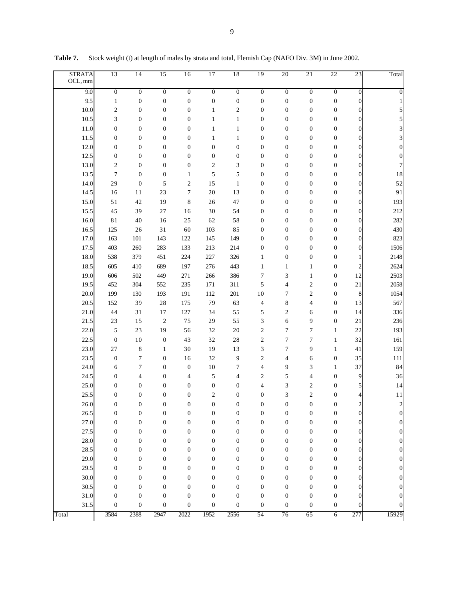| 9.0<br>$\overline{0}$<br>$\overline{0}$<br>$\overline{0}$<br>$\overline{0}$<br>$\boldsymbol{0}$<br>$\boldsymbol{0}$<br>$\boldsymbol{0}$<br>$\boldsymbol{0}$<br>$\boldsymbol{0}$<br>$\boldsymbol{0}$<br>0<br>$\boldsymbol{0}$<br>9.5<br>$\mathbf{1}$<br>$\boldsymbol{0}$<br>$\boldsymbol{0}$<br>$\boldsymbol{0}$<br>$\boldsymbol{0}$<br>$\boldsymbol{0}$<br>$\boldsymbol{0}$<br>$\boldsymbol{0}$<br>$\boldsymbol{0}$<br>0<br>0<br>1<br>10.0<br>2<br>$\boldsymbol{0}$<br>$\boldsymbol{0}$<br>$\boldsymbol{0}$<br>$\overline{c}$<br>$\boldsymbol{0}$<br>$\boldsymbol{0}$<br>$\boldsymbol{0}$<br>0<br>5<br>1<br>0<br>$\boldsymbol{0}$<br>10.5<br>3<br>$\boldsymbol{0}$<br>$\boldsymbol{0}$<br>$\mathbf{1}$<br>$\boldsymbol{0}$<br>$\boldsymbol{0}$<br>$\boldsymbol{0}$<br>5<br>$\bf{0}$<br>1<br>0<br>$\boldsymbol{0}$<br>$\boldsymbol{0}$<br>$\boldsymbol{0}$<br>3<br>11.0<br>$\boldsymbol{0}$<br>$\boldsymbol{0}$<br>$\mathbf{1}$<br>$\boldsymbol{0}$<br>$\boldsymbol{0}$<br>$\boldsymbol{0}$<br>0<br>1<br>11.5<br>$\boldsymbol{0}$<br>$\boldsymbol{0}$<br>$\boldsymbol{0}$<br>$\boldsymbol{0}$<br>3<br>$\boldsymbol{0}$<br>$\boldsymbol{0}$<br>$\boldsymbol{0}$<br>$\mathbf{1}$<br>$\boldsymbol{0}$<br>0<br>1<br>12.0<br>$\boldsymbol{0}$<br>$\boldsymbol{0}$<br>$\boldsymbol{0}$<br>$\boldsymbol{0}$<br>$\overline{0}$<br>$\boldsymbol{0}$<br>$\boldsymbol{0}$<br>$\boldsymbol{0}$<br>$\boldsymbol{0}$<br>$\boldsymbol{0}$<br>0<br>$\mathbf{0}$<br>12.5<br>$\boldsymbol{0}$<br>$\boldsymbol{0}$<br>$\boldsymbol{0}$<br>0<br>$\boldsymbol{0}$<br>$\boldsymbol{0}$<br>$\boldsymbol{0}$<br>$\boldsymbol{0}$<br>$\boldsymbol{0}$<br>$\boldsymbol{0}$<br>0<br>$\boldsymbol{0}$<br>13.0<br>$\mathfrak{2}$<br>$\boldsymbol{0}$<br>$\boldsymbol{0}$<br>$\mathfrak{2}$<br>3<br>$\boldsymbol{0}$<br>$\boldsymbol{0}$<br>7<br>$\boldsymbol{0}$<br>$\boldsymbol{0}$<br>$\boldsymbol{0}$<br>0<br>5<br>13.5<br>$\tau$<br>$\boldsymbol{0}$<br>5<br>$\boldsymbol{0}$<br>18<br>$\boldsymbol{0}$<br>$\boldsymbol{0}$<br>$\boldsymbol{0}$<br>$\boldsymbol{0}$<br>0<br>1<br>52<br>29<br>$\boldsymbol{0}$<br>5<br>15<br>$\boldsymbol{0}$<br>14.0<br>2<br>$\mathbf{1}$<br>$\boldsymbol{0}$<br>$\boldsymbol{0}$<br>$\boldsymbol{0}$<br>0<br>23<br>$\overline{7}$<br>20<br>13<br>$\boldsymbol{0}$<br>91<br>14.5<br>11<br>$\boldsymbol{0}$<br>$\boldsymbol{0}$<br>$\boldsymbol{0}$<br>0<br>16<br>15.0<br>42<br>8<br>47<br>$\boldsymbol{0}$<br>193<br>51<br>19<br>$\boldsymbol{0}$<br>$\boldsymbol{0}$<br>$\boldsymbol{0}$<br>0<br>26<br>212<br>15.5<br>39<br>$\boldsymbol{0}$<br>45<br>27<br>16<br>30<br>54<br>$\boldsymbol{0}$<br>$\boldsymbol{0}$<br>$\boldsymbol{0}$<br>0<br>40<br>$\boldsymbol{0}$<br>282<br>16.0<br>81<br>16<br>25<br>62<br>58<br>$\boldsymbol{0}$<br>$\boldsymbol{0}$<br>$\boldsymbol{0}$<br>0<br>$\boldsymbol{0}$<br>430<br>16.5<br>125<br>26<br>31<br>60<br>103<br>85<br>$\boldsymbol{0}$<br>$\boldsymbol{0}$<br>$\boldsymbol{0}$<br>0<br>$\boldsymbol{0}$<br>823<br>17.0<br>163<br>101<br>143<br>122<br>145<br>149<br>$\boldsymbol{0}$<br>$\boldsymbol{0}$<br>$\boldsymbol{0}$<br>0<br>$\boldsymbol{0}$<br>1506<br>17.5<br>403<br>260<br>283<br>133<br>213<br>214<br>$\boldsymbol{0}$<br>$\boldsymbol{0}$<br>$\boldsymbol{0}$<br>0<br>18.0<br>538<br>379<br>451<br>224<br>227<br>326<br>$\boldsymbol{0}$<br>$\boldsymbol{0}$<br>0<br>$\mathbf{1}$<br>2148<br>$\mathbf{1}$<br>$\overline{\mathbf{c}}$<br>18.5<br>197<br>2624<br>605<br>410<br>689<br>276<br>443<br>$\mathbf{1}$<br>0<br>1<br>1<br>12<br>19.0<br>271<br>$\tau$<br>3<br>2503<br>606<br>502<br>449<br>266<br>386<br>$\mathbf{1}$<br>0<br>5<br>$\overline{4}$<br>$\overline{2}$<br>2058<br>19.5<br>452<br>304<br>552<br>235<br>171<br>311<br>0<br>21<br>199<br>191<br>201<br>10<br>7<br>$\overline{2}$<br>8<br>1054<br>20.0<br>130<br>193<br>112<br>0<br>20.5<br>39<br>28<br>79<br>8<br>13<br>567<br>152<br>175<br>63<br>4<br>4<br>0<br>55<br>5<br>$\mathfrak{2}$<br>14<br>21.0<br>44<br>31<br>17<br>127<br>34<br>0<br>336<br>6<br>15<br>$\overline{c}$<br>3<br>9<br>21.5<br>23<br>75<br>29<br>55<br>6<br>0<br>21<br>236<br>5<br>23<br>19<br>$\mathfrak{2}$<br>$\overline{7}$<br>$\tau$<br>22<br>193<br>22.0<br>56<br>32<br>20<br>$\mathbf{1}$<br>$\tau$<br>$\tau$<br>32<br>22.5<br>$\boldsymbol{0}$<br>10<br>$\boldsymbol{0}$<br>43<br>32<br>28<br>$\overline{c}$<br>161<br>1<br>23.0<br>8<br>19<br>3<br>$\tau$<br>9<br>41<br>27<br>$\mathbf{1}$<br>30<br>13<br>159<br>1<br>23.5<br>$\tau$<br>32<br>9<br>35<br>$\boldsymbol{0}$<br>$\boldsymbol{0}$<br>$\overline{c}$<br>4<br>0<br>111<br>16<br>6<br>37<br>$\tau$<br>$\tau$<br>3<br>84<br>24.0<br>$\boldsymbol{0}$<br>$\boldsymbol{0}$<br>10<br>4<br>9<br>6<br>1<br>9<br>5<br>5<br>36<br>24.5<br>$\boldsymbol{0}$<br>4<br>$\boldsymbol{0}$<br>4<br>$\overline{\mathbf{c}}$<br>0<br>4<br>4<br>5<br>25.0<br>$\boldsymbol{0}$<br>$\boldsymbol{0}$<br>$\boldsymbol{0}$<br>$\boldsymbol{0}$<br>$\boldsymbol{0}$<br>$\boldsymbol{0}$<br>4<br>3<br>$\overline{c}$<br>0<br>14<br>$\overline{c}$<br>$\overline{2}$<br>25.5<br>$\boldsymbol{0}$<br>$\boldsymbol{0}$<br>$\boldsymbol{0}$<br>$\boldsymbol{0}$<br>$\boldsymbol{0}$<br>$\boldsymbol{0}$<br>3<br>0<br>4<br>11<br>$\overline{c}$<br>$\boldsymbol{0}$<br>$\boldsymbol{0}$<br>$\boldsymbol{0}$<br>$\boldsymbol{0}$<br>$\boldsymbol{0}$<br>$\boldsymbol{0}$<br>$\boldsymbol{0}$<br>$\overline{0}$<br>$\boldsymbol{0}$<br>$\boldsymbol{0}$<br>$\boldsymbol{2}$<br>26.0<br>26.5<br>$\boldsymbol{0}$<br>$\boldsymbol{0}$<br>$\boldsymbol{0}$<br>$\boldsymbol{0}$<br>$\boldsymbol{0}$<br>$\boldsymbol{0}$<br>$\boldsymbol{0}$<br>$\boldsymbol{0}$<br>$\boldsymbol{0}$<br>$\boldsymbol{0}$<br>0<br>0<br>27.0<br>$\boldsymbol{0}$<br>$\boldsymbol{0}$<br>$\boldsymbol{0}$<br>$\boldsymbol{0}$<br>$\boldsymbol{0}$<br>$\boldsymbol{0}$<br>$\boldsymbol{0}$<br>$\boldsymbol{0}$<br>$\boldsymbol{0}$<br>$\boldsymbol{0}$<br>$\boldsymbol{0}$<br>0<br>27.5<br>$\boldsymbol{0}$<br>$\boldsymbol{0}$<br>$\boldsymbol{0}$<br>$\boldsymbol{0}$<br>$\boldsymbol{0}$<br>$\boldsymbol{0}$<br>$\boldsymbol{0}$<br>$\boldsymbol{0}$<br>$\boldsymbol{0}$<br>$\boldsymbol{0}$<br>$\boldsymbol{0}$<br>$\boldsymbol{0}$<br>28.0<br>$\boldsymbol{0}$<br>$\boldsymbol{0}$<br>$\boldsymbol{0}$<br>$\boldsymbol{0}$<br>$\boldsymbol{0}$<br>$\boldsymbol{0}$<br>$\boldsymbol{0}$<br>$\boldsymbol{0}$<br>$\boldsymbol{0}$<br>$\boldsymbol{0}$<br>0<br>$\boldsymbol{0}$<br>28.5<br>$\boldsymbol{0}$<br>$\boldsymbol{0}$<br>$\boldsymbol{0}$<br>$\boldsymbol{0}$<br>$\boldsymbol{0}$<br>$\boldsymbol{0}$<br>$\boldsymbol{0}$<br>$\boldsymbol{0}$<br>$\boldsymbol{0}$<br>$\boldsymbol{0}$<br>0<br>$\boldsymbol{0}$<br>29.0<br>$\boldsymbol{0}$<br>$\boldsymbol{0}$<br>$\boldsymbol{0}$<br>$\boldsymbol{0}$<br>$\boldsymbol{0}$<br>$\boldsymbol{0}$<br>$\boldsymbol{0}$<br>$\boldsymbol{0}$<br>$\boldsymbol{0}$<br>$\boldsymbol{0}$<br>0<br>$\boldsymbol{0}$<br>29.5<br>$\boldsymbol{0}$<br>$\boldsymbol{0}$<br>$\boldsymbol{0}$<br>$\boldsymbol{0}$<br>$\boldsymbol{0}$<br>$\boldsymbol{0}$<br>$\boldsymbol{0}$<br>$\boldsymbol{0}$<br>$\boldsymbol{0}$<br>$\boldsymbol{0}$<br>0<br>$\boldsymbol{0}$<br>30.0<br>$\boldsymbol{0}$<br>$\boldsymbol{0}$<br>$\boldsymbol{0}$<br>$\boldsymbol{0}$<br>$\boldsymbol{0}$<br>$\boldsymbol{0}$<br>$\boldsymbol{0}$<br>$\boldsymbol{0}$<br>$\boldsymbol{0}$<br>0<br>0<br>$\boldsymbol{0}$<br>30.5<br>$\boldsymbol{0}$<br>$\boldsymbol{0}$<br>$\boldsymbol{0}$<br>$\boldsymbol{0}$<br>$\boldsymbol{0}$<br>$\boldsymbol{0}$<br>$\boldsymbol{0}$<br>$\boldsymbol{0}$<br>$\boldsymbol{0}$<br>$\boldsymbol{0}$<br>0<br>$\boldsymbol{0}$<br>31.0<br>$\boldsymbol{0}$<br>$\boldsymbol{0}$<br>$\boldsymbol{0}$<br>$\boldsymbol{0}$<br>$\boldsymbol{0}$<br>$\boldsymbol{0}$<br>$\boldsymbol{0}$<br>$\boldsymbol{0}$<br>$\boldsymbol{0}$<br>$\boldsymbol{0}$<br>0<br>$\boldsymbol{0}$<br>31.5<br>$\boldsymbol{0}$<br>$\boldsymbol{0}$<br>$\boldsymbol{0}$<br>$\boldsymbol{0}$<br>$\boldsymbol{0}$<br>$\boldsymbol{0}$<br>$\boldsymbol{0}$<br>$\boldsymbol{0}$<br>$\boldsymbol{0}$<br>$\boldsymbol{0}$<br>0<br>0 | <b>STRATA</b><br>OCL, mm | 13   | 14   | 15   | 16   | 17   | 18   | 19 | 20 | 21 | 22             | 23  | Total |
|--------------------------------------------------------------------------------------------------------------------------------------------------------------------------------------------------------------------------------------------------------------------------------------------------------------------------------------------------------------------------------------------------------------------------------------------------------------------------------------------------------------------------------------------------------------------------------------------------------------------------------------------------------------------------------------------------------------------------------------------------------------------------------------------------------------------------------------------------------------------------------------------------------------------------------------------------------------------------------------------------------------------------------------------------------------------------------------------------------------------------------------------------------------------------------------------------------------------------------------------------------------------------------------------------------------------------------------------------------------------------------------------------------------------------------------------------------------------------------------------------------------------------------------------------------------------------------------------------------------------------------------------------------------------------------------------------------------------------------------------------------------------------------------------------------------------------------------------------------------------------------------------------------------------------------------------------------------------------------------------------------------------------------------------------------------------------------------------------------------------------------------------------------------------------------------------------------------------------------------------------------------------------------------------------------------------------------------------------------------------------------------------------------------------------------------------------------------------------------------------------------------------------------------------------------------------------------------------------------------------------------------------------------------------------------------------------------------------------------------------------------------------------------------------------------------------------------------------------------------------------------------------------------------------------------------------------------------------------------------------------------------------------------------------------------------------------------------------------------------------------------------------------------------------------------------------------------------------------------------------------------------------------------------------------------------------------------------------------------------------------------------------------------------------------------------------------------------------------------------------------------------------------------------------------------------------------------------------------------------------------------------------------------------------------------------------------------------------------------------------------------------------------------------------------------------------------------------------------------------------------------------------------------------------------------------------------------------------------------------------------------------------------------------------------------------------------------------------------------------------------------------------------------------------------------------------------------------------------------------------------------------------------------------------------------------------------------------------------------------------------------------------------------------------------------------------------------------------------------------------------------------------------------------------------------------------------------------------------------------------------------------------------------------------------------------------------------------------------------------------------------------------------------------------------------------------------------------------------------------------------------------------------------------------------------------------------------------------------------------------------------------------------------------------------------------------------------------------------------------------------------------------------------------------------------------------------------------------------------------------------------------------------------------------------------------------------------------------------------------------------------------------------------------------------------------------------------------------------------------------------------------------------------------------------------------------------------------------------------------------------------------------------------------------------------------------------------------------------------------------------------------------------------------------------------------------------------------------------------------------------------------------------------------------------------------------------------------------------------------------------------------------------------------------------------------------------------------------------------------------------------------------------------------------------------------------------------------------------------------------------------------------------------------------------------------------------------------------------------------------------------------------------------------------------------------------------------------------------------------------------------------------------------------------------------------------------------------------------------------------------------------------------------------------------------------------------------------------------------------------------------------------------------------------------------------------------------------------------------------------------------------------------------------------------------------------------------------------------------------------------------------------------------------------------------------------------------------------------------------------------------------------------------------------------------------------------------------------------------------------------------------------------------------------------------------------------------------------------------------------------------------------------------------------------------------------------------------------------------------------------------------------------------------------------------------------------------------------------------------------------------------------------------------------------------------------------------------------------------------------------------------------------------------------------------------------------------------------------------------------------------------------------------------------------------------------------------------------------------------------------------------------------------------------------------------------|--------------------------|------|------|------|------|------|------|----|----|----|----------------|-----|-------|
|                                                                                                                                                                                                                                                                                                                                                                                                                                                                                                                                                                                                                                                                                                                                                                                                                                                                                                                                                                                                                                                                                                                                                                                                                                                                                                                                                                                                                                                                                                                                                                                                                                                                                                                                                                                                                                                                                                                                                                                                                                                                                                                                                                                                                                                                                                                                                                                                                                                                                                                                                                                                                                                                                                                                                                                                                                                                                                                                                                                                                                                                                                                                                                                                                                                                                                                                                                                                                                                                                                                                                                                                                                                                                                                                                                                                                                                                                                                                                                                                                                                                                                                                                                                                                                                                                                                                                                                                                                                                                                                                                                                                                                                                                                                                                                                                                                                                                                                                                                                                                                                                                                                                                                                                                                                                                                                                                                                                                                                                                                                                                                                                                                                                                                                                                                                                                                                                                                                                                                                                                                                                                                                                                                                                                                                                                                                                                                                                                                                                                                                                                                                                                                                                                                                                                                                                                                                                                                                                                                                                                                                                                                                                                                                                                                                                                                                                                                                                                                                                                                                                                                                                                                                                                                                                                                                                                                                                                                                                                                                                                                                                    |                          |      |      |      |      |      |      |    |    |    |                |     |       |
|                                                                                                                                                                                                                                                                                                                                                                                                                                                                                                                                                                                                                                                                                                                                                                                                                                                                                                                                                                                                                                                                                                                                                                                                                                                                                                                                                                                                                                                                                                                                                                                                                                                                                                                                                                                                                                                                                                                                                                                                                                                                                                                                                                                                                                                                                                                                                                                                                                                                                                                                                                                                                                                                                                                                                                                                                                                                                                                                                                                                                                                                                                                                                                                                                                                                                                                                                                                                                                                                                                                                                                                                                                                                                                                                                                                                                                                                                                                                                                                                                                                                                                                                                                                                                                                                                                                                                                                                                                                                                                                                                                                                                                                                                                                                                                                                                                                                                                                                                                                                                                                                                                                                                                                                                                                                                                                                                                                                                                                                                                                                                                                                                                                                                                                                                                                                                                                                                                                                                                                                                                                                                                                                                                                                                                                                                                                                                                                                                                                                                                                                                                                                                                                                                                                                                                                                                                                                                                                                                                                                                                                                                                                                                                                                                                                                                                                                                                                                                                                                                                                                                                                                                                                                                                                                                                                                                                                                                                                                                                                                                                                                    |                          |      |      |      |      |      |      |    |    |    |                |     |       |
|                                                                                                                                                                                                                                                                                                                                                                                                                                                                                                                                                                                                                                                                                                                                                                                                                                                                                                                                                                                                                                                                                                                                                                                                                                                                                                                                                                                                                                                                                                                                                                                                                                                                                                                                                                                                                                                                                                                                                                                                                                                                                                                                                                                                                                                                                                                                                                                                                                                                                                                                                                                                                                                                                                                                                                                                                                                                                                                                                                                                                                                                                                                                                                                                                                                                                                                                                                                                                                                                                                                                                                                                                                                                                                                                                                                                                                                                                                                                                                                                                                                                                                                                                                                                                                                                                                                                                                                                                                                                                                                                                                                                                                                                                                                                                                                                                                                                                                                                                                                                                                                                                                                                                                                                                                                                                                                                                                                                                                                                                                                                                                                                                                                                                                                                                                                                                                                                                                                                                                                                                                                                                                                                                                                                                                                                                                                                                                                                                                                                                                                                                                                                                                                                                                                                                                                                                                                                                                                                                                                                                                                                                                                                                                                                                                                                                                                                                                                                                                                                                                                                                                                                                                                                                                                                                                                                                                                                                                                                                                                                                                                                    |                          |      |      |      |      |      |      |    |    |    |                |     |       |
|                                                                                                                                                                                                                                                                                                                                                                                                                                                                                                                                                                                                                                                                                                                                                                                                                                                                                                                                                                                                                                                                                                                                                                                                                                                                                                                                                                                                                                                                                                                                                                                                                                                                                                                                                                                                                                                                                                                                                                                                                                                                                                                                                                                                                                                                                                                                                                                                                                                                                                                                                                                                                                                                                                                                                                                                                                                                                                                                                                                                                                                                                                                                                                                                                                                                                                                                                                                                                                                                                                                                                                                                                                                                                                                                                                                                                                                                                                                                                                                                                                                                                                                                                                                                                                                                                                                                                                                                                                                                                                                                                                                                                                                                                                                                                                                                                                                                                                                                                                                                                                                                                                                                                                                                                                                                                                                                                                                                                                                                                                                                                                                                                                                                                                                                                                                                                                                                                                                                                                                                                                                                                                                                                                                                                                                                                                                                                                                                                                                                                                                                                                                                                                                                                                                                                                                                                                                                                                                                                                                                                                                                                                                                                                                                                                                                                                                                                                                                                                                                                                                                                                                                                                                                                                                                                                                                                                                                                                                                                                                                                                                                    |                          |      |      |      |      |      |      |    |    |    |                |     |       |
|                                                                                                                                                                                                                                                                                                                                                                                                                                                                                                                                                                                                                                                                                                                                                                                                                                                                                                                                                                                                                                                                                                                                                                                                                                                                                                                                                                                                                                                                                                                                                                                                                                                                                                                                                                                                                                                                                                                                                                                                                                                                                                                                                                                                                                                                                                                                                                                                                                                                                                                                                                                                                                                                                                                                                                                                                                                                                                                                                                                                                                                                                                                                                                                                                                                                                                                                                                                                                                                                                                                                                                                                                                                                                                                                                                                                                                                                                                                                                                                                                                                                                                                                                                                                                                                                                                                                                                                                                                                                                                                                                                                                                                                                                                                                                                                                                                                                                                                                                                                                                                                                                                                                                                                                                                                                                                                                                                                                                                                                                                                                                                                                                                                                                                                                                                                                                                                                                                                                                                                                                                                                                                                                                                                                                                                                                                                                                                                                                                                                                                                                                                                                                                                                                                                                                                                                                                                                                                                                                                                                                                                                                                                                                                                                                                                                                                                                                                                                                                                                                                                                                                                                                                                                                                                                                                                                                                                                                                                                                                                                                                                                    |                          |      |      |      |      |      |      |    |    |    |                |     |       |
|                                                                                                                                                                                                                                                                                                                                                                                                                                                                                                                                                                                                                                                                                                                                                                                                                                                                                                                                                                                                                                                                                                                                                                                                                                                                                                                                                                                                                                                                                                                                                                                                                                                                                                                                                                                                                                                                                                                                                                                                                                                                                                                                                                                                                                                                                                                                                                                                                                                                                                                                                                                                                                                                                                                                                                                                                                                                                                                                                                                                                                                                                                                                                                                                                                                                                                                                                                                                                                                                                                                                                                                                                                                                                                                                                                                                                                                                                                                                                                                                                                                                                                                                                                                                                                                                                                                                                                                                                                                                                                                                                                                                                                                                                                                                                                                                                                                                                                                                                                                                                                                                                                                                                                                                                                                                                                                                                                                                                                                                                                                                                                                                                                                                                                                                                                                                                                                                                                                                                                                                                                                                                                                                                                                                                                                                                                                                                                                                                                                                                                                                                                                                                                                                                                                                                                                                                                                                                                                                                                                                                                                                                                                                                                                                                                                                                                                                                                                                                                                                                                                                                                                                                                                                                                                                                                                                                                                                                                                                                                                                                                                                    |                          |      |      |      |      |      |      |    |    |    |                |     |       |
|                                                                                                                                                                                                                                                                                                                                                                                                                                                                                                                                                                                                                                                                                                                                                                                                                                                                                                                                                                                                                                                                                                                                                                                                                                                                                                                                                                                                                                                                                                                                                                                                                                                                                                                                                                                                                                                                                                                                                                                                                                                                                                                                                                                                                                                                                                                                                                                                                                                                                                                                                                                                                                                                                                                                                                                                                                                                                                                                                                                                                                                                                                                                                                                                                                                                                                                                                                                                                                                                                                                                                                                                                                                                                                                                                                                                                                                                                                                                                                                                                                                                                                                                                                                                                                                                                                                                                                                                                                                                                                                                                                                                                                                                                                                                                                                                                                                                                                                                                                                                                                                                                                                                                                                                                                                                                                                                                                                                                                                                                                                                                                                                                                                                                                                                                                                                                                                                                                                                                                                                                                                                                                                                                                                                                                                                                                                                                                                                                                                                                                                                                                                                                                                                                                                                                                                                                                                                                                                                                                                                                                                                                                                                                                                                                                                                                                                                                                                                                                                                                                                                                                                                                                                                                                                                                                                                                                                                                                                                                                                                                                                                    |                          |      |      |      |      |      |      |    |    |    |                |     |       |
|                                                                                                                                                                                                                                                                                                                                                                                                                                                                                                                                                                                                                                                                                                                                                                                                                                                                                                                                                                                                                                                                                                                                                                                                                                                                                                                                                                                                                                                                                                                                                                                                                                                                                                                                                                                                                                                                                                                                                                                                                                                                                                                                                                                                                                                                                                                                                                                                                                                                                                                                                                                                                                                                                                                                                                                                                                                                                                                                                                                                                                                                                                                                                                                                                                                                                                                                                                                                                                                                                                                                                                                                                                                                                                                                                                                                                                                                                                                                                                                                                                                                                                                                                                                                                                                                                                                                                                                                                                                                                                                                                                                                                                                                                                                                                                                                                                                                                                                                                                                                                                                                                                                                                                                                                                                                                                                                                                                                                                                                                                                                                                                                                                                                                                                                                                                                                                                                                                                                                                                                                                                                                                                                                                                                                                                                                                                                                                                                                                                                                                                                                                                                                                                                                                                                                                                                                                                                                                                                                                                                                                                                                                                                                                                                                                                                                                                                                                                                                                                                                                                                                                                                                                                                                                                                                                                                                                                                                                                                                                                                                                                                    |                          |      |      |      |      |      |      |    |    |    |                |     |       |
|                                                                                                                                                                                                                                                                                                                                                                                                                                                                                                                                                                                                                                                                                                                                                                                                                                                                                                                                                                                                                                                                                                                                                                                                                                                                                                                                                                                                                                                                                                                                                                                                                                                                                                                                                                                                                                                                                                                                                                                                                                                                                                                                                                                                                                                                                                                                                                                                                                                                                                                                                                                                                                                                                                                                                                                                                                                                                                                                                                                                                                                                                                                                                                                                                                                                                                                                                                                                                                                                                                                                                                                                                                                                                                                                                                                                                                                                                                                                                                                                                                                                                                                                                                                                                                                                                                                                                                                                                                                                                                                                                                                                                                                                                                                                                                                                                                                                                                                                                                                                                                                                                                                                                                                                                                                                                                                                                                                                                                                                                                                                                                                                                                                                                                                                                                                                                                                                                                                                                                                                                                                                                                                                                                                                                                                                                                                                                                                                                                                                                                                                                                                                                                                                                                                                                                                                                                                                                                                                                                                                                                                                                                                                                                                                                                                                                                                                                                                                                                                                                                                                                                                                                                                                                                                                                                                                                                                                                                                                                                                                                                                                    |                          |      |      |      |      |      |      |    |    |    |                |     |       |
|                                                                                                                                                                                                                                                                                                                                                                                                                                                                                                                                                                                                                                                                                                                                                                                                                                                                                                                                                                                                                                                                                                                                                                                                                                                                                                                                                                                                                                                                                                                                                                                                                                                                                                                                                                                                                                                                                                                                                                                                                                                                                                                                                                                                                                                                                                                                                                                                                                                                                                                                                                                                                                                                                                                                                                                                                                                                                                                                                                                                                                                                                                                                                                                                                                                                                                                                                                                                                                                                                                                                                                                                                                                                                                                                                                                                                                                                                                                                                                                                                                                                                                                                                                                                                                                                                                                                                                                                                                                                                                                                                                                                                                                                                                                                                                                                                                                                                                                                                                                                                                                                                                                                                                                                                                                                                                                                                                                                                                                                                                                                                                                                                                                                                                                                                                                                                                                                                                                                                                                                                                                                                                                                                                                                                                                                                                                                                                                                                                                                                                                                                                                                                                                                                                                                                                                                                                                                                                                                                                                                                                                                                                                                                                                                                                                                                                                                                                                                                                                                                                                                                                                                                                                                                                                                                                                                                                                                                                                                                                                                                                                                    |                          |      |      |      |      |      |      |    |    |    |                |     |       |
|                                                                                                                                                                                                                                                                                                                                                                                                                                                                                                                                                                                                                                                                                                                                                                                                                                                                                                                                                                                                                                                                                                                                                                                                                                                                                                                                                                                                                                                                                                                                                                                                                                                                                                                                                                                                                                                                                                                                                                                                                                                                                                                                                                                                                                                                                                                                                                                                                                                                                                                                                                                                                                                                                                                                                                                                                                                                                                                                                                                                                                                                                                                                                                                                                                                                                                                                                                                                                                                                                                                                                                                                                                                                                                                                                                                                                                                                                                                                                                                                                                                                                                                                                                                                                                                                                                                                                                                                                                                                                                                                                                                                                                                                                                                                                                                                                                                                                                                                                                                                                                                                                                                                                                                                                                                                                                                                                                                                                                                                                                                                                                                                                                                                                                                                                                                                                                                                                                                                                                                                                                                                                                                                                                                                                                                                                                                                                                                                                                                                                                                                                                                                                                                                                                                                                                                                                                                                                                                                                                                                                                                                                                                                                                                                                                                                                                                                                                                                                                                                                                                                                                                                                                                                                                                                                                                                                                                                                                                                                                                                                                                                    |                          |      |      |      |      |      |      |    |    |    |                |     |       |
|                                                                                                                                                                                                                                                                                                                                                                                                                                                                                                                                                                                                                                                                                                                                                                                                                                                                                                                                                                                                                                                                                                                                                                                                                                                                                                                                                                                                                                                                                                                                                                                                                                                                                                                                                                                                                                                                                                                                                                                                                                                                                                                                                                                                                                                                                                                                                                                                                                                                                                                                                                                                                                                                                                                                                                                                                                                                                                                                                                                                                                                                                                                                                                                                                                                                                                                                                                                                                                                                                                                                                                                                                                                                                                                                                                                                                                                                                                                                                                                                                                                                                                                                                                                                                                                                                                                                                                                                                                                                                                                                                                                                                                                                                                                                                                                                                                                                                                                                                                                                                                                                                                                                                                                                                                                                                                                                                                                                                                                                                                                                                                                                                                                                                                                                                                                                                                                                                                                                                                                                                                                                                                                                                                                                                                                                                                                                                                                                                                                                                                                                                                                                                                                                                                                                                                                                                                                                                                                                                                                                                                                                                                                                                                                                                                                                                                                                                                                                                                                                                                                                                                                                                                                                                                                                                                                                                                                                                                                                                                                                                                                                    |                          |      |      |      |      |      |      |    |    |    |                |     |       |
|                                                                                                                                                                                                                                                                                                                                                                                                                                                                                                                                                                                                                                                                                                                                                                                                                                                                                                                                                                                                                                                                                                                                                                                                                                                                                                                                                                                                                                                                                                                                                                                                                                                                                                                                                                                                                                                                                                                                                                                                                                                                                                                                                                                                                                                                                                                                                                                                                                                                                                                                                                                                                                                                                                                                                                                                                                                                                                                                                                                                                                                                                                                                                                                                                                                                                                                                                                                                                                                                                                                                                                                                                                                                                                                                                                                                                                                                                                                                                                                                                                                                                                                                                                                                                                                                                                                                                                                                                                                                                                                                                                                                                                                                                                                                                                                                                                                                                                                                                                                                                                                                                                                                                                                                                                                                                                                                                                                                                                                                                                                                                                                                                                                                                                                                                                                                                                                                                                                                                                                                                                                                                                                                                                                                                                                                                                                                                                                                                                                                                                                                                                                                                                                                                                                                                                                                                                                                                                                                                                                                                                                                                                                                                                                                                                                                                                                                                                                                                                                                                                                                                                                                                                                                                                                                                                                                                                                                                                                                                                                                                                                                    |                          |      |      |      |      |      |      |    |    |    |                |     |       |
|                                                                                                                                                                                                                                                                                                                                                                                                                                                                                                                                                                                                                                                                                                                                                                                                                                                                                                                                                                                                                                                                                                                                                                                                                                                                                                                                                                                                                                                                                                                                                                                                                                                                                                                                                                                                                                                                                                                                                                                                                                                                                                                                                                                                                                                                                                                                                                                                                                                                                                                                                                                                                                                                                                                                                                                                                                                                                                                                                                                                                                                                                                                                                                                                                                                                                                                                                                                                                                                                                                                                                                                                                                                                                                                                                                                                                                                                                                                                                                                                                                                                                                                                                                                                                                                                                                                                                                                                                                                                                                                                                                                                                                                                                                                                                                                                                                                                                                                                                                                                                                                                                                                                                                                                                                                                                                                                                                                                                                                                                                                                                                                                                                                                                                                                                                                                                                                                                                                                                                                                                                                                                                                                                                                                                                                                                                                                                                                                                                                                                                                                                                                                                                                                                                                                                                                                                                                                                                                                                                                                                                                                                                                                                                                                                                                                                                                                                                                                                                                                                                                                                                                                                                                                                                                                                                                                                                                                                                                                                                                                                                                                    |                          |      |      |      |      |      |      |    |    |    |                |     |       |
|                                                                                                                                                                                                                                                                                                                                                                                                                                                                                                                                                                                                                                                                                                                                                                                                                                                                                                                                                                                                                                                                                                                                                                                                                                                                                                                                                                                                                                                                                                                                                                                                                                                                                                                                                                                                                                                                                                                                                                                                                                                                                                                                                                                                                                                                                                                                                                                                                                                                                                                                                                                                                                                                                                                                                                                                                                                                                                                                                                                                                                                                                                                                                                                                                                                                                                                                                                                                                                                                                                                                                                                                                                                                                                                                                                                                                                                                                                                                                                                                                                                                                                                                                                                                                                                                                                                                                                                                                                                                                                                                                                                                                                                                                                                                                                                                                                                                                                                                                                                                                                                                                                                                                                                                                                                                                                                                                                                                                                                                                                                                                                                                                                                                                                                                                                                                                                                                                                                                                                                                                                                                                                                                                                                                                                                                                                                                                                                                                                                                                                                                                                                                                                                                                                                                                                                                                                                                                                                                                                                                                                                                                                                                                                                                                                                                                                                                                                                                                                                                                                                                                                                                                                                                                                                                                                                                                                                                                                                                                                                                                                                                    |                          |      |      |      |      |      |      |    |    |    |                |     |       |
|                                                                                                                                                                                                                                                                                                                                                                                                                                                                                                                                                                                                                                                                                                                                                                                                                                                                                                                                                                                                                                                                                                                                                                                                                                                                                                                                                                                                                                                                                                                                                                                                                                                                                                                                                                                                                                                                                                                                                                                                                                                                                                                                                                                                                                                                                                                                                                                                                                                                                                                                                                                                                                                                                                                                                                                                                                                                                                                                                                                                                                                                                                                                                                                                                                                                                                                                                                                                                                                                                                                                                                                                                                                                                                                                                                                                                                                                                                                                                                                                                                                                                                                                                                                                                                                                                                                                                                                                                                                                                                                                                                                                                                                                                                                                                                                                                                                                                                                                                                                                                                                                                                                                                                                                                                                                                                                                                                                                                                                                                                                                                                                                                                                                                                                                                                                                                                                                                                                                                                                                                                                                                                                                                                                                                                                                                                                                                                                                                                                                                                                                                                                                                                                                                                                                                                                                                                                                                                                                                                                                                                                                                                                                                                                                                                                                                                                                                                                                                                                                                                                                                                                                                                                                                                                                                                                                                                                                                                                                                                                                                                                                    |                          |      |      |      |      |      |      |    |    |    |                |     |       |
|                                                                                                                                                                                                                                                                                                                                                                                                                                                                                                                                                                                                                                                                                                                                                                                                                                                                                                                                                                                                                                                                                                                                                                                                                                                                                                                                                                                                                                                                                                                                                                                                                                                                                                                                                                                                                                                                                                                                                                                                                                                                                                                                                                                                                                                                                                                                                                                                                                                                                                                                                                                                                                                                                                                                                                                                                                                                                                                                                                                                                                                                                                                                                                                                                                                                                                                                                                                                                                                                                                                                                                                                                                                                                                                                                                                                                                                                                                                                                                                                                                                                                                                                                                                                                                                                                                                                                                                                                                                                                                                                                                                                                                                                                                                                                                                                                                                                                                                                                                                                                                                                                                                                                                                                                                                                                                                                                                                                                                                                                                                                                                                                                                                                                                                                                                                                                                                                                                                                                                                                                                                                                                                                                                                                                                                                                                                                                                                                                                                                                                                                                                                                                                                                                                                                                                                                                                                                                                                                                                                                                                                                                                                                                                                                                                                                                                                                                                                                                                                                                                                                                                                                                                                                                                                                                                                                                                                                                                                                                                                                                                                                    |                          |      |      |      |      |      |      |    |    |    |                |     |       |
|                                                                                                                                                                                                                                                                                                                                                                                                                                                                                                                                                                                                                                                                                                                                                                                                                                                                                                                                                                                                                                                                                                                                                                                                                                                                                                                                                                                                                                                                                                                                                                                                                                                                                                                                                                                                                                                                                                                                                                                                                                                                                                                                                                                                                                                                                                                                                                                                                                                                                                                                                                                                                                                                                                                                                                                                                                                                                                                                                                                                                                                                                                                                                                                                                                                                                                                                                                                                                                                                                                                                                                                                                                                                                                                                                                                                                                                                                                                                                                                                                                                                                                                                                                                                                                                                                                                                                                                                                                                                                                                                                                                                                                                                                                                                                                                                                                                                                                                                                                                                                                                                                                                                                                                                                                                                                                                                                                                                                                                                                                                                                                                                                                                                                                                                                                                                                                                                                                                                                                                                                                                                                                                                                                                                                                                                                                                                                                                                                                                                                                                                                                                                                                                                                                                                                                                                                                                                                                                                                                                                                                                                                                                                                                                                                                                                                                                                                                                                                                                                                                                                                                                                                                                                                                                                                                                                                                                                                                                                                                                                                                                                    |                          |      |      |      |      |      |      |    |    |    |                |     |       |
|                                                                                                                                                                                                                                                                                                                                                                                                                                                                                                                                                                                                                                                                                                                                                                                                                                                                                                                                                                                                                                                                                                                                                                                                                                                                                                                                                                                                                                                                                                                                                                                                                                                                                                                                                                                                                                                                                                                                                                                                                                                                                                                                                                                                                                                                                                                                                                                                                                                                                                                                                                                                                                                                                                                                                                                                                                                                                                                                                                                                                                                                                                                                                                                                                                                                                                                                                                                                                                                                                                                                                                                                                                                                                                                                                                                                                                                                                                                                                                                                                                                                                                                                                                                                                                                                                                                                                                                                                                                                                                                                                                                                                                                                                                                                                                                                                                                                                                                                                                                                                                                                                                                                                                                                                                                                                                                                                                                                                                                                                                                                                                                                                                                                                                                                                                                                                                                                                                                                                                                                                                                                                                                                                                                                                                                                                                                                                                                                                                                                                                                                                                                                                                                                                                                                                                                                                                                                                                                                                                                                                                                                                                                                                                                                                                                                                                                                                                                                                                                                                                                                                                                                                                                                                                                                                                                                                                                                                                                                                                                                                                                                    |                          |      |      |      |      |      |      |    |    |    |                |     |       |
|                                                                                                                                                                                                                                                                                                                                                                                                                                                                                                                                                                                                                                                                                                                                                                                                                                                                                                                                                                                                                                                                                                                                                                                                                                                                                                                                                                                                                                                                                                                                                                                                                                                                                                                                                                                                                                                                                                                                                                                                                                                                                                                                                                                                                                                                                                                                                                                                                                                                                                                                                                                                                                                                                                                                                                                                                                                                                                                                                                                                                                                                                                                                                                                                                                                                                                                                                                                                                                                                                                                                                                                                                                                                                                                                                                                                                                                                                                                                                                                                                                                                                                                                                                                                                                                                                                                                                                                                                                                                                                                                                                                                                                                                                                                                                                                                                                                                                                                                                                                                                                                                                                                                                                                                                                                                                                                                                                                                                                                                                                                                                                                                                                                                                                                                                                                                                                                                                                                                                                                                                                                                                                                                                                                                                                                                                                                                                                                                                                                                                                                                                                                                                                                                                                                                                                                                                                                                                                                                                                                                                                                                                                                                                                                                                                                                                                                                                                                                                                                                                                                                                                                                                                                                                                                                                                                                                                                                                                                                                                                                                                                                    |                          |      |      |      |      |      |      |    |    |    |                |     |       |
|                                                                                                                                                                                                                                                                                                                                                                                                                                                                                                                                                                                                                                                                                                                                                                                                                                                                                                                                                                                                                                                                                                                                                                                                                                                                                                                                                                                                                                                                                                                                                                                                                                                                                                                                                                                                                                                                                                                                                                                                                                                                                                                                                                                                                                                                                                                                                                                                                                                                                                                                                                                                                                                                                                                                                                                                                                                                                                                                                                                                                                                                                                                                                                                                                                                                                                                                                                                                                                                                                                                                                                                                                                                                                                                                                                                                                                                                                                                                                                                                                                                                                                                                                                                                                                                                                                                                                                                                                                                                                                                                                                                                                                                                                                                                                                                                                                                                                                                                                                                                                                                                                                                                                                                                                                                                                                                                                                                                                                                                                                                                                                                                                                                                                                                                                                                                                                                                                                                                                                                                                                                                                                                                                                                                                                                                                                                                                                                                                                                                                                                                                                                                                                                                                                                                                                                                                                                                                                                                                                                                                                                                                                                                                                                                                                                                                                                                                                                                                                                                                                                                                                                                                                                                                                                                                                                                                                                                                                                                                                                                                                                                    |                          |      |      |      |      |      |      |    |    |    |                |     |       |
|                                                                                                                                                                                                                                                                                                                                                                                                                                                                                                                                                                                                                                                                                                                                                                                                                                                                                                                                                                                                                                                                                                                                                                                                                                                                                                                                                                                                                                                                                                                                                                                                                                                                                                                                                                                                                                                                                                                                                                                                                                                                                                                                                                                                                                                                                                                                                                                                                                                                                                                                                                                                                                                                                                                                                                                                                                                                                                                                                                                                                                                                                                                                                                                                                                                                                                                                                                                                                                                                                                                                                                                                                                                                                                                                                                                                                                                                                                                                                                                                                                                                                                                                                                                                                                                                                                                                                                                                                                                                                                                                                                                                                                                                                                                                                                                                                                                                                                                                                                                                                                                                                                                                                                                                                                                                                                                                                                                                                                                                                                                                                                                                                                                                                                                                                                                                                                                                                                                                                                                                                                                                                                                                                                                                                                                                                                                                                                                                                                                                                                                                                                                                                                                                                                                                                                                                                                                                                                                                                                                                                                                                                                                                                                                                                                                                                                                                                                                                                                                                                                                                                                                                                                                                                                                                                                                                                                                                                                                                                                                                                                                                    |                          |      |      |      |      |      |      |    |    |    |                |     |       |
|                                                                                                                                                                                                                                                                                                                                                                                                                                                                                                                                                                                                                                                                                                                                                                                                                                                                                                                                                                                                                                                                                                                                                                                                                                                                                                                                                                                                                                                                                                                                                                                                                                                                                                                                                                                                                                                                                                                                                                                                                                                                                                                                                                                                                                                                                                                                                                                                                                                                                                                                                                                                                                                                                                                                                                                                                                                                                                                                                                                                                                                                                                                                                                                                                                                                                                                                                                                                                                                                                                                                                                                                                                                                                                                                                                                                                                                                                                                                                                                                                                                                                                                                                                                                                                                                                                                                                                                                                                                                                                                                                                                                                                                                                                                                                                                                                                                                                                                                                                                                                                                                                                                                                                                                                                                                                                                                                                                                                                                                                                                                                                                                                                                                                                                                                                                                                                                                                                                                                                                                                                                                                                                                                                                                                                                                                                                                                                                                                                                                                                                                                                                                                                                                                                                                                                                                                                                                                                                                                                                                                                                                                                                                                                                                                                                                                                                                                                                                                                                                                                                                                                                                                                                                                                                                                                                                                                                                                                                                                                                                                                                                    |                          |      |      |      |      |      |      |    |    |    |                |     |       |
|                                                                                                                                                                                                                                                                                                                                                                                                                                                                                                                                                                                                                                                                                                                                                                                                                                                                                                                                                                                                                                                                                                                                                                                                                                                                                                                                                                                                                                                                                                                                                                                                                                                                                                                                                                                                                                                                                                                                                                                                                                                                                                                                                                                                                                                                                                                                                                                                                                                                                                                                                                                                                                                                                                                                                                                                                                                                                                                                                                                                                                                                                                                                                                                                                                                                                                                                                                                                                                                                                                                                                                                                                                                                                                                                                                                                                                                                                                                                                                                                                                                                                                                                                                                                                                                                                                                                                                                                                                                                                                                                                                                                                                                                                                                                                                                                                                                                                                                                                                                                                                                                                                                                                                                                                                                                                                                                                                                                                                                                                                                                                                                                                                                                                                                                                                                                                                                                                                                                                                                                                                                                                                                                                                                                                                                                                                                                                                                                                                                                                                                                                                                                                                                                                                                                                                                                                                                                                                                                                                                                                                                                                                                                                                                                                                                                                                                                                                                                                                                                                                                                                                                                                                                                                                                                                                                                                                                                                                                                                                                                                                                                    |                          |      |      |      |      |      |      |    |    |    |                |     |       |
|                                                                                                                                                                                                                                                                                                                                                                                                                                                                                                                                                                                                                                                                                                                                                                                                                                                                                                                                                                                                                                                                                                                                                                                                                                                                                                                                                                                                                                                                                                                                                                                                                                                                                                                                                                                                                                                                                                                                                                                                                                                                                                                                                                                                                                                                                                                                                                                                                                                                                                                                                                                                                                                                                                                                                                                                                                                                                                                                                                                                                                                                                                                                                                                                                                                                                                                                                                                                                                                                                                                                                                                                                                                                                                                                                                                                                                                                                                                                                                                                                                                                                                                                                                                                                                                                                                                                                                                                                                                                                                                                                                                                                                                                                                                                                                                                                                                                                                                                                                                                                                                                                                                                                                                                                                                                                                                                                                                                                                                                                                                                                                                                                                                                                                                                                                                                                                                                                                                                                                                                                                                                                                                                                                                                                                                                                                                                                                                                                                                                                                                                                                                                                                                                                                                                                                                                                                                                                                                                                                                                                                                                                                                                                                                                                                                                                                                                                                                                                                                                                                                                                                                                                                                                                                                                                                                                                                                                                                                                                                                                                                                                    |                          |      |      |      |      |      |      |    |    |    |                |     |       |
|                                                                                                                                                                                                                                                                                                                                                                                                                                                                                                                                                                                                                                                                                                                                                                                                                                                                                                                                                                                                                                                                                                                                                                                                                                                                                                                                                                                                                                                                                                                                                                                                                                                                                                                                                                                                                                                                                                                                                                                                                                                                                                                                                                                                                                                                                                                                                                                                                                                                                                                                                                                                                                                                                                                                                                                                                                                                                                                                                                                                                                                                                                                                                                                                                                                                                                                                                                                                                                                                                                                                                                                                                                                                                                                                                                                                                                                                                                                                                                                                                                                                                                                                                                                                                                                                                                                                                                                                                                                                                                                                                                                                                                                                                                                                                                                                                                                                                                                                                                                                                                                                                                                                                                                                                                                                                                                                                                                                                                                                                                                                                                                                                                                                                                                                                                                                                                                                                                                                                                                                                                                                                                                                                                                                                                                                                                                                                                                                                                                                                                                                                                                                                                                                                                                                                                                                                                                                                                                                                                                                                                                                                                                                                                                                                                                                                                                                                                                                                                                                                                                                                                                                                                                                                                                                                                                                                                                                                                                                                                                                                                                                    |                          |      |      |      |      |      |      |    |    |    |                |     |       |
|                                                                                                                                                                                                                                                                                                                                                                                                                                                                                                                                                                                                                                                                                                                                                                                                                                                                                                                                                                                                                                                                                                                                                                                                                                                                                                                                                                                                                                                                                                                                                                                                                                                                                                                                                                                                                                                                                                                                                                                                                                                                                                                                                                                                                                                                                                                                                                                                                                                                                                                                                                                                                                                                                                                                                                                                                                                                                                                                                                                                                                                                                                                                                                                                                                                                                                                                                                                                                                                                                                                                                                                                                                                                                                                                                                                                                                                                                                                                                                                                                                                                                                                                                                                                                                                                                                                                                                                                                                                                                                                                                                                                                                                                                                                                                                                                                                                                                                                                                                                                                                                                                                                                                                                                                                                                                                                                                                                                                                                                                                                                                                                                                                                                                                                                                                                                                                                                                                                                                                                                                                                                                                                                                                                                                                                                                                                                                                                                                                                                                                                                                                                                                                                                                                                                                                                                                                                                                                                                                                                                                                                                                                                                                                                                                                                                                                                                                                                                                                                                                                                                                                                                                                                                                                                                                                                                                                                                                                                                                                                                                                                                    |                          |      |      |      |      |      |      |    |    |    |                |     |       |
|                                                                                                                                                                                                                                                                                                                                                                                                                                                                                                                                                                                                                                                                                                                                                                                                                                                                                                                                                                                                                                                                                                                                                                                                                                                                                                                                                                                                                                                                                                                                                                                                                                                                                                                                                                                                                                                                                                                                                                                                                                                                                                                                                                                                                                                                                                                                                                                                                                                                                                                                                                                                                                                                                                                                                                                                                                                                                                                                                                                                                                                                                                                                                                                                                                                                                                                                                                                                                                                                                                                                                                                                                                                                                                                                                                                                                                                                                                                                                                                                                                                                                                                                                                                                                                                                                                                                                                                                                                                                                                                                                                                                                                                                                                                                                                                                                                                                                                                                                                                                                                                                                                                                                                                                                                                                                                                                                                                                                                                                                                                                                                                                                                                                                                                                                                                                                                                                                                                                                                                                                                                                                                                                                                                                                                                                                                                                                                                                                                                                                                                                                                                                                                                                                                                                                                                                                                                                                                                                                                                                                                                                                                                                                                                                                                                                                                                                                                                                                                                                                                                                                                                                                                                                                                                                                                                                                                                                                                                                                                                                                                                                    |                          |      |      |      |      |      |      |    |    |    |                |     |       |
|                                                                                                                                                                                                                                                                                                                                                                                                                                                                                                                                                                                                                                                                                                                                                                                                                                                                                                                                                                                                                                                                                                                                                                                                                                                                                                                                                                                                                                                                                                                                                                                                                                                                                                                                                                                                                                                                                                                                                                                                                                                                                                                                                                                                                                                                                                                                                                                                                                                                                                                                                                                                                                                                                                                                                                                                                                                                                                                                                                                                                                                                                                                                                                                                                                                                                                                                                                                                                                                                                                                                                                                                                                                                                                                                                                                                                                                                                                                                                                                                                                                                                                                                                                                                                                                                                                                                                                                                                                                                                                                                                                                                                                                                                                                                                                                                                                                                                                                                                                                                                                                                                                                                                                                                                                                                                                                                                                                                                                                                                                                                                                                                                                                                                                                                                                                                                                                                                                                                                                                                                                                                                                                                                                                                                                                                                                                                                                                                                                                                                                                                                                                                                                                                                                                                                                                                                                                                                                                                                                                                                                                                                                                                                                                                                                                                                                                                                                                                                                                                                                                                                                                                                                                                                                                                                                                                                                                                                                                                                                                                                                                                    |                          |      |      |      |      |      |      |    |    |    |                |     |       |
|                                                                                                                                                                                                                                                                                                                                                                                                                                                                                                                                                                                                                                                                                                                                                                                                                                                                                                                                                                                                                                                                                                                                                                                                                                                                                                                                                                                                                                                                                                                                                                                                                                                                                                                                                                                                                                                                                                                                                                                                                                                                                                                                                                                                                                                                                                                                                                                                                                                                                                                                                                                                                                                                                                                                                                                                                                                                                                                                                                                                                                                                                                                                                                                                                                                                                                                                                                                                                                                                                                                                                                                                                                                                                                                                                                                                                                                                                                                                                                                                                                                                                                                                                                                                                                                                                                                                                                                                                                                                                                                                                                                                                                                                                                                                                                                                                                                                                                                                                                                                                                                                                                                                                                                                                                                                                                                                                                                                                                                                                                                                                                                                                                                                                                                                                                                                                                                                                                                                                                                                                                                                                                                                                                                                                                                                                                                                                                                                                                                                                                                                                                                                                                                                                                                                                                                                                                                                                                                                                                                                                                                                                                                                                                                                                                                                                                                                                                                                                                                                                                                                                                                                                                                                                                                                                                                                                                                                                                                                                                                                                                                                    |                          |      |      |      |      |      |      |    |    |    |                |     |       |
|                                                                                                                                                                                                                                                                                                                                                                                                                                                                                                                                                                                                                                                                                                                                                                                                                                                                                                                                                                                                                                                                                                                                                                                                                                                                                                                                                                                                                                                                                                                                                                                                                                                                                                                                                                                                                                                                                                                                                                                                                                                                                                                                                                                                                                                                                                                                                                                                                                                                                                                                                                                                                                                                                                                                                                                                                                                                                                                                                                                                                                                                                                                                                                                                                                                                                                                                                                                                                                                                                                                                                                                                                                                                                                                                                                                                                                                                                                                                                                                                                                                                                                                                                                                                                                                                                                                                                                                                                                                                                                                                                                                                                                                                                                                                                                                                                                                                                                                                                                                                                                                                                                                                                                                                                                                                                                                                                                                                                                                                                                                                                                                                                                                                                                                                                                                                                                                                                                                                                                                                                                                                                                                                                                                                                                                                                                                                                                                                                                                                                                                                                                                                                                                                                                                                                                                                                                                                                                                                                                                                                                                                                                                                                                                                                                                                                                                                                                                                                                                                                                                                                                                                                                                                                                                                                                                                                                                                                                                                                                                                                                                                    |                          |      |      |      |      |      |      |    |    |    |                |     |       |
|                                                                                                                                                                                                                                                                                                                                                                                                                                                                                                                                                                                                                                                                                                                                                                                                                                                                                                                                                                                                                                                                                                                                                                                                                                                                                                                                                                                                                                                                                                                                                                                                                                                                                                                                                                                                                                                                                                                                                                                                                                                                                                                                                                                                                                                                                                                                                                                                                                                                                                                                                                                                                                                                                                                                                                                                                                                                                                                                                                                                                                                                                                                                                                                                                                                                                                                                                                                                                                                                                                                                                                                                                                                                                                                                                                                                                                                                                                                                                                                                                                                                                                                                                                                                                                                                                                                                                                                                                                                                                                                                                                                                                                                                                                                                                                                                                                                                                                                                                                                                                                                                                                                                                                                                                                                                                                                                                                                                                                                                                                                                                                                                                                                                                                                                                                                                                                                                                                                                                                                                                                                                                                                                                                                                                                                                                                                                                                                                                                                                                                                                                                                                                                                                                                                                                                                                                                                                                                                                                                                                                                                                                                                                                                                                                                                                                                                                                                                                                                                                                                                                                                                                                                                                                                                                                                                                                                                                                                                                                                                                                                                                    |                          |      |      |      |      |      |      |    |    |    |                |     |       |
|                                                                                                                                                                                                                                                                                                                                                                                                                                                                                                                                                                                                                                                                                                                                                                                                                                                                                                                                                                                                                                                                                                                                                                                                                                                                                                                                                                                                                                                                                                                                                                                                                                                                                                                                                                                                                                                                                                                                                                                                                                                                                                                                                                                                                                                                                                                                                                                                                                                                                                                                                                                                                                                                                                                                                                                                                                                                                                                                                                                                                                                                                                                                                                                                                                                                                                                                                                                                                                                                                                                                                                                                                                                                                                                                                                                                                                                                                                                                                                                                                                                                                                                                                                                                                                                                                                                                                                                                                                                                                                                                                                                                                                                                                                                                                                                                                                                                                                                                                                                                                                                                                                                                                                                                                                                                                                                                                                                                                                                                                                                                                                                                                                                                                                                                                                                                                                                                                                                                                                                                                                                                                                                                                                                                                                                                                                                                                                                                                                                                                                                                                                                                                                                                                                                                                                                                                                                                                                                                                                                                                                                                                                                                                                                                                                                                                                                                                                                                                                                                                                                                                                                                                                                                                                                                                                                                                                                                                                                                                                                                                                                                    |                          |      |      |      |      |      |      |    |    |    |                |     |       |
|                                                                                                                                                                                                                                                                                                                                                                                                                                                                                                                                                                                                                                                                                                                                                                                                                                                                                                                                                                                                                                                                                                                                                                                                                                                                                                                                                                                                                                                                                                                                                                                                                                                                                                                                                                                                                                                                                                                                                                                                                                                                                                                                                                                                                                                                                                                                                                                                                                                                                                                                                                                                                                                                                                                                                                                                                                                                                                                                                                                                                                                                                                                                                                                                                                                                                                                                                                                                                                                                                                                                                                                                                                                                                                                                                                                                                                                                                                                                                                                                                                                                                                                                                                                                                                                                                                                                                                                                                                                                                                                                                                                                                                                                                                                                                                                                                                                                                                                                                                                                                                                                                                                                                                                                                                                                                                                                                                                                                                                                                                                                                                                                                                                                                                                                                                                                                                                                                                                                                                                                                                                                                                                                                                                                                                                                                                                                                                                                                                                                                                                                                                                                                                                                                                                                                                                                                                                                                                                                                                                                                                                                                                                                                                                                                                                                                                                                                                                                                                                                                                                                                                                                                                                                                                                                                                                                                                                                                                                                                                                                                                                                    |                          |      |      |      |      |      |      |    |    |    |                |     |       |
|                                                                                                                                                                                                                                                                                                                                                                                                                                                                                                                                                                                                                                                                                                                                                                                                                                                                                                                                                                                                                                                                                                                                                                                                                                                                                                                                                                                                                                                                                                                                                                                                                                                                                                                                                                                                                                                                                                                                                                                                                                                                                                                                                                                                                                                                                                                                                                                                                                                                                                                                                                                                                                                                                                                                                                                                                                                                                                                                                                                                                                                                                                                                                                                                                                                                                                                                                                                                                                                                                                                                                                                                                                                                                                                                                                                                                                                                                                                                                                                                                                                                                                                                                                                                                                                                                                                                                                                                                                                                                                                                                                                                                                                                                                                                                                                                                                                                                                                                                                                                                                                                                                                                                                                                                                                                                                                                                                                                                                                                                                                                                                                                                                                                                                                                                                                                                                                                                                                                                                                                                                                                                                                                                                                                                                                                                                                                                                                                                                                                                                                                                                                                                                                                                                                                                                                                                                                                                                                                                                                                                                                                                                                                                                                                                                                                                                                                                                                                                                                                                                                                                                                                                                                                                                                                                                                                                                                                                                                                                                                                                                                                    |                          |      |      |      |      |      |      |    |    |    |                |     |       |
|                                                                                                                                                                                                                                                                                                                                                                                                                                                                                                                                                                                                                                                                                                                                                                                                                                                                                                                                                                                                                                                                                                                                                                                                                                                                                                                                                                                                                                                                                                                                                                                                                                                                                                                                                                                                                                                                                                                                                                                                                                                                                                                                                                                                                                                                                                                                                                                                                                                                                                                                                                                                                                                                                                                                                                                                                                                                                                                                                                                                                                                                                                                                                                                                                                                                                                                                                                                                                                                                                                                                                                                                                                                                                                                                                                                                                                                                                                                                                                                                                                                                                                                                                                                                                                                                                                                                                                                                                                                                                                                                                                                                                                                                                                                                                                                                                                                                                                                                                                                                                                                                                                                                                                                                                                                                                                                                                                                                                                                                                                                                                                                                                                                                                                                                                                                                                                                                                                                                                                                                                                                                                                                                                                                                                                                                                                                                                                                                                                                                                                                                                                                                                                                                                                                                                                                                                                                                                                                                                                                                                                                                                                                                                                                                                                                                                                                                                                                                                                                                                                                                                                                                                                                                                                                                                                                                                                                                                                                                                                                                                                                                    |                          |      |      |      |      |      |      |    |    |    |                |     |       |
|                                                                                                                                                                                                                                                                                                                                                                                                                                                                                                                                                                                                                                                                                                                                                                                                                                                                                                                                                                                                                                                                                                                                                                                                                                                                                                                                                                                                                                                                                                                                                                                                                                                                                                                                                                                                                                                                                                                                                                                                                                                                                                                                                                                                                                                                                                                                                                                                                                                                                                                                                                                                                                                                                                                                                                                                                                                                                                                                                                                                                                                                                                                                                                                                                                                                                                                                                                                                                                                                                                                                                                                                                                                                                                                                                                                                                                                                                                                                                                                                                                                                                                                                                                                                                                                                                                                                                                                                                                                                                                                                                                                                                                                                                                                                                                                                                                                                                                                                                                                                                                                                                                                                                                                                                                                                                                                                                                                                                                                                                                                                                                                                                                                                                                                                                                                                                                                                                                                                                                                                                                                                                                                                                                                                                                                                                                                                                                                                                                                                                                                                                                                                                                                                                                                                                                                                                                                                                                                                                                                                                                                                                                                                                                                                                                                                                                                                                                                                                                                                                                                                                                                                                                                                                                                                                                                                                                                                                                                                                                                                                                                                    |                          |      |      |      |      |      |      |    |    |    |                |     |       |
|                                                                                                                                                                                                                                                                                                                                                                                                                                                                                                                                                                                                                                                                                                                                                                                                                                                                                                                                                                                                                                                                                                                                                                                                                                                                                                                                                                                                                                                                                                                                                                                                                                                                                                                                                                                                                                                                                                                                                                                                                                                                                                                                                                                                                                                                                                                                                                                                                                                                                                                                                                                                                                                                                                                                                                                                                                                                                                                                                                                                                                                                                                                                                                                                                                                                                                                                                                                                                                                                                                                                                                                                                                                                                                                                                                                                                                                                                                                                                                                                                                                                                                                                                                                                                                                                                                                                                                                                                                                                                                                                                                                                                                                                                                                                                                                                                                                                                                                                                                                                                                                                                                                                                                                                                                                                                                                                                                                                                                                                                                                                                                                                                                                                                                                                                                                                                                                                                                                                                                                                                                                                                                                                                                                                                                                                                                                                                                                                                                                                                                                                                                                                                                                                                                                                                                                                                                                                                                                                                                                                                                                                                                                                                                                                                                                                                                                                                                                                                                                                                                                                                                                                                                                                                                                                                                                                                                                                                                                                                                                                                                                                    |                          |      |      |      |      |      |      |    |    |    |                |     |       |
|                                                                                                                                                                                                                                                                                                                                                                                                                                                                                                                                                                                                                                                                                                                                                                                                                                                                                                                                                                                                                                                                                                                                                                                                                                                                                                                                                                                                                                                                                                                                                                                                                                                                                                                                                                                                                                                                                                                                                                                                                                                                                                                                                                                                                                                                                                                                                                                                                                                                                                                                                                                                                                                                                                                                                                                                                                                                                                                                                                                                                                                                                                                                                                                                                                                                                                                                                                                                                                                                                                                                                                                                                                                                                                                                                                                                                                                                                                                                                                                                                                                                                                                                                                                                                                                                                                                                                                                                                                                                                                                                                                                                                                                                                                                                                                                                                                                                                                                                                                                                                                                                                                                                                                                                                                                                                                                                                                                                                                                                                                                                                                                                                                                                                                                                                                                                                                                                                                                                                                                                                                                                                                                                                                                                                                                                                                                                                                                                                                                                                                                                                                                                                                                                                                                                                                                                                                                                                                                                                                                                                                                                                                                                                                                                                                                                                                                                                                                                                                                                                                                                                                                                                                                                                                                                                                                                                                                                                                                                                                                                                                                                    |                          |      |      |      |      |      |      |    |    |    |                |     |       |
|                                                                                                                                                                                                                                                                                                                                                                                                                                                                                                                                                                                                                                                                                                                                                                                                                                                                                                                                                                                                                                                                                                                                                                                                                                                                                                                                                                                                                                                                                                                                                                                                                                                                                                                                                                                                                                                                                                                                                                                                                                                                                                                                                                                                                                                                                                                                                                                                                                                                                                                                                                                                                                                                                                                                                                                                                                                                                                                                                                                                                                                                                                                                                                                                                                                                                                                                                                                                                                                                                                                                                                                                                                                                                                                                                                                                                                                                                                                                                                                                                                                                                                                                                                                                                                                                                                                                                                                                                                                                                                                                                                                                                                                                                                                                                                                                                                                                                                                                                                                                                                                                                                                                                                                                                                                                                                                                                                                                                                                                                                                                                                                                                                                                                                                                                                                                                                                                                                                                                                                                                                                                                                                                                                                                                                                                                                                                                                                                                                                                                                                                                                                                                                                                                                                                                                                                                                                                                                                                                                                                                                                                                                                                                                                                                                                                                                                                                                                                                                                                                                                                                                                                                                                                                                                                                                                                                                                                                                                                                                                                                                                                    |                          |      |      |      |      |      |      |    |    |    |                |     |       |
|                                                                                                                                                                                                                                                                                                                                                                                                                                                                                                                                                                                                                                                                                                                                                                                                                                                                                                                                                                                                                                                                                                                                                                                                                                                                                                                                                                                                                                                                                                                                                                                                                                                                                                                                                                                                                                                                                                                                                                                                                                                                                                                                                                                                                                                                                                                                                                                                                                                                                                                                                                                                                                                                                                                                                                                                                                                                                                                                                                                                                                                                                                                                                                                                                                                                                                                                                                                                                                                                                                                                                                                                                                                                                                                                                                                                                                                                                                                                                                                                                                                                                                                                                                                                                                                                                                                                                                                                                                                                                                                                                                                                                                                                                                                                                                                                                                                                                                                                                                                                                                                                                                                                                                                                                                                                                                                                                                                                                                                                                                                                                                                                                                                                                                                                                                                                                                                                                                                                                                                                                                                                                                                                                                                                                                                                                                                                                                                                                                                                                                                                                                                                                                                                                                                                                                                                                                                                                                                                                                                                                                                                                                                                                                                                                                                                                                                                                                                                                                                                                                                                                                                                                                                                                                                                                                                                                                                                                                                                                                                                                                                                    |                          |      |      |      |      |      |      |    |    |    |                |     |       |
|                                                                                                                                                                                                                                                                                                                                                                                                                                                                                                                                                                                                                                                                                                                                                                                                                                                                                                                                                                                                                                                                                                                                                                                                                                                                                                                                                                                                                                                                                                                                                                                                                                                                                                                                                                                                                                                                                                                                                                                                                                                                                                                                                                                                                                                                                                                                                                                                                                                                                                                                                                                                                                                                                                                                                                                                                                                                                                                                                                                                                                                                                                                                                                                                                                                                                                                                                                                                                                                                                                                                                                                                                                                                                                                                                                                                                                                                                                                                                                                                                                                                                                                                                                                                                                                                                                                                                                                                                                                                                                                                                                                                                                                                                                                                                                                                                                                                                                                                                                                                                                                                                                                                                                                                                                                                                                                                                                                                                                                                                                                                                                                                                                                                                                                                                                                                                                                                                                                                                                                                                                                                                                                                                                                                                                                                                                                                                                                                                                                                                                                                                                                                                                                                                                                                                                                                                                                                                                                                                                                                                                                                                                                                                                                                                                                                                                                                                                                                                                                                                                                                                                                                                                                                                                                                                                                                                                                                                                                                                                                                                                                                    |                          |      |      |      |      |      |      |    |    |    |                |     |       |
|                                                                                                                                                                                                                                                                                                                                                                                                                                                                                                                                                                                                                                                                                                                                                                                                                                                                                                                                                                                                                                                                                                                                                                                                                                                                                                                                                                                                                                                                                                                                                                                                                                                                                                                                                                                                                                                                                                                                                                                                                                                                                                                                                                                                                                                                                                                                                                                                                                                                                                                                                                                                                                                                                                                                                                                                                                                                                                                                                                                                                                                                                                                                                                                                                                                                                                                                                                                                                                                                                                                                                                                                                                                                                                                                                                                                                                                                                                                                                                                                                                                                                                                                                                                                                                                                                                                                                                                                                                                                                                                                                                                                                                                                                                                                                                                                                                                                                                                                                                                                                                                                                                                                                                                                                                                                                                                                                                                                                                                                                                                                                                                                                                                                                                                                                                                                                                                                                                                                                                                                                                                                                                                                                                                                                                                                                                                                                                                                                                                                                                                                                                                                                                                                                                                                                                                                                                                                                                                                                                                                                                                                                                                                                                                                                                                                                                                                                                                                                                                                                                                                                                                                                                                                                                                                                                                                                                                                                                                                                                                                                                                                    |                          |      |      |      |      |      |      |    |    |    |                |     |       |
|                                                                                                                                                                                                                                                                                                                                                                                                                                                                                                                                                                                                                                                                                                                                                                                                                                                                                                                                                                                                                                                                                                                                                                                                                                                                                                                                                                                                                                                                                                                                                                                                                                                                                                                                                                                                                                                                                                                                                                                                                                                                                                                                                                                                                                                                                                                                                                                                                                                                                                                                                                                                                                                                                                                                                                                                                                                                                                                                                                                                                                                                                                                                                                                                                                                                                                                                                                                                                                                                                                                                                                                                                                                                                                                                                                                                                                                                                                                                                                                                                                                                                                                                                                                                                                                                                                                                                                                                                                                                                                                                                                                                                                                                                                                                                                                                                                                                                                                                                                                                                                                                                                                                                                                                                                                                                                                                                                                                                                                                                                                                                                                                                                                                                                                                                                                                                                                                                                                                                                                                                                                                                                                                                                                                                                                                                                                                                                                                                                                                                                                                                                                                                                                                                                                                                                                                                                                                                                                                                                                                                                                                                                                                                                                                                                                                                                                                                                                                                                                                                                                                                                                                                                                                                                                                                                                                                                                                                                                                                                                                                                                                    |                          |      |      |      |      |      |      |    |    |    |                |     |       |
|                                                                                                                                                                                                                                                                                                                                                                                                                                                                                                                                                                                                                                                                                                                                                                                                                                                                                                                                                                                                                                                                                                                                                                                                                                                                                                                                                                                                                                                                                                                                                                                                                                                                                                                                                                                                                                                                                                                                                                                                                                                                                                                                                                                                                                                                                                                                                                                                                                                                                                                                                                                                                                                                                                                                                                                                                                                                                                                                                                                                                                                                                                                                                                                                                                                                                                                                                                                                                                                                                                                                                                                                                                                                                                                                                                                                                                                                                                                                                                                                                                                                                                                                                                                                                                                                                                                                                                                                                                                                                                                                                                                                                                                                                                                                                                                                                                                                                                                                                                                                                                                                                                                                                                                                                                                                                                                                                                                                                                                                                                                                                                                                                                                                                                                                                                                                                                                                                                                                                                                                                                                                                                                                                                                                                                                                                                                                                                                                                                                                                                                                                                                                                                                                                                                                                                                                                                                                                                                                                                                                                                                                                                                                                                                                                                                                                                                                                                                                                                                                                                                                                                                                                                                                                                                                                                                                                                                                                                                                                                                                                                                                    |                          |      |      |      |      |      |      |    |    |    |                |     |       |
|                                                                                                                                                                                                                                                                                                                                                                                                                                                                                                                                                                                                                                                                                                                                                                                                                                                                                                                                                                                                                                                                                                                                                                                                                                                                                                                                                                                                                                                                                                                                                                                                                                                                                                                                                                                                                                                                                                                                                                                                                                                                                                                                                                                                                                                                                                                                                                                                                                                                                                                                                                                                                                                                                                                                                                                                                                                                                                                                                                                                                                                                                                                                                                                                                                                                                                                                                                                                                                                                                                                                                                                                                                                                                                                                                                                                                                                                                                                                                                                                                                                                                                                                                                                                                                                                                                                                                                                                                                                                                                                                                                                                                                                                                                                                                                                                                                                                                                                                                                                                                                                                                                                                                                                                                                                                                                                                                                                                                                                                                                                                                                                                                                                                                                                                                                                                                                                                                                                                                                                                                                                                                                                                                                                                                                                                                                                                                                                                                                                                                                                                                                                                                                                                                                                                                                                                                                                                                                                                                                                                                                                                                                                                                                                                                                                                                                                                                                                                                                                                                                                                                                                                                                                                                                                                                                                                                                                                                                                                                                                                                                                                    | Total                    | 3584 | 2388 | 2947 | 2022 | 1952 | 2556 | 54 | 76 | 65 | $\overline{6}$ | 277 | 15929 |

**Table 7.** Stock weight (t) at length of males by strata and total, Flemish Cap (NAFO Div. 3M) in June 2002.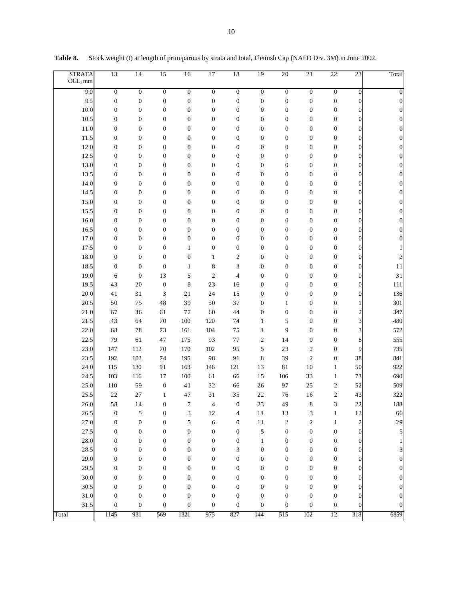| <b>STRATA</b><br>OCL, mm | 13               | 14               | 15               | 16               | 17               | 18               | 19               | 20               | 21               | 22               | 23                      | Total            |
|--------------------------|------------------|------------------|------------------|------------------|------------------|------------------|------------------|------------------|------------------|------------------|-------------------------|------------------|
| 9.0                      | $\boldsymbol{0}$ | $\overline{0}$   | $\overline{0}$   | $\boldsymbol{0}$ | $\overline{0}$   | $\overline{0}$   | $\boldsymbol{0}$ | $\overline{0}$   | $\overline{0}$   | $\overline{0}$   | $\mathbf{0}$            | $\boldsymbol{0}$ |
| 9.5                      | $\boldsymbol{0}$ | $\boldsymbol{0}$ | $\boldsymbol{0}$ | $\boldsymbol{0}$ | $\boldsymbol{0}$ | $\boldsymbol{0}$ | $\boldsymbol{0}$ | $\boldsymbol{0}$ | $\boldsymbol{0}$ | $\boldsymbol{0}$ | $\mathbf{0}$            | $\mathbf{0}$     |
| 10.0                     | $\boldsymbol{0}$ | $\boldsymbol{0}$ | $\boldsymbol{0}$ | $\boldsymbol{0}$ | $\boldsymbol{0}$ | $\boldsymbol{0}$ | $\boldsymbol{0}$ | $\boldsymbol{0}$ | $\boldsymbol{0}$ | $\boldsymbol{0}$ | $\boldsymbol{0}$        | $\mathbf{0}$     |
| 10.5                     | 0                | $\boldsymbol{0}$ | $\boldsymbol{0}$ | $\boldsymbol{0}$ | $\boldsymbol{0}$ | $\boldsymbol{0}$ | $\boldsymbol{0}$ | $\boldsymbol{0}$ | $\boldsymbol{0}$ | $\boldsymbol{0}$ | $\boldsymbol{0}$        | $\mathbf{0}$     |
| 11.0                     | 0                | $\boldsymbol{0}$ | $\boldsymbol{0}$ | $\boldsymbol{0}$ | $\boldsymbol{0}$ | $\boldsymbol{0}$ | $\boldsymbol{0}$ | $\boldsymbol{0}$ | $\boldsymbol{0}$ | $\boldsymbol{0}$ | 0                       | $\boldsymbol{0}$ |
| 11.5                     | 0                | $\boldsymbol{0}$ | $\boldsymbol{0}$ | $\boldsymbol{0}$ | $\boldsymbol{0}$ | $\boldsymbol{0}$ | $\boldsymbol{0}$ | $\boldsymbol{0}$ | $\boldsymbol{0}$ | $\boldsymbol{0}$ | $\boldsymbol{0}$        | $\boldsymbol{0}$ |
| 12.0                     | 0                | $\boldsymbol{0}$ | $\boldsymbol{0}$ | $\boldsymbol{0}$ | $\boldsymbol{0}$ | $\boldsymbol{0}$ | $\boldsymbol{0}$ | $\boldsymbol{0}$ | $\boldsymbol{0}$ | $\boldsymbol{0}$ | $\boldsymbol{0}$        | $\boldsymbol{0}$ |
| 12.5                     | 0                | $\boldsymbol{0}$ | $\boldsymbol{0}$ | $\boldsymbol{0}$ | $\boldsymbol{0}$ | $\boldsymbol{0}$ | $\boldsymbol{0}$ | $\boldsymbol{0}$ | $\boldsymbol{0}$ | $\boldsymbol{0}$ | $\boldsymbol{0}$        | $\boldsymbol{0}$ |
| 13.0                     | 0                | $\boldsymbol{0}$ | $\boldsymbol{0}$ | $\boldsymbol{0}$ | $\boldsymbol{0}$ | $\boldsymbol{0}$ | $\boldsymbol{0}$ | $\boldsymbol{0}$ | $\boldsymbol{0}$ | $\boldsymbol{0}$ | $\boldsymbol{0}$        | $\boldsymbol{0}$ |
| 13.5                     | 0                | $\boldsymbol{0}$ | $\boldsymbol{0}$ | $\boldsymbol{0}$ | $\boldsymbol{0}$ | $\boldsymbol{0}$ | $\boldsymbol{0}$ | $\boldsymbol{0}$ | $\boldsymbol{0}$ | $\boldsymbol{0}$ | $\boldsymbol{0}$        | $\boldsymbol{0}$ |
| 14.0                     | 0                | $\boldsymbol{0}$ | $\boldsymbol{0}$ | $\boldsymbol{0}$ | $\boldsymbol{0}$ | $\boldsymbol{0}$ | $\boldsymbol{0}$ | $\boldsymbol{0}$ | $\boldsymbol{0}$ | $\boldsymbol{0}$ | $\boldsymbol{0}$        | 0                |
| 14.5                     | 0                | $\boldsymbol{0}$ | $\boldsymbol{0}$ | $\boldsymbol{0}$ | $\boldsymbol{0}$ | $\boldsymbol{0}$ | $\boldsymbol{0}$ | $\boldsymbol{0}$ | $\boldsymbol{0}$ | $\boldsymbol{0}$ | $\boldsymbol{0}$        | $\boldsymbol{0}$ |
| 15.0                     | 0                | $\boldsymbol{0}$ | $\boldsymbol{0}$ | $\boldsymbol{0}$ | $\boldsymbol{0}$ | $\boldsymbol{0}$ | $\boldsymbol{0}$ | $\boldsymbol{0}$ | $\boldsymbol{0}$ | $\boldsymbol{0}$ | $\boldsymbol{0}$        | $\boldsymbol{0}$ |
| 15.5                     | $\boldsymbol{0}$ | $\boldsymbol{0}$ | $\boldsymbol{0}$ | $\boldsymbol{0}$ | $\boldsymbol{0}$ | $\boldsymbol{0}$ | $\boldsymbol{0}$ | $\boldsymbol{0}$ | $\boldsymbol{0}$ | $\boldsymbol{0}$ | $\boldsymbol{0}$        | $\boldsymbol{0}$ |
| 16.0                     | $\boldsymbol{0}$ | $\boldsymbol{0}$ | $\boldsymbol{0}$ | $\boldsymbol{0}$ | $\boldsymbol{0}$ | $\boldsymbol{0}$ | $\boldsymbol{0}$ | $\boldsymbol{0}$ | $\boldsymbol{0}$ | $\boldsymbol{0}$ | $\boldsymbol{0}$        | $\boldsymbol{0}$ |
| 16.5                     | $\boldsymbol{0}$ | $\boldsymbol{0}$ | $\boldsymbol{0}$ | $\boldsymbol{0}$ | $\boldsymbol{0}$ | $\boldsymbol{0}$ | $\boldsymbol{0}$ | $\boldsymbol{0}$ | $\boldsymbol{0}$ | $\boldsymbol{0}$ | $\boldsymbol{0}$        | $\boldsymbol{0}$ |
| 17.0                     | 0                | $\boldsymbol{0}$ | $\boldsymbol{0}$ | $\boldsymbol{0}$ | $\boldsymbol{0}$ | $\boldsymbol{0}$ | $\boldsymbol{0}$ | $\boldsymbol{0}$ | $\boldsymbol{0}$ | $\boldsymbol{0}$ | $\boldsymbol{0}$        | $\boldsymbol{0}$ |
| 17.5                     | 0                | $\boldsymbol{0}$ | $\boldsymbol{0}$ | $\mathbf{1}$     | $\boldsymbol{0}$ | $\boldsymbol{0}$ | $\boldsymbol{0}$ | $\boldsymbol{0}$ | $\boldsymbol{0}$ | $\boldsymbol{0}$ | $\boldsymbol{0}$        |                  |
| 18.0                     | $\boldsymbol{0}$ | $\boldsymbol{0}$ | $\boldsymbol{0}$ | $\boldsymbol{0}$ | $\mathbf{1}$     | $\mathbf{2}$     | $\boldsymbol{0}$ | $\boldsymbol{0}$ | $\boldsymbol{0}$ | $\boldsymbol{0}$ | $\boldsymbol{0}$        | $\overline{2}$   |
| 18.5                     | $\boldsymbol{0}$ | $\boldsymbol{0}$ | $\boldsymbol{0}$ | $\mathbf{1}$     | $\,$ $\,$        | $\mathfrak z$    | $\boldsymbol{0}$ | $\boldsymbol{0}$ | $\boldsymbol{0}$ | $\boldsymbol{0}$ | $\boldsymbol{0}$        | 11               |
| 19.0                     | 6                | $\boldsymbol{0}$ | 13               | 5                | $\mathfrak{2}$   | $\overline{4}$   | $\boldsymbol{0}$ | $\boldsymbol{0}$ | $\boldsymbol{0}$ | $\boldsymbol{0}$ | $\boldsymbol{0}$        | 31               |
| 19.5                     | 43               | 20               | $\boldsymbol{0}$ | 8                | 23               | 16               | $\boldsymbol{0}$ | $\boldsymbol{0}$ | $\boldsymbol{0}$ | $\boldsymbol{0}$ | $\boldsymbol{0}$        | 111              |
| 20.0                     | 41               | 31               | 3                | 21               | 24               | 15               | $\boldsymbol{0}$ | $\boldsymbol{0}$ | $\boldsymbol{0}$ | $\boldsymbol{0}$ | $\boldsymbol{0}$        | 136              |
| 20.5                     | 50               | 75               | 48               | 39               | 50               | 37               | $\boldsymbol{0}$ | 1                | $\boldsymbol{0}$ | $\boldsymbol{0}$ | 1                       | 301              |
| 21.0                     | 67               | 36               | 61               | 77               | 60               | 44               | $\boldsymbol{0}$ | $\boldsymbol{0}$ | $\boldsymbol{0}$ | $\boldsymbol{0}$ | $\overline{\mathbf{c}}$ | 347              |
| 21.5                     | 43               | 64               | 70               | 100              | 120              | 74               | $\mathbf{1}$     | 5                | $\boldsymbol{0}$ | $\boldsymbol{0}$ | 3                       | 480              |
| 22.0                     | 68               | 78               | 73               | 161              | 104              | 75               | $\mathbf{1}$     | 9                | $\boldsymbol{0}$ | $\boldsymbol{0}$ | 3                       | 572              |
| 22.5                     | 79               | 61               | 47               | 175              | 93               | 77               | $\boldsymbol{2}$ | 14               | $\boldsymbol{0}$ | $\boldsymbol{0}$ | 8                       | 555              |
| 23.0                     | 147              | 112              | 70               | 170              | 102              | 95               | 5                | 23               | $\mathfrak{2}$   | $\boldsymbol{0}$ | 9                       | 735              |
| 23.5                     | 192              | 102              | 74               | 195              | 98               | 91               | 8                | 39               | $\sqrt{2}$       | $\boldsymbol{0}$ | 38                      | 841              |
| 24.0                     | 115              | 130              | 91               | 163              | 146              | 121              | 13               | 81               | $10\,$           | $\mathbf{1}$     | 50                      | 922              |
| 24.5                     | 103              | 116              | 17               | $100\,$          | 61               | 66               | 15               | 106              | 33               | $\mathbf{1}$     | 73                      | 690              |
| 25.0                     | 110              | 59               | $\boldsymbol{0}$ | 41               | 32               | 66               | 26               | 97               | 25               | $\boldsymbol{2}$ | 52                      | 509              |
| 25.5                     | $22\,$           | 27               | $\mathbf{1}$     | 47               | 31               | 35               | 22               | 76               | 16               | $\boldsymbol{2}$ | 43                      | 322              |
| 26.0                     | 58               | 14               | $\boldsymbol{0}$ | 7                | 4                | $\boldsymbol{0}$ | 23               | 49               | 8                | 3                | $22\,$                  | 188              |
| 26.5                     | 0                | 5                | $\boldsymbol{0}$ | 3                | $12\,$           | 4                | $11\,$           | 13               | 3                | $\mathbf{1}$     | 12                      | 66               |
| 27.0                     | $\boldsymbol{0}$ | $\boldsymbol{0}$ | $\boldsymbol{0}$ | 5                | 6                | $\boldsymbol{0}$ | $1\,1$           | $\boldsymbol{2}$ | $\boldsymbol{2}$ | $\mathbf{1}$     | $\overline{\mathbf{c}}$ | 29               |
| 27.5                     | $\boldsymbol{0}$ | $\boldsymbol{0}$ | $\boldsymbol{0}$ | $\boldsymbol{0}$ | $\boldsymbol{0}$ | $\boldsymbol{0}$ | 5                | $\boldsymbol{0}$ | $\boldsymbol{0}$ | $\boldsymbol{0}$ | $\boldsymbol{0}$        | 5                |
| 28.0                     | 0                | $\boldsymbol{0}$ | $\boldsymbol{0}$ | $\boldsymbol{0}$ | $\boldsymbol{0}$ | $\boldsymbol{0}$ | $\mathbf{1}$     | $\boldsymbol{0}$ | $\boldsymbol{0}$ | $\boldsymbol{0}$ | $\boldsymbol{0}$        | 1                |
| 28.5                     | 0                | $\boldsymbol{0}$ | $\boldsymbol{0}$ | $\boldsymbol{0}$ | $\boldsymbol{0}$ | 3                | $\boldsymbol{0}$ | $\boldsymbol{0}$ | $\boldsymbol{0}$ | $\boldsymbol{0}$ | $\boldsymbol{0}$        | 3                |
| 29.0                     | 0                | $\boldsymbol{0}$ | $\boldsymbol{0}$ | $\boldsymbol{0}$ | $\boldsymbol{0}$ | $\boldsymbol{0}$ | $\boldsymbol{0}$ | $\boldsymbol{0}$ | $\boldsymbol{0}$ | $\boldsymbol{0}$ | $\boldsymbol{0}$        | $\boldsymbol{0}$ |
| 29.5                     | 0                | $\boldsymbol{0}$ | $\boldsymbol{0}$ | $\boldsymbol{0}$ | $\boldsymbol{0}$ | $\boldsymbol{0}$ | $\boldsymbol{0}$ | 0                | $\boldsymbol{0}$ | $\boldsymbol{0}$ | $\boldsymbol{0}$        | $\boldsymbol{0}$ |
| 30.0                     | $\boldsymbol{0}$ | $\boldsymbol{0}$ | $\boldsymbol{0}$ | $\boldsymbol{0}$ | $\boldsymbol{0}$ | $\boldsymbol{0}$ | $\boldsymbol{0}$ | 0                | $\boldsymbol{0}$ | $\boldsymbol{0}$ | 0                       | $\boldsymbol{0}$ |
| 30.5                     | 0                | $\boldsymbol{0}$ | $\boldsymbol{0}$ | $\boldsymbol{0}$ | $\boldsymbol{0}$ | $\boldsymbol{0}$ | $\boldsymbol{0}$ | 0                | $\boldsymbol{0}$ | $\boldsymbol{0}$ | $\boldsymbol{0}$        | $\mathbf{0}$     |
| 31.0                     | 0                | $\boldsymbol{0}$ | $\boldsymbol{0}$ | $\boldsymbol{0}$ | $\boldsymbol{0}$ | $\boldsymbol{0}$ | $\boldsymbol{0}$ | $\boldsymbol{0}$ | $\boldsymbol{0}$ | $\boldsymbol{0}$ | $\boldsymbol{0}$        | 0                |
| 31.5                     | 0                | $\boldsymbol{0}$ | $\boldsymbol{0}$ | $\boldsymbol{0}$ | $\boldsymbol{0}$ | $\boldsymbol{0}$ | $\boldsymbol{0}$ | 0                | $\boldsymbol{0}$ | $\boldsymbol{0}$ | $\boldsymbol{0}$        | 0                |
| Total                    | 1145             | 931              | 569              | 1321             | 975              | 827              | 144              | 515              | 102              | 12               | 318                     | 6859             |

**Table 8.** Stock weight (t) at length of primiparous by strata and total, Flemish Cap (NAFO Div. 3M) in June 2002.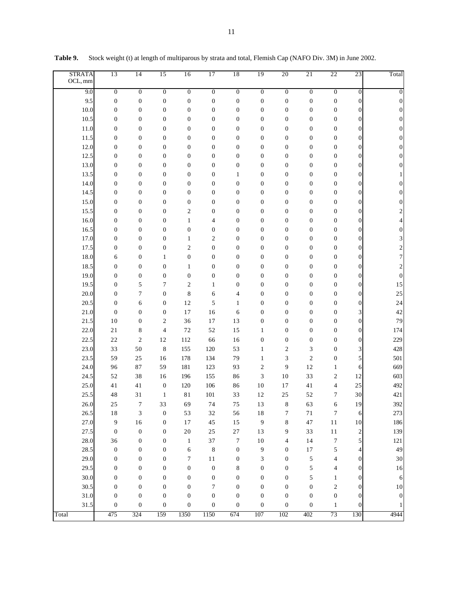| <b>STRATA</b><br>OCL, mm | 13               | $\overline{14}$  | 15               | 16               | 17                       | 18               | 19               | 20                       | 21               | 22                      | 23                      | Total            |
|--------------------------|------------------|------------------|------------------|------------------|--------------------------|------------------|------------------|--------------------------|------------------|-------------------------|-------------------------|------------------|
| 9.0                      | $\overline{0}$   | $\overline{0}$   | $\overline{0}$   | $\overline{0}$   | $\overline{0}$           | $\overline{0}$   | $\boldsymbol{0}$ | $\overline{0}$           | $\overline{0}$   | $\overline{0}$          | 0                       | $\boldsymbol{0}$ |
| 9.5                      | $\boldsymbol{0}$ | $\boldsymbol{0}$ | $\boldsymbol{0}$ | $\boldsymbol{0}$ | $\boldsymbol{0}$         | $\boldsymbol{0}$ | $\boldsymbol{0}$ | $\boldsymbol{0}$         | $\boldsymbol{0}$ | $\boldsymbol{0}$        | 0                       | $\boldsymbol{0}$ |
| 10.0                     | $\boldsymbol{0}$ | $\boldsymbol{0}$ | $\boldsymbol{0}$ | $\boldsymbol{0}$ | $\boldsymbol{0}$         | $\boldsymbol{0}$ | $\boldsymbol{0}$ | $\boldsymbol{0}$         | $\boldsymbol{0}$ | $\boldsymbol{0}$        | 0                       | $\mathbf{0}$     |
| 10.5                     | $\boldsymbol{0}$ | $\boldsymbol{0}$ | $\boldsymbol{0}$ | $\boldsymbol{0}$ | $\boldsymbol{0}$         | $\boldsymbol{0}$ | $\boldsymbol{0}$ | $\boldsymbol{0}$         | $\boldsymbol{0}$ | $\boldsymbol{0}$        | $\overline{0}$          | $\theta$         |
| 11.0                     | $\boldsymbol{0}$ | $\boldsymbol{0}$ | $\boldsymbol{0}$ | $\boldsymbol{0}$ | $\boldsymbol{0}$         | $\boldsymbol{0}$ | $\boldsymbol{0}$ | $\boldsymbol{0}$         | $\boldsymbol{0}$ | 0                       | 0                       | 0                |
| 11.5                     | $\boldsymbol{0}$ | $\boldsymbol{0}$ | $\boldsymbol{0}$ | $\boldsymbol{0}$ | $\boldsymbol{0}$         | $\boldsymbol{0}$ | $\boldsymbol{0}$ | $\boldsymbol{0}$         | $\boldsymbol{0}$ | $\boldsymbol{0}$        | 0                       | 0                |
| 12.0                     | $\boldsymbol{0}$ | $\boldsymbol{0}$ | $\boldsymbol{0}$ | $\boldsymbol{0}$ | $\boldsymbol{0}$         | $\boldsymbol{0}$ | $\boldsymbol{0}$ | $\boldsymbol{0}$         | $\boldsymbol{0}$ | $\boldsymbol{0}$        | 0                       | 0                |
| 12.5                     | $\boldsymbol{0}$ | $\boldsymbol{0}$ | $\boldsymbol{0}$ | $\boldsymbol{0}$ | $\boldsymbol{0}$         | $\boldsymbol{0}$ | $\boldsymbol{0}$ | $\boldsymbol{0}$         | $\boldsymbol{0}$ | $\boldsymbol{0}$        | 0                       | 0                |
| 13.0                     | $\boldsymbol{0}$ | $\boldsymbol{0}$ | $\boldsymbol{0}$ | $\boldsymbol{0}$ | $\boldsymbol{0}$         | $\boldsymbol{0}$ | $\boldsymbol{0}$ | $\boldsymbol{0}$         | $\boldsymbol{0}$ | 0                       | 0                       | $\overline{0}$   |
| 13.5                     | $\boldsymbol{0}$ | $\boldsymbol{0}$ | $\boldsymbol{0}$ | $\boldsymbol{0}$ | $\boldsymbol{0}$         | 1                | $\boldsymbol{0}$ | $\boldsymbol{0}$         | $\boldsymbol{0}$ | 0                       | 0                       |                  |
| 14.0                     | $\boldsymbol{0}$ | $\boldsymbol{0}$ | $\boldsymbol{0}$ | $\boldsymbol{0}$ | $\boldsymbol{0}$         | $\boldsymbol{0}$ | $\boldsymbol{0}$ | $\boldsymbol{0}$         | $\boldsymbol{0}$ | 0                       | 0                       | 0                |
| 14.5                     | $\boldsymbol{0}$ | $\boldsymbol{0}$ | $\boldsymbol{0}$ | $\boldsymbol{0}$ | $\boldsymbol{0}$         | $\boldsymbol{0}$ | $\boldsymbol{0}$ | $\boldsymbol{0}$         | $\boldsymbol{0}$ | 0                       | 0                       | 0                |
| 15.0                     | $\boldsymbol{0}$ | $\boldsymbol{0}$ | $\boldsymbol{0}$ | $\boldsymbol{0}$ | $\boldsymbol{0}$         | $\boldsymbol{0}$ | $\boldsymbol{0}$ | $\boldsymbol{0}$         | $\boldsymbol{0}$ | $\boldsymbol{0}$        | 0                       | $\overline{0}$   |
| 15.5                     | $\boldsymbol{0}$ | $\boldsymbol{0}$ | $\boldsymbol{0}$ | $\mathfrak{2}$   | $\boldsymbol{0}$         | $\boldsymbol{0}$ | $\boldsymbol{0}$ | $\boldsymbol{0}$         | $\boldsymbol{0}$ | $\boldsymbol{0}$        | 0                       | 2                |
| 16.0                     | $\boldsymbol{0}$ | $\boldsymbol{0}$ | $\boldsymbol{0}$ | $\mathbf{1}$     | $\overline{\mathcal{L}}$ | $\boldsymbol{0}$ | $\boldsymbol{0}$ | $\boldsymbol{0}$         | $\boldsymbol{0}$ | $\boldsymbol{0}$        | 0                       |                  |
| 16.5                     | $\boldsymbol{0}$ | $\boldsymbol{0}$ | $\boldsymbol{0}$ | $\boldsymbol{0}$ | $\boldsymbol{0}$         | $\boldsymbol{0}$ | $\boldsymbol{0}$ | $\boldsymbol{0}$         | $\boldsymbol{0}$ | $\boldsymbol{0}$        | 0                       | 0                |
| 17.0                     | $\boldsymbol{0}$ | $\boldsymbol{0}$ | $\boldsymbol{0}$ | $\mathbf{1}$     | $\sqrt{2}$               | $\boldsymbol{0}$ | $\boldsymbol{0}$ | $\boldsymbol{0}$         | $\boldsymbol{0}$ | $\boldsymbol{0}$        | 0                       | 3                |
| 17.5                     | $\boldsymbol{0}$ | $\boldsymbol{0}$ | $\boldsymbol{0}$ | $\mathfrak{2}$   | $\boldsymbol{0}$         | $\boldsymbol{0}$ | $\boldsymbol{0}$ | $\boldsymbol{0}$         | $\boldsymbol{0}$ | $\boldsymbol{0}$        | $\boldsymbol{0}$        | $\overline{c}$   |
| 18.0                     | 6                | $\boldsymbol{0}$ | $\mathbf{1}$     | $\boldsymbol{0}$ | $\boldsymbol{0}$         | $\boldsymbol{0}$ | $\boldsymbol{0}$ | $\boldsymbol{0}$         | $\boldsymbol{0}$ | $\boldsymbol{0}$        | $\boldsymbol{0}$        | 7                |
| 18.5                     | $\boldsymbol{0}$ | $\boldsymbol{0}$ | $\boldsymbol{0}$ | 1                | $\boldsymbol{0}$         | $\boldsymbol{0}$ | $\boldsymbol{0}$ | $\boldsymbol{0}$         | $\boldsymbol{0}$ | 0                       | $\boldsymbol{0}$        | $\overline{c}$   |
| 19.0                     | $\boldsymbol{0}$ | $\boldsymbol{0}$ | $\boldsymbol{0}$ | $\boldsymbol{0}$ | $\boldsymbol{0}$         | $\boldsymbol{0}$ | $\boldsymbol{0}$ | $\boldsymbol{0}$         | $\boldsymbol{0}$ | 0                       | $\boldsymbol{0}$        | $\mathbf{0}$     |
| 19.5                     | $\boldsymbol{0}$ | 5                | $\tau$           | $\mathbf{2}$     | $\mathbf{1}$             | $\boldsymbol{0}$ | $\boldsymbol{0}$ | $\boldsymbol{0}$         | $\boldsymbol{0}$ | 0                       | $\boldsymbol{0}$        | 15               |
| 20.0                     | $\boldsymbol{0}$ | $\tau$           | $\boldsymbol{0}$ | $\,$ 8 $\,$      | 6                        | 4                | $\boldsymbol{0}$ | $\boldsymbol{0}$         | $\boldsymbol{0}$ | 0                       | $\boldsymbol{0}$        | 25               |
| 20.5                     | $\boldsymbol{0}$ | 6                | $\boldsymbol{0}$ | 12               | 5                        | $\mathbf{1}$     | $\boldsymbol{0}$ | $\boldsymbol{0}$         | $\boldsymbol{0}$ | 0                       | $\boldsymbol{0}$        | 24               |
| 21.0                     | $\boldsymbol{0}$ | $\boldsymbol{0}$ | $\boldsymbol{0}$ | 17               | 16                       | 6                | $\boldsymbol{0}$ | $\boldsymbol{0}$         | $\boldsymbol{0}$ | 0                       | 3                       | 42               |
| 21.5                     | 10               | $\boldsymbol{0}$ | $\overline{c}$   | 36               | 17                       | 13               | $\boldsymbol{0}$ | $\boldsymbol{0}$         | $\boldsymbol{0}$ | 0                       | $\boldsymbol{0}$        | 79               |
| 22.0                     | 21               | 8                | $\overline{4}$   | $72\,$           | 52                       | 15               | $\mathbf{1}$     | $\boldsymbol{0}$         | $\boldsymbol{0}$ | 0                       | $\boldsymbol{0}$        | 174              |
| 22.5                     | $22\,$           | $\mathfrak{2}$   | 12               | 112              | 66                       | 16               | $\boldsymbol{0}$ | $\boldsymbol{0}$         | $\boldsymbol{0}$ | $\boldsymbol{0}$        | $\boldsymbol{0}$        | 229              |
| 23.0                     | 33               | 50               | $\,$ 8 $\,$      | 155              | 120                      | 53               | $\mathbf{1}$     | $\mathfrak{2}$           | 3                | $\boldsymbol{0}$        | 3                       | 428              |
| 23.5                     | 59               | 25               | 16               | 178              | 134                      | 79               | $\mathbf{1}$     | 3                        | $\sqrt{2}$       | $\boldsymbol{0}$        | 5                       | 501              |
| 24.0                     | 96               | 87               | 59               | 181              | 123                      | 93               | $\mathfrak{2}$   | 9                        | 12               | $\mathbf{1}$            | 6                       | 669              |
| 24.5                     | 52               | 38               | 16               | 196              | 155                      | 86               | 3                | 10                       | 33               | $\mathfrak{2}$          | 12                      | 603              |
| 25.0                     | 41               | 41               | $\boldsymbol{0}$ | 120              | 106                      | 86               | $10$             | $17$                     | 41               | 4                       | 25                      | 492              |
| 25.5                     | 48               | 31               | $\mathbf{1}$     | 81               | 101                      | 33               | 12               | 25                       | 52               | 7                       | 30                      | 421              |
| 26.0                     | 25               | $\tau$           | 33               | 69               | 74                       | 75               | 13               | 8                        | 63               | 6                       | 19                      | 392              |
| 26.5                     | $1\,8$           | 3                | $\boldsymbol{0}$ | 53               | $32\,$                   | 56               | $1\,8$           | $\tau$                   | $7\sqrt{1}$      | $\boldsymbol{7}$        | 6                       | 273              |
| 27.0                     | $\boldsymbol{9}$ | 16               | $\boldsymbol{0}$ | $17\,$           | $45\,$                   | 15               | $\boldsymbol{9}$ | $\,$ 8 $\,$              | $47\,$           | $11\,$                  | $10\,$                  | 186              |
| 27.5                     | $\boldsymbol{0}$ | $\boldsymbol{0}$ | $\boldsymbol{0}$ | $20\,$           | $25\,$                   | $27\,$           | 13               | 9                        | 33               | $11\,$                  | $\overline{\mathbf{c}}$ | 139              |
| 28.0                     | 36               | $\boldsymbol{0}$ | $\boldsymbol{0}$ | $\mathbf{1}$     | 37                       | $\boldsymbol{7}$ | $10\,$           | $\overline{\mathcal{L}}$ | 14               | $\overline{7}$          | 5                       | $121\,$          |
| 28.5                     | $\boldsymbol{0}$ | $\boldsymbol{0}$ | $\boldsymbol{0}$ | 6                | $\,$ 8 $\,$              | $\boldsymbol{0}$ | 9                | $\boldsymbol{0}$         | $17\,$           | 5                       | 4                       | 49               |
| 29.0                     | $\boldsymbol{0}$ | $\boldsymbol{0}$ | $\boldsymbol{0}$ | $\tau$           | $1\,1$                   | $\boldsymbol{0}$ | 3                | $\boldsymbol{0}$         | $\sqrt{5}$       | 4                       | 0                       | $30\,$           |
| 29.5                     | $\boldsymbol{0}$ | $\boldsymbol{0}$ | $\boldsymbol{0}$ | $\boldsymbol{0}$ | $\boldsymbol{0}$         | 8                | $\boldsymbol{0}$ | $\boldsymbol{0}$         | $\sqrt{5}$       | 4                       | 0                       | 16               |
| 30.0                     | $\boldsymbol{0}$ | $\boldsymbol{0}$ | $\boldsymbol{0}$ | $\boldsymbol{0}$ | $\boldsymbol{0}$         | $\boldsymbol{0}$ | $\boldsymbol{0}$ | $\boldsymbol{0}$         | 5                | $\mathbf{1}$            | 0                       | 6                |
| 30.5                     | $\boldsymbol{0}$ | $\boldsymbol{0}$ | $\boldsymbol{0}$ | $\boldsymbol{0}$ | $\tau$                   | $\boldsymbol{0}$ | $\boldsymbol{0}$ | $\boldsymbol{0}$         | $\boldsymbol{0}$ | $\overline{\mathbf{c}}$ | 0                       | 10               |
| 31.0                     | $\boldsymbol{0}$ | $\boldsymbol{0}$ | $\boldsymbol{0}$ | $\boldsymbol{0}$ | $\boldsymbol{0}$         | $\boldsymbol{0}$ | $\boldsymbol{0}$ | $\boldsymbol{0}$         | $\boldsymbol{0}$ | $\boldsymbol{0}$        | 0                       | $\boldsymbol{0}$ |
| 31.5                     | $\boldsymbol{0}$ | $\boldsymbol{0}$ | $\boldsymbol{0}$ | $\boldsymbol{0}$ | $\boldsymbol{0}$         | $\boldsymbol{0}$ | $\boldsymbol{0}$ | $\boldsymbol{0}$         | $\boldsymbol{0}$ | $\mathbf{1}$            | 0                       |                  |
| Total                    | 475              | 324              | 159              | 1350             | 1150                     | 674              | 107              | 102                      | 402              | 73                      | 130                     | 4944             |

**Table 9.** Stock weight (t) at length of multiparous by strata and total, Flemish Cap (NAFO Div. 3M) in June 2002.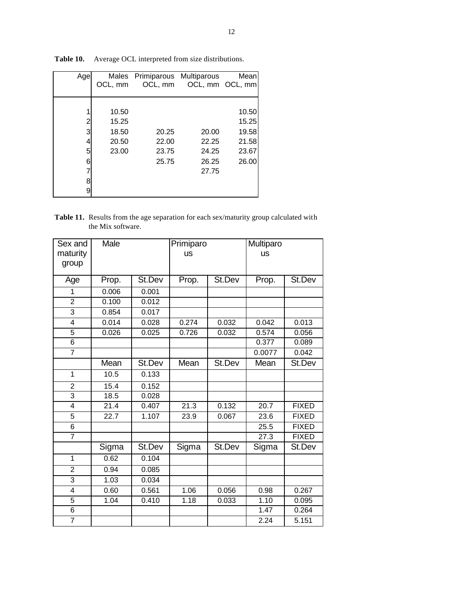| Age | Males   | Primiparous Multiparous |       | Mean            |
|-----|---------|-------------------------|-------|-----------------|
|     | OCL, mm | OCL, mm                 |       | OCL, mm OCL, mm |
|     |         |                         |       |                 |
|     | 10.50   |                         |       | 10.50           |
| 2   | 15.25   |                         |       | 15.25           |
| 3   | 18.50   | 20.25                   | 20.00 | 19.58           |
|     | 20.50   | 22.00                   | 22.25 | 21.58           |
| 5   | 23.00   | 23.75                   | 24.25 | 23.67           |
| 6   |         | 25.75                   | 26.25 | 26.00           |
|     |         |                         | 27.75 |                 |
|     |         |                         |       |                 |
|     |         |                         |       |                 |

**Table 10.** Average OCL interpreted from size distributions.

**Table 11.** Results from the age separation for each sex/maturity group calculated with the Mix software.

| Sex and                 | Male  |        | Primiparo |        | Multiparo |              |
|-------------------------|-------|--------|-----------|--------|-----------|--------------|
| maturity                |       |        | <b>US</b> |        | <b>US</b> |              |
| group                   |       |        |           |        |           |              |
|                         |       |        |           |        |           |              |
| Age                     | Prop. | St.Dev | Prop.     | St.Dev | Prop.     | St.Dev       |
| 1                       | 0.006 | 0.001  |           |        |           |              |
| $\overline{2}$          | 0.100 | 0.012  |           |        |           |              |
| $\overline{3}$          | 0.854 | 0.017  |           |        |           |              |
| 4                       | 0.014 | 0.028  | 0.274     | 0.032  | 0.042     | 0.013        |
| 5                       | 0.026 | 0.025  | 0.726     | 0.032  | 0.574     | 0.056        |
| 6                       |       |        |           |        | 0.377     | 0.089        |
| $\overline{7}$          |       |        |           |        | 0.0077    | 0.042        |
|                         | Mean  | St.Dev | Mean      | St.Dev | Mean      | St.Dev       |
| $\mathbf{1}$            | 10.5  | 0.133  |           |        |           |              |
| $\overline{\mathbf{c}}$ | 15.4  | 0.152  |           |        |           |              |
| $\overline{3}$          | 18.5  | 0.028  |           |        |           |              |
| 4                       | 21.4  | 0.407  | 21.3      | 0.132  | 20.7      | <b>FIXED</b> |
| 5                       | 22.7  | 1.107  | 23.9      | 0.067  | 23.6      | <b>FIXED</b> |
| 6                       |       |        |           |        | 25.5      | <b>FIXED</b> |
| 7                       |       |        |           |        | 27.3      | <b>FIXED</b> |
|                         | Sigma | St.Dev | Sigma     | St.Dev | Sigma     | St.Dev       |
| $\mathbf{1}$            | 0.62  | 0.104  |           |        |           |              |
| $\overline{2}$          | 0.94  | 0.085  |           |        |           |              |
| 3                       | 1.03  | 0.034  |           |        |           |              |
| 4                       | 0.60  | 0.561  | 1.06      | 0.056  | 0.98      | 0.267        |
| 5                       | 1.04  | 0.410  | 1.18      | 0.033  | 1.10      | 0.095        |
| $\overline{6}$          |       |        |           |        | 1.47      | 0.264        |
| $\overline{7}$          |       |        |           |        | 2.24      | 5.151        |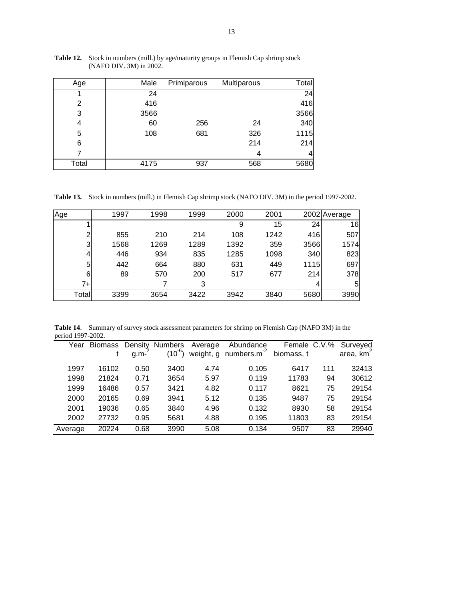| Age   | Male | Primiparous | Multiparous | Total |
|-------|------|-------------|-------------|-------|
|       | 24   |             |             | 24    |
| 2     | 416  |             |             | 416   |
| 3     | 3566 |             |             | 3566  |
| 4     | 60   | 256         | 24          | 340   |
| 5     | 108  | 681         | 326         | 1115  |
| 6     |      |             | 214         | 214   |
|       |      |             |             |       |
| Total | 4175 | 937         | 568         | 5680  |

**Table 12.** Stock in numbers (mill.) by age/maturity groups in Flemish Cap shrimp stock (NAFO DIV. 3M) in 2002.

**Table 13.** Stock in numbers (mill.) in Flemish Cap shrimp stock (NAFO DIV. 3M) in the period 1997-2002.

| Age   | 1997 | 1998 | 1999 | 2000 | 2001 |      | 2002 Average |
|-------|------|------|------|------|------|------|--------------|
|       |      |      |      | 9    | 15   | 24   | 16           |
| 2     | 855  | 210  | 214  | 108  | 1242 | 416  | 507          |
| 3     | 1568 | 1269 | 1289 | 1392 | 359  | 3566 | 1574         |
| 4     | 446  | 934  | 835  | 1285 | 1098 | 340  | 823          |
| 5     | 442  | 664  | 880  | 631  | 449  | 1115 | 697          |
| 6     | 89   | 570  | 200  | 517  | 677  | 214  | 378          |
| 7+    |      |      | 3    |      |      | 4    | 5            |
| Total | 3399 | 3654 | 3422 | 3942 | 3840 | 5680 | 3990         |

**Table 14**. Summary of survey stock assessment parameters for shrimp on Flemish Cap (NAFO 3M) in the period 1997-2002.

|         |       |      |      |      | Year Biomass Density Numbers Average Abundance Female<br>t g.m- <sup>2</sup> (10 <sup>-6</sup> ) weight, g numbers.m <sup>-2</sup> biomass, t |       |     | Female C.V.% Surveyed<br>omass, t area, km <sup>2</sup> |
|---------|-------|------|------|------|-----------------------------------------------------------------------------------------------------------------------------------------------|-------|-----|---------------------------------------------------------|
|         |       |      |      |      |                                                                                                                                               |       |     |                                                         |
| 1997    | 16102 | 0.50 | 3400 | 4.74 | 0.105                                                                                                                                         | 6417  | 111 | 32413                                                   |
| 1998    | 21824 | 0.71 | 3654 | 5.97 | 0.119                                                                                                                                         | 11783 | 94  | 30612                                                   |
| 1999    | 16486 | 0.57 | 3421 | 4.82 | 0.117                                                                                                                                         | 8621  | 75  | 29154                                                   |
| 2000    | 20165 | 0.69 | 3941 | 5.12 | 0.135                                                                                                                                         | 9487  | 75  | 29154                                                   |
| 2001    | 19036 | 0.65 | 3840 | 4.96 | 0.132                                                                                                                                         | 8930  | 58  | 29154                                                   |
| 2002    | 27732 | 0.95 | 5681 | 4.88 | 0.195                                                                                                                                         | 11803 | 83  | 29154                                                   |
| Average | 20224 | 0.68 | 3990 | 5.08 | 0.134                                                                                                                                         | 9507  | 83  | 29940                                                   |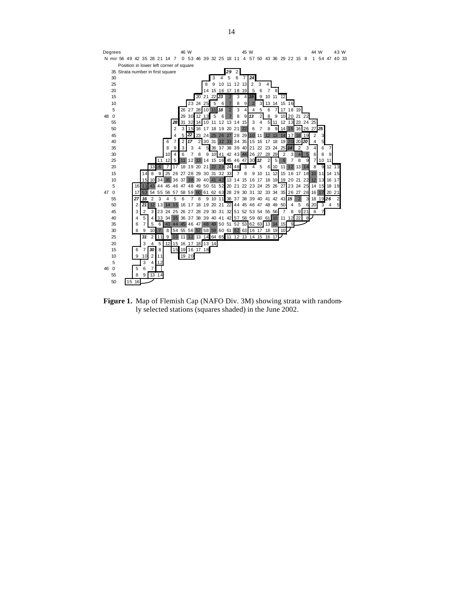

**Figure 1.** Map of Flemish Cap (NAFO Div. 3M) showing strata with randomly selected stations (squares shaded) in the June 2002.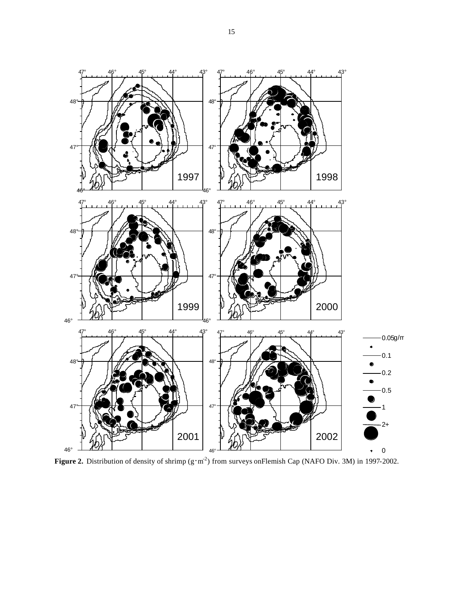

**Figure 2.** Distribution of density of shrimp  $(g \cdot m^2)$  from surveys onFlemish Cap (NAFO Div. 3M) in 1997-2002.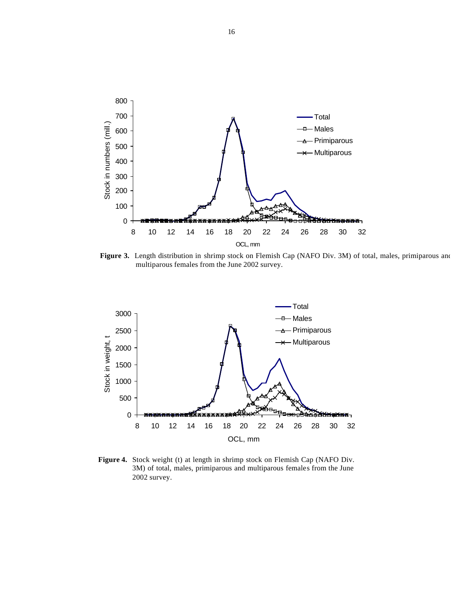

Figure 3. Length distribution in shrimp stock on Flemish Cap (NAFO Div. 3M) of total, males, primiparous and multiparous females from the June 2002 survey.



**Figure 4.** Stock weight (t) at length in shrimp stock on Flemish Cap (NAFO Div. 3M) of total, males, primiparous and multiparous females from the June 2002 survey.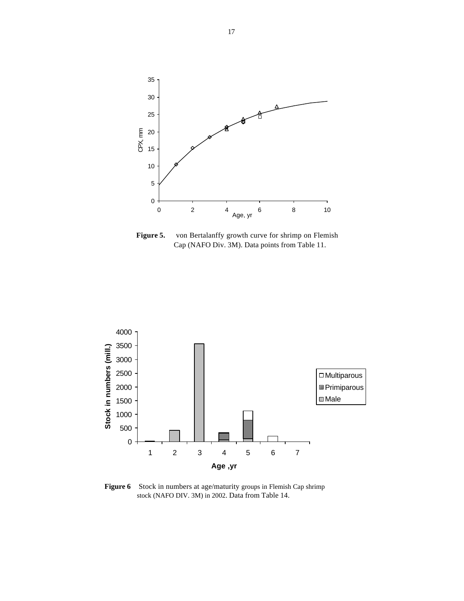

Figure 5. von Bertalanffy growth curve for shrimp on Flemish Cap (NAFO Div. 3M). Data points from Table 11.



**Figure 6** Stock in numbers at age/maturity groups in Flemish Cap shrimp stock (NAFO DIV. 3M) in 2002. Data from Table 14.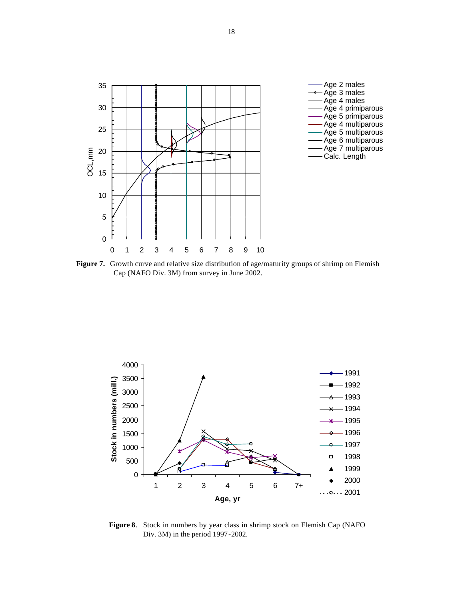

Figure 7. Growth curve and relative size distribution of age/maturity groups of shrimp on Flemish Cap (NAFO Div. 3M) from survey in June 2002.



**Figure 8**. Stock in numbers by year class in shrimp stock on Flemish Cap (NAFO Div. 3M) in the period 1997-2002.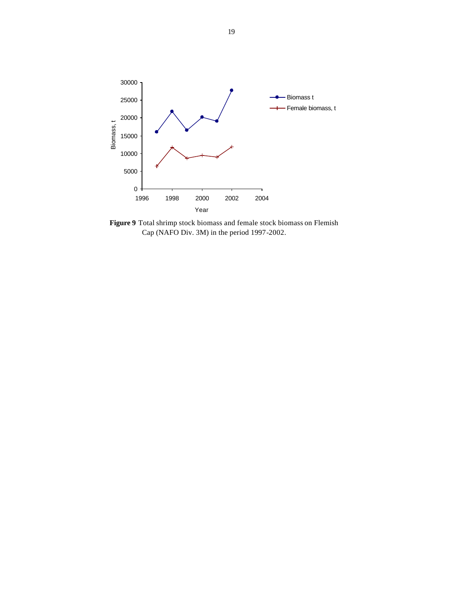

**Figure 9** Total shrimp stock biomass and female stock biomass on Flemish Cap (NAFO Div. 3M) in the period 1997-2002.